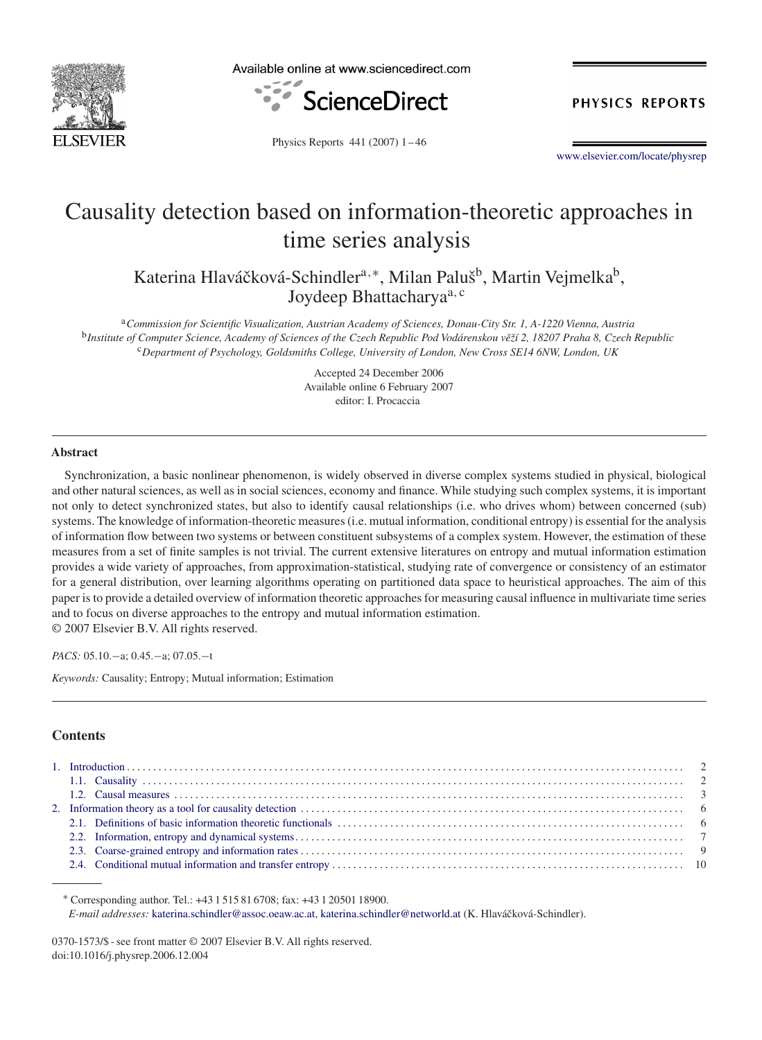

Available online at www.sciencedirect.com



PHYSICS REPORTS

Physics Reports 441 (2007) 1 – 46

[www.elsevier.com/locate/physrep](http://www.elsevier.com/locate/physrep)

# Causality detection based on information-theoretic approaches in time series analysis

Katerina Hlaváčková-Schindler<sup>a,∗</sup>, Milan Paluš<sup>b</sup>, Martin Vejmelka<sup>b</sup>, Joydeep Bhattacharya<sup>a, c</sup>

<sup>a</sup>*Commission for Scientific Visualization, Austrian Academy of Sciences, Donau-City Str. 1, A-1220 Vienna, Austria* b<sub>Institute of Computer Science, Academy of Sciences of the Czech Republic Pod Vodárenskou věží 2, 18207 Praha 8, Czech Republic</sub> <sup>c</sup>*Department of Psychology, Goldsmiths College, University of London, New Cross SE14 6NW, London, UK*

> Accepted 24 December 2006 Available online 6 February 2007 editor: I. Procaccia

## **Abstract**

Synchronization, a basic nonlinear phenomenon, is widely observed in diverse complex systems studied in physical, biological and other natural sciences, as well as in social sciences, economy and finance. While studying such complex systems, it is important not only to detect synchronized states, but also to identify causal relationships (i.e. who drives whom) between concerned (sub) systems. The knowledge of information-theoretic measures (i.e. mutual information, conditional entropy) is essential for the analysis of information flow between two systems or between constituent subsystems of a complex system. However, the estimation of these measures from a set of finite samples is not trivial. The current extensive literatures on entropy and mutual information estimation provides a wide variety of approaches, from approximation-statistical, studying rate of convergence or consistency of an estimator for a general distribution, over learning algorithms operating on partitioned data space to heuristical approaches. The aim of this paper is to provide a detailed overview of information theoretic approaches for measuring causal influence in multivariate time series and to focus on diverse approaches to the entropy and mutual information estimation. © 2007 Elsevier B.V. All rights reserved.

*PACS:* 05.10.−a; 0.45.−a; 07.05.−t

*Keywords:* Causality; Entropy; Mutual information; Estimation

# **Contents**

<sup>∗</sup> Corresponding author. Tel.: +43 1 515 81 6708; fax: +43 1 20501 18900.

*E-mail addresses:* [katerina.schindler@assoc.oeaw.ac.at,](mailto:katerina.schindler@assoc.oeaw.ac.at) [katerina.schindler@networld.at](mailto:katerina.schindler@networld.at) (K. Hlaváˇcková-Schindler).

0370-1573/\$ - see front matter © 2007 Elsevier B.V. All rights reserved. doi:10.1016/j.physrep.2006.12.004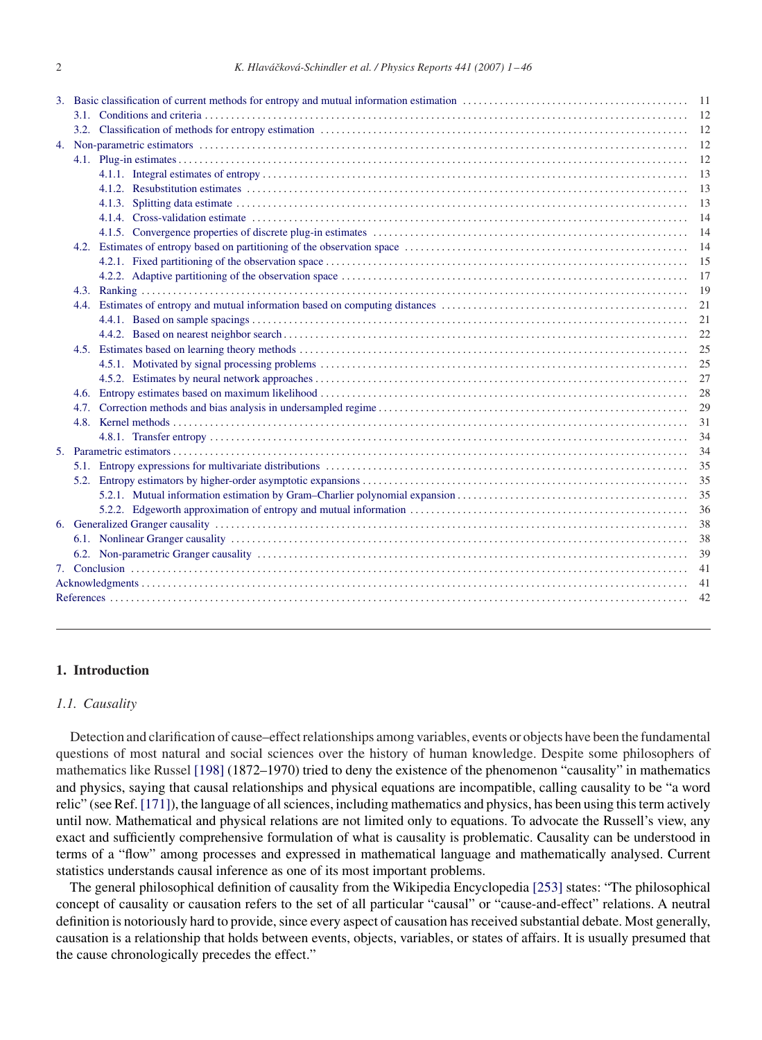<span id="page-1-0"></span>

|  | 29 |
|--|----|
|  |    |
|  | 34 |
|  |    |
|  |    |
|  |    |
|  |    |
|  |    |
|  | 38 |
|  | 38 |
|  | 39 |
|  | 41 |
|  |    |
|  |    |
|  |    |

# **1. Introduction**

# *1.1. Causality*

Detection and clarification of cause–effect relationships among variables, events or objects have been the fundamental questions of most natural and social sciences over the history of human knowledge. Despite some philosophers of mathematics like Russel [\[198\]](#page-44-0) (1872–1970) tried to deny the existence of the phenomenon "causality" in mathematics and physics, saying that causal relationships and physical equations are incompatible, calling causality to be "a word relic" (see Ref. [\[171\]\)](#page-44-0), the language of all sciences, including mathematics and physics, has been using this term actively until now. Mathematical and physical relations are not limited only to equations. To advocate the Russell's view, any exact and sufficiently comprehensive formulation of what is causality is problematic. Causality can be understood in terms of a "flow" among processes and expressed in mathematical language and mathematically analysed. Current statistics understands causal inference as one of its most important problems.

The general philosophical definition of causality from the Wikipedia Encyclopedia [\[253\]](#page-45-0) states: "The philosophical concept of causality or causation refers to the set of all particular "causal" or "cause-and-effect" relations. A neutral definition is notoriously hard to provide, since every aspect of causation has received substantial debate. Most generally, causation is a relationship that holds between events, objects, variables, or states of affairs. It is usually presumed that the cause chronologically precedes the effect."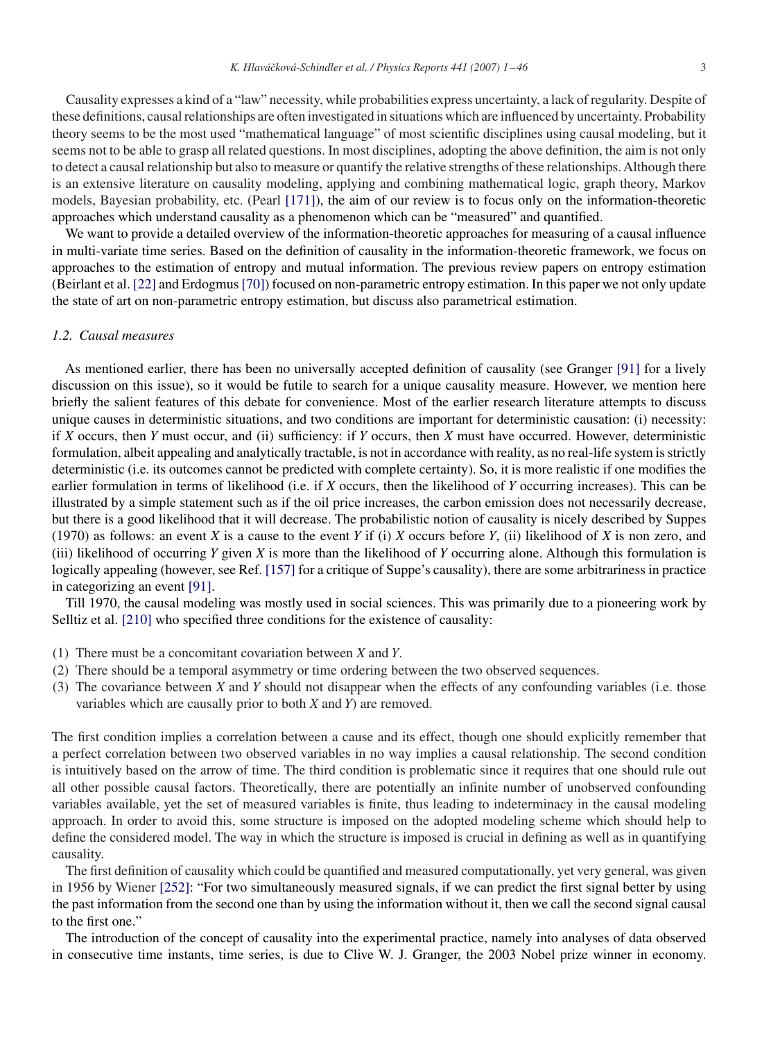<span id="page-2-0"></span>Causality expresses a kind of a "law" necessity, while probabilities express uncertainty, a lack of regularity. Despite of these definitions, causal relationships are often investigated in situations which are influenced by uncertainty. Probability theory seems to be the most used "mathematical language" of most scientific disciplines using causal modeling, but it seems not to be able to grasp all related questions. In most disciplines, adopting the above definition, the aim is not only to detect a causal relationship but also to measure or quantify the relative strengths of these relationships. Although there is an extensive literature on causality modeling, applying and combining mathematical logic, graph theory, Markov models, Bayesian probability, etc. (Pearl [\[171\]\)](#page-44-0), the aim of our review is to focus only on the information-theoretic approaches which understand causality as a phenomenon which can be "measured" and quantified.

We want to provide a detailed overview of the information-theoretic approaches for measuring of a causal influence in multi-variate time series. Based on the definition of causality in the information-theoretic framework, we focus on approaches to the estimation of entropy and mutual information. The previous review papers on entropy estimation (Beirlant et al. [\[22\]](#page-41-0) and Erdogmus[\[70\]\)](#page-42-0) focused on non-parametric entropy estimation. In this paper we not only update the state of art on non-parametric entropy estimation, but discuss also parametrical estimation.

#### *1.2. Causal measures*

As mentioned earlier, there has been no universally accepted definition of causality (see Granger [\[91\]](#page-42-0) for a lively discussion on this issue), so it would be futile to search for a unique causality measure. However, we mention here briefly the salient features of this debate for convenience. Most of the earlier research literature attempts to discuss unique causes in deterministic situations, and two conditions are important for deterministic causation: (i) necessity: if *X* occurs, then *Y* must occur, and (ii) sufficiency: if *Y* occurs, then *X* must have occurred. However, deterministic formulation, albeit appealing and analytically tractable, is not in accordance with reality, as no real-life system is strictly deterministic (i.e. its outcomes cannot be predicted with complete certainty). So, it is more realistic if one modifies the earlier formulation in terms of likelihood (i.e. if *X* occurs, then the likelihood of *Y* occurring increases). This can be illustrated by a simple statement such as if the oil price increases, the carbon emission does not necessarily decrease, but there is a good likelihood that it will decrease. The probabilistic notion of causality is nicely described by Suppes (1970) as follows: an event *X* is a cause to the event *Y* if (i) *X* occurs before *Y*, (ii) likelihood of *X* is non zero, and (iii) likelihood of occurring *Y* given *X* is more than the likelihood of *Y* occurring alone. Although this formulation is logically appealing (however, see Ref. [\[157\]](#page-43-0) for a critique of Suppe's causality), there are some arbitrariness in practice in categorizing an event [\[91\].](#page-42-0)

Till 1970, the causal modeling was mostly used in social sciences. This was primarily due to a pioneering work by Selltiz et al. [\[210\]](#page-45-0) who specified three conditions for the existence of causality:

- (1) There must be a concomitant covariation between *X* and *Y*.
- (2) There should be a temporal asymmetry or time ordering between the two observed sequences.
- (3) The covariance between *X* and *Y* should not disappear when the effects of any confounding variables (i.e. those variables which are causally prior to both *X* and *Y*) are removed.

The first condition implies a correlation between a cause and its effect, though one should explicitly remember that a perfect correlation between two observed variables in no way implies a causal relationship. The second condition is intuitively based on the arrow of time. The third condition is problematic since it requires that one should rule out all other possible causal factors. Theoretically, there are potentially an infinite number of unobserved confounding variables available, yet the set of measured variables is finite, thus leading to indeterminacy in the causal modeling approach. In order to avoid this, some structure is imposed on the adopted modeling scheme which should help to define the considered model. The way in which the structure is imposed is crucial in defining as well as in quantifying causality.

The first definition of causality which could be quantified and measured computationally, yet very general, was given in 1956 by Wiener [\[252\]:](#page-45-0) "For two simultaneously measured signals, if we can predict the first signal better by using the past information from the second one than by using the information without it, then we call the second signal causal to the first one."

The introduction of the concept of causality into the experimental practice, namely into analyses of data observed in consecutive time instants, time series, is due to Clive W. J. Granger, the 2003 Nobel prize winner in economy.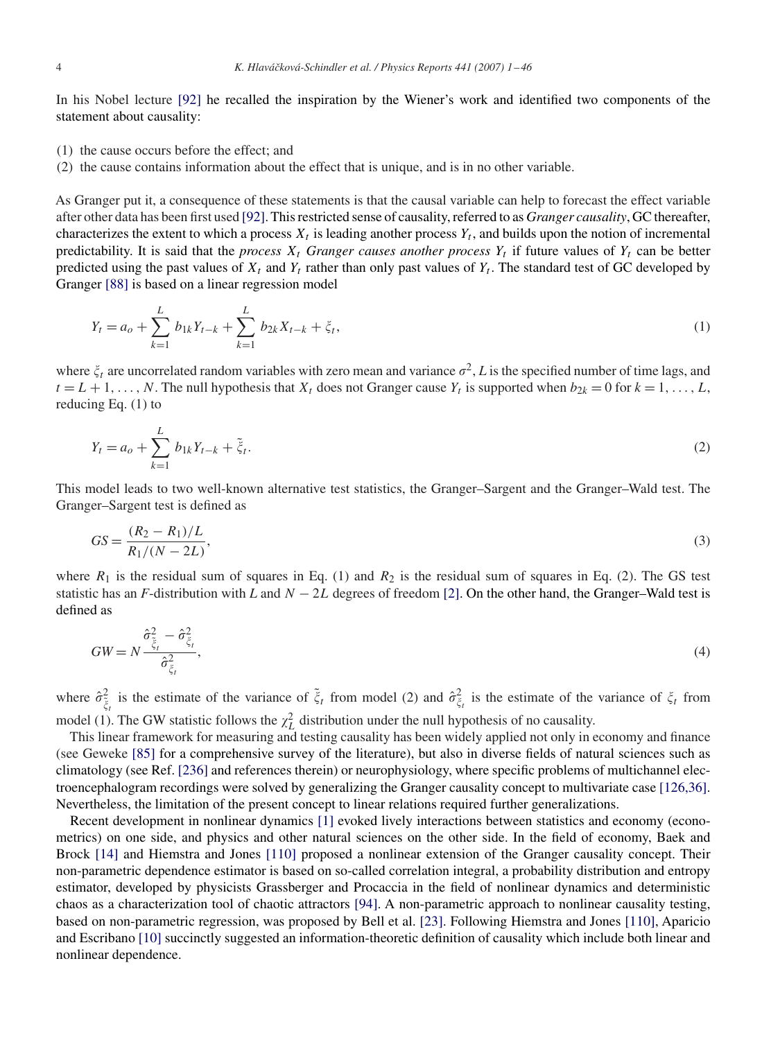In his Nobel lecture [\[92\]](#page-42-0) he recalled the inspiration by the Wiener's work and identified two components of the statement about causality:

- (1) the cause occurs before the effect; and
- (2) the cause contains information about the effect that is unique, and is in no other variable.

As Granger put it, a consequence of these statements is that the causal variable can help to forecast the effect variable after other data has been first used [\[92\].](#page-42-0) This restricted sense of causality, referred to as *Granger causality*, GC thereafter, characterizes the extent to which a process  $X_t$  is leading another process  $Y_t$ , and builds upon the notion of incremental predictability. It is said that the *process*  $X_t$  *Granger causes another process*  $Y_t$  if future values of  $Y_t$  can be better predicted using the past values of  $X_t$  and  $Y_t$  rather than only past values of  $Y_t$ . The standard test of GC developed by Granger [\[88\]](#page-42-0) is based on a linear regression model

$$
Y_t = a_o + \sum_{k=1}^{L} b_{1k} Y_{t-k} + \sum_{k=1}^{L} b_{2k} X_{t-k} + \xi_t,
$$
\n(1)

where  $\xi_t$  are uncorrelated random variables with zero mean and variance  $\sigma^2$ , L is the specified number of time lags, and  $t = L + 1, \ldots, N$ . The null hypothesis that  $X_t$  does not Granger cause  $Y_t$  is supported when  $b_{2k} = 0$  for  $k = 1, \ldots, L$ , reducing Eq. (1) to

$$
Y_t = a_o + \sum_{k=1}^{L} b_{1k} Y_{t-k} + \tilde{\xi}_t.
$$
 (2)

This model leads to two well-known alternative test statistics, the Granger–Sargent and the Granger–Wald test. The Granger–Sargent test is defined as

$$
GS = \frac{(R_2 - R_1)/L}{R_1/(N - 2L)},
$$
\n(3)

where  $R_1$  is the residual sum of squares in Eq. (1) and  $R_2$  is the residual sum of squares in Eq. (2). The GS test statistic has an *F*-distribution with *L* and  $N - 2L$  degrees of freedom [\[2\].](#page-41-0) On the other hand, the Granger–Wald test is defined as

$$
GW = N \frac{\hat{\sigma}_{\xi_i}^2 - \hat{\sigma}_{\xi_i}^2}{\hat{\sigma}_{\xi_i}^2},\tag{4}
$$

where  $\hat{\sigma}^2_{\xi_t}$  is the estimate of the variance of  $\xi_t$  from model (2) and  $\hat{\sigma}^2_{\xi_t}$  is the estimate of the variance of  $\xi_t$  from model (1). The GW statistic follows the  $\chi^2_L$  distribution under the null hypothesis of no causality.

This linear framework for measuring and testing causality has been widely applied not only in economy and finance (see Geweke [\[85\]](#page-42-0) for a comprehensive survey of the literature), but also in diverse fields of natural sciences such as climatology (see Ref. [\[236\]](#page-45-0) and references therein) or neurophysiology, where specific problems of multichannel electroencephalogram recordings were solved by generalizing the Granger causality concept to multivariate case [126,36]. Nevertheless, the limitation of the present concept to linear relations required further generalizations.

Recent development in nonlinear dynamics [\[1\]](#page-41-0) evoked lively interactions between statistics and economy (econometrics) on one side, and physics and other natural sciences on the other side. In the field of economy, Baek and Brock [\[14\]](#page-41-0) and Hiemstra and Jones [\[110\]](#page-43-0) proposed a nonlinear extension of the Granger causality concept. Their non-parametric dependence estimator is based on so-called correlation integral, a probability distribution and entropy estimator, developed by physicists Grassberger and Procaccia in the field of nonlinear dynamics and deterministic chaos as a characterization tool of chaotic attractors [\[94\].](#page-42-0) A non-parametric approach to nonlinear causality testing, based on non-parametric regression, was proposed by Bell et al. [\[23\].](#page-41-0) Following Hiemstra and Jones [\[110\],](#page-43-0) Aparicio and Escribano [\[10\]](#page-41-0) succinctly suggested an information-theoretic definition of causality which include both linear and nonlinear dependence.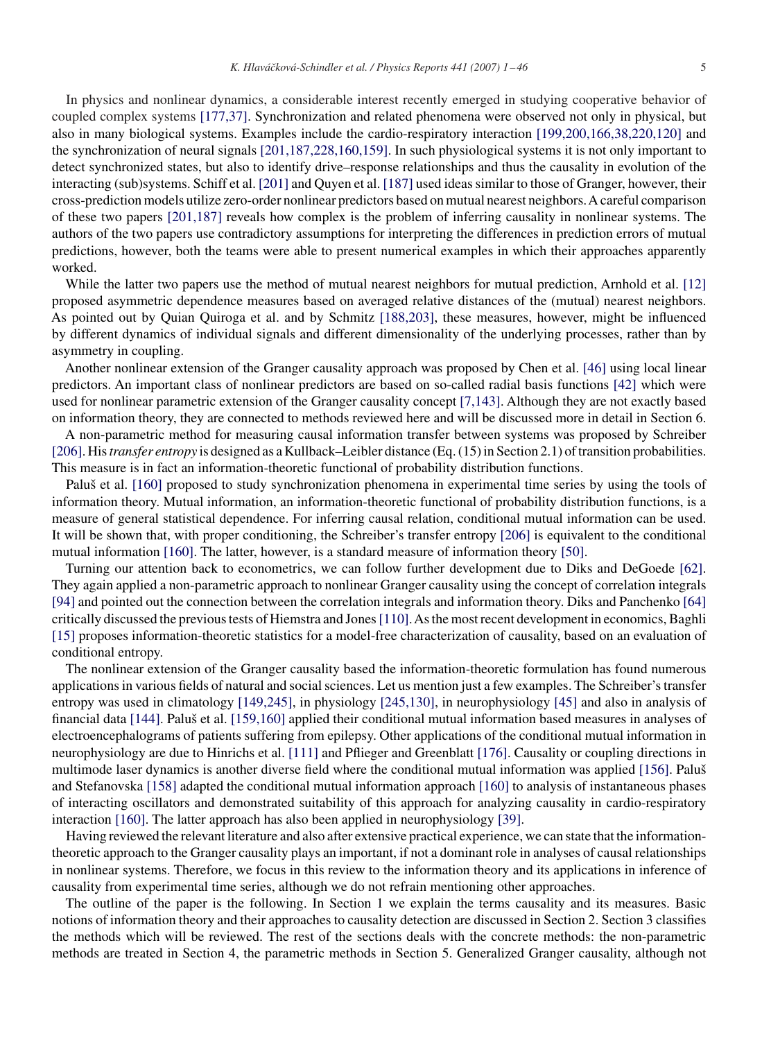In physics and nonlinear dynamics, a considerable interest recently emerged in studying cooperative behavior of coupled complex systems [177,37]. Synchronization and related phenomena were observed not only in physical, but also in many biological systems. Examples include the cardio-respiratory interaction [199,200,166,38,220,120] and the synchronization of neural signals [201,187,228,160,159]. In such physiological systems it is not only important to detect synchronized states, but also to identify drive–response relationships and thus the causality in evolution of the interacting (sub)systems. Schiff et al. [\[201\]](#page-44-0) and Quyen et al. [\[187\]](#page-44-0) used ideas similar to those of Granger, however, their cross-prediction models utilize zero-order nonlinear predictors based on mutual nearest neighbors.A careful comparison of these two papers [201,187] reveals how complex is the problem of inferring causality in nonlinear systems. The authors of the two papers use contradictory assumptions for interpreting the differences in prediction errors of mutual predictions, however, both the teams were able to present numerical examples in which their approaches apparently worked.

While the latter two papers use the method of mutual nearest neighbors for mutual prediction, Arnhold et al. [\[12\]](#page-41-0) proposed asymmetric dependence measures based on averaged relative distances of the (mutual) nearest neighbors. As pointed out by Quian Quiroga et al. and by Schmitz [188,203], these measures, however, might be influenced by different dynamics of individual signals and different dimensionality of the underlying processes, rather than by asymmetry in coupling.

Another nonlinear extension of the Granger causality approach was proposed by Chen et al. [\[46\]](#page-41-0) using local linear predictors. An important class of nonlinear predictors are based on so-called radial basis functions [\[42\]](#page-41-0) which were used for nonlinear parametric extension of the Granger causality concept [7,143]. Although they are not exactly based on information theory, they are connected to methods reviewed here and will be discussed more in detail in Section 6.

A non-parametric method for measuring causal information transfer between systems was proposed by Schreiber [\[206\].](#page-45-0) His*transfer entropy* is designed as a Kullback–Leibler distance (Eq. (15) in Section 2.1) of transition probabilities. This measure is in fact an information-theoretic functional of probability distribution functions.

Paluš et al. [\[160\]](#page-44-0) proposed to study synchronization phenomena in experimental time series by using the tools of information theory. Mutual information, an information-theoretic functional of probability distribution functions, is a measure of general statistical dependence. For inferring causal relation, conditional mutual information can be used. It will be shown that, with proper conditioning, the Schreiber's transfer entropy [\[206\]](#page-45-0) is equivalent to the conditional mutual information [\[160\].](#page-44-0) The latter, however, is a standard measure of information theory [\[50\].](#page-41-0)

Turning our attention back to econometrics, we can follow further development due to Diks and DeGoede [\[62\].](#page-42-0) They again applied a non-parametric approach to nonlinear Granger causality using the concept of correlation integrals [\[94\]](#page-42-0) and pointed out the connection between the correlation integrals and information theory. Diks and Panchenko [\[64\]](#page-42-0) critically discussed the previous tests of Hiemstra and Jones[\[110\].](#page-43-0)As the most recent development in economics, Baghli [\[15\]](#page-41-0) proposes information-theoretic statistics for a model-free characterization of causality, based on an evaluation of conditional entropy.

The nonlinear extension of the Granger causality based the information-theoretic formulation has found numerous applications in various fields of natural and social sciences. Let us mention just a few examples. The Schreiber's transfer entropy was used in climatology [149,245], in physiology [245,130], in neurophysiology [\[45\]](#page-41-0) and also in analysis of financial data [\[144\].](#page-43-0) Paluš et al. [159,160] applied their conditional mutual information based measures in analyses of electroencephalograms of patients suffering from epilepsy. Other applications of the conditional mutual information in neurophysiology are due to Hinrichs et al. [\[111\]](#page-43-0) and Pflieger and Greenblatt [\[176\].](#page-44-0) Causality or coupling directions in multimode laser dynamics is another diverse field where the conditional mutual information was applied [\[156\].](#page-43-0) Paluš and Stefanovska [\[158\]](#page-44-0) adapted the conditional mutual information approach [\[160\]](#page-44-0) to analysis of instantaneous phases of interacting oscillators and demonstrated suitability of this approach for analyzing causality in cardio-respiratory interaction [\[160\].](#page-44-0) The latter approach has also been applied in neurophysiology [\[39\].](#page-41-0)

Having reviewed the relevant literature and also after extensive practical experience, we can state that the informationtheoretic approach to the Granger causality plays an important, if not a dominant role in analyses of causal relationships in nonlinear systems. Therefore, we focus in this review to the information theory and its applications in inference of causality from experimental time series, although we do not refrain mentioning other approaches.

The outline of the paper is the following. In Section 1 we explain the terms causality and its measures. Basic notions of information theory and their approaches to causality detection are discussed in Section 2. Section 3 classifies the methods which will be reviewed. The rest of the sections deals with the concrete methods: the non-parametric methods are treated in Section 4, the parametric methods in Section 5. Generalized Granger causality, although not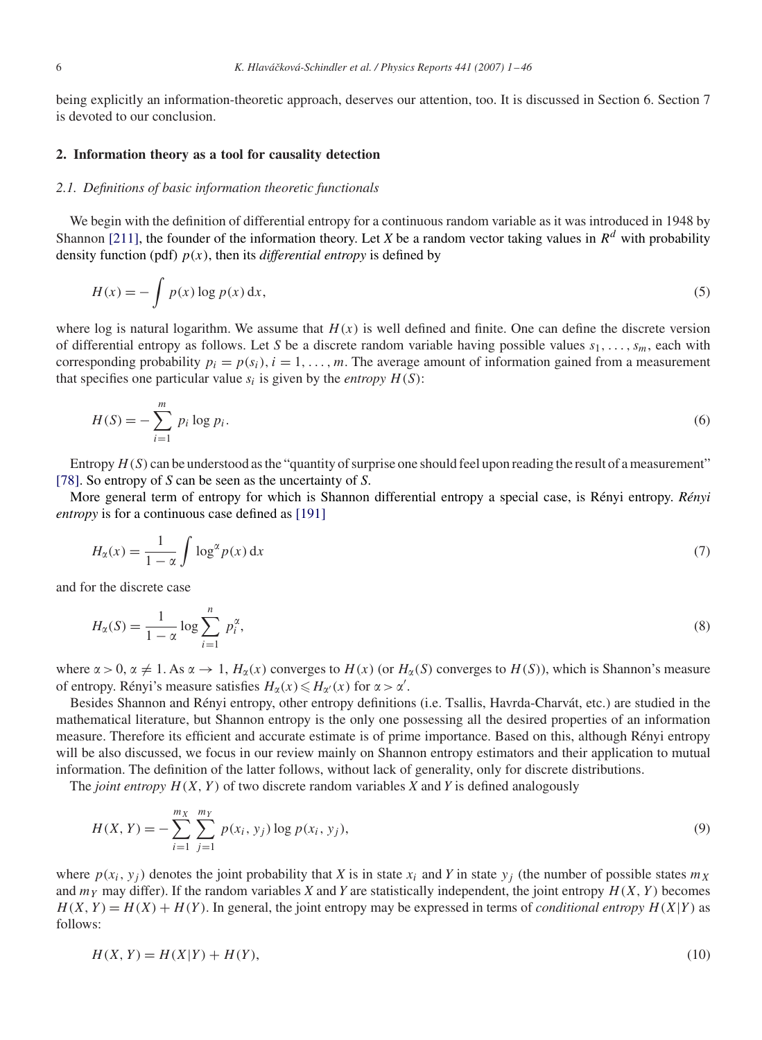<span id="page-5-0"></span>being explicitly an information-theoretic approach, deserves our attention, too. It is discussed in Section 6. Section 7 is devoted to our conclusion.

# **2. Information theory as a tool for causality detection**

# *2.1. Definitions of basic information theoretic functionals*

We begin with the definition of differential entropy for a continuous random variable as it was introduced in 1948 by Shannon [\[211\],](#page-45-0) the founder of the information theory. Let *X* be a random vector taking values in  $R^d$  with probability density function (pdf)  $p(x)$ , then its *differential entropy* is defined by

$$
H(x) = -\int p(x) \log p(x) dx,
$$
\n(5)

where log is natural logarithm. We assume that  $H(x)$  is well defined and finite. One can define the discrete version of differential entropy as follows. Let *S* be a discrete random variable having possible values *s*1*,...,sm*, each with corresponding probability  $p_i = p(s_i)$ ,  $i = 1, \ldots, m$ . The average amount of information gained from a measurement that specifies one particular value  $s_i$  is given by the *entropy*  $H(S)$ :

$$
H(S) = -\sum_{i=1}^{m} p_i \log p_i.
$$
\n
$$
(6)
$$

Entropy  $H(S)$  can be understood as the "quantity of surprise one should feel upon reading the result of a measurement" [\[78\].](#page-42-0) So entropy of *S* can be seen as the uncertainty of *S*.

More general term of entropy for which is Shannon differential entropy a special case, is Rényi entropy. *Rényi entropy* is for a continuous case defined as [\[191\]](#page-44-0)

$$
H_{\alpha}(x) = \frac{1}{1 - \alpha} \int \log^{\alpha} p(x) dx
$$
 (7)

and for the discrete case

$$
H_{\alpha}(S) = \frac{1}{1 - \alpha} \log \sum_{i=1}^{n} p_i^{\alpha},\tag{8}
$$

where  $\alpha > 0$ ,  $\alpha \neq 1$ . As  $\alpha \rightarrow 1$ ,  $H_{\alpha}(x)$  converges to  $H(x)$  (or  $H_{\alpha}(S)$ ) converges to  $H(S)$ ), which is Shannon's measure of entropy. Rényi's measure satisfies  $H_{\alpha}(x) \le H_{\alpha'}(x)$  for  $\alpha > \alpha'$ .

Besides Shannon and Rényi entropy, other entropy definitions (i.e. Tsallis, Havrda-Charvát, etc.) are studied in the mathematical literature, but Shannon entropy is the only one possessing all the desired properties of an information measure. Therefore its efficient and accurate estimate is of prime importance. Based on this, although Rényi entropy will be also discussed, we focus in our review mainly on Shannon entropy estimators and their application to mutual information. The definition of the latter follows, without lack of generality, only for discrete distributions.

The *joint entropy*  $H(X, Y)$  of two discrete random variables X and Y is defined analogously

$$
H(X, Y) = -\sum_{i=1}^{m_X} \sum_{j=1}^{m_Y} p(x_i, y_j) \log p(x_i, y_j),
$$
\n(9)

where  $p(x_i, y_j)$  denotes the joint probability that *X* is in state  $x_i$  and *Y* in state  $y_j$  (the number of possible states  $m_X$ and  $m<sub>Y</sub>$  may differ). If the random variables *X* and *Y* are statistically independent, the joint entropy  $H(X, Y)$  becomes  $H(X, Y) = H(X) + H(Y)$ . In general, the joint entropy may be expressed in terms of *conditional entropy*  $H(X|Y)$  as follows:

$$
H(X, Y) = H(X|Y) + H(Y),
$$
\n(10)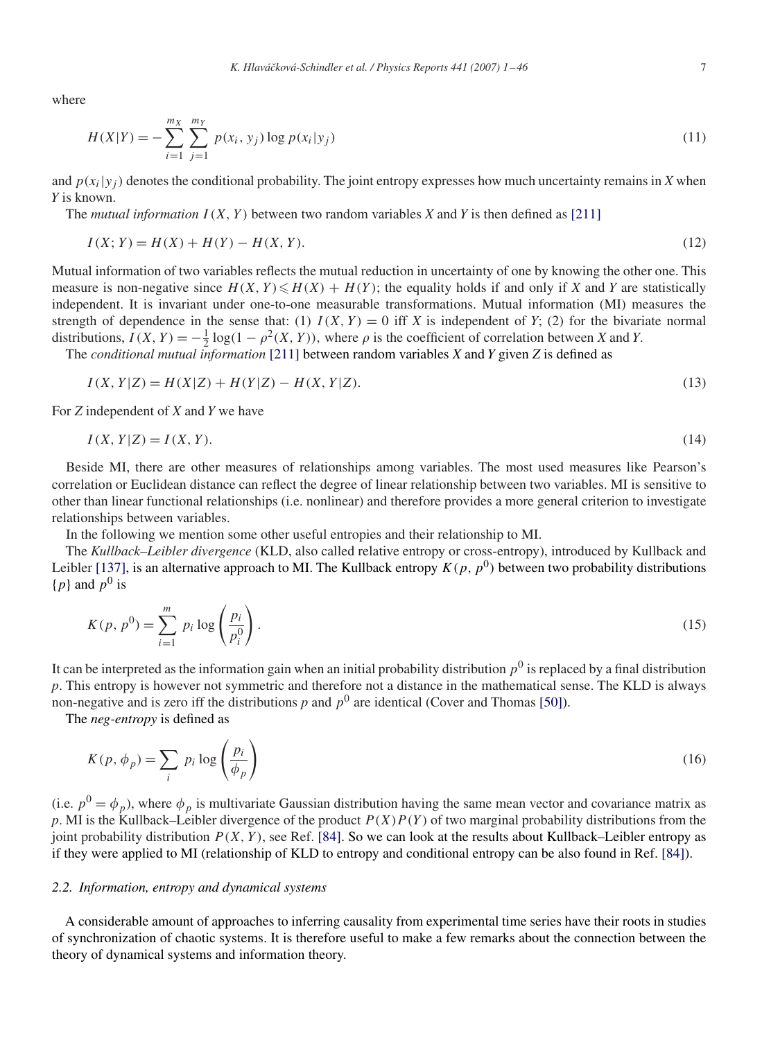<span id="page-6-0"></span>where

$$
H(X|Y) = -\sum_{i=1}^{m_X} \sum_{j=1}^{m_Y} p(x_i, y_j) \log p(x_i|y_j)
$$
\n(11)

and  $p(x_i|y_j)$  denotes the conditional probability. The joint entropy expresses how much uncertainty remains in *X* when *Y* is known.

The *mutual information*  $I(X, Y)$  between two random variables X and Y is then defined as [\[211\]](#page-45-0)

$$
I(X; Y) = H(X) + H(Y) - H(X, Y).
$$
\n(12)

Mutual information of two variables reflects the mutual reduction in uncertainty of one by knowing the other one. This measure is non-negative since  $H(X, Y) \le H(X) + H(Y)$ ; the equality holds if and only if *X* and *Y* are statistically independent. It is invariant under one-to-one measurable transformations. Mutual information (MI) measures the strength of dependence in the sense that: (1)  $I(X, Y) = 0$  iff *X* is independent of *Y*; (2) for the bivariate normal distributions,  $I(X, Y) = -\frac{1}{2} \log(1 - \rho^2(X, Y))$ , where  $\rho$  is the coefficient of correlation between *X* and *Y*.

The *conditional mutual information* [\[211\]](#page-45-0) between random variables *X* and *Y* given *Z* is defined as

$$
I(X, Y|Z) = H(X|Z) + H(Y|Z) - H(X, Y|Z).
$$
\n(13)

For *Z* independent of *X* and *Y* we have

$$
I(X, Y|Z) = I(X, Y). \tag{14}
$$

Beside MI, there are other measures of relationships among variables. The most used measures like Pearson's correlation or Euclidean distance can reflect the degree of linear relationship between two variables. MI is sensitive to other than linear functional relationships (i.e. nonlinear) and therefore provides a more general criterion to investigate relationships between variables.

In the following we mention some other useful entropies and their relationship to MI.

The *Kullback–Leibler divergence* (KLD, also called relative entropy or cross-entropy), introduced by Kullback and Leibler [\[137\],](#page-43-0) is an alternative approach to MI. The Kullback entropy  $K(p, p^0)$  between two probability distributions  ${p}$  and  $p^0$  is

$$
K(p, p^0) = \sum_{i=1}^{m} p_i \log \left(\frac{p_i}{p_i^0}\right). \tag{15}
$$

It can be interpreted as the information gain when an initial probability distribution  $p<sup>0</sup>$  is replaced by a final distribution *p*. This entropy is however not symmetric and therefore not a distance in the mathematical sense. The KLD is always non-negative and is zero iff the distributions  $p$  and  $p^0$  are identical (Cover and Thomas [\[50\]\)](#page-41-0).

The *neg-entropy* is defined as

$$
K(p, \phi_p) = \sum_i p_i \log \left(\frac{p_i}{\phi_p}\right) \tag{16}
$$

(i.e.  $p^0 = \phi_p$ ), where  $\phi_p$  is multivariate Gaussian distribution having the same mean vector and covariance matrix as *p*. MI is the Kullback–Leibler divergence of the product *P (X)P (Y )* of two marginal probability distributions from the joint probability distribution  $P(X, Y)$ , see Ref. [\[84\].](#page-42-0) So we can look at the results about Kullback–Leibler entropy as if they were applied to MI (relationship of KLD to entropy and conditional entropy can be also found in Ref. [\[84\]\)](#page-42-0).

# *2.2. Information, entropy and dynamical systems*

A considerable amount of approaches to inferring causality from experimental time series have their roots in studies of synchronization of chaotic systems. It is therefore useful to make a few remarks about the connection between the theory of dynamical systems and information theory.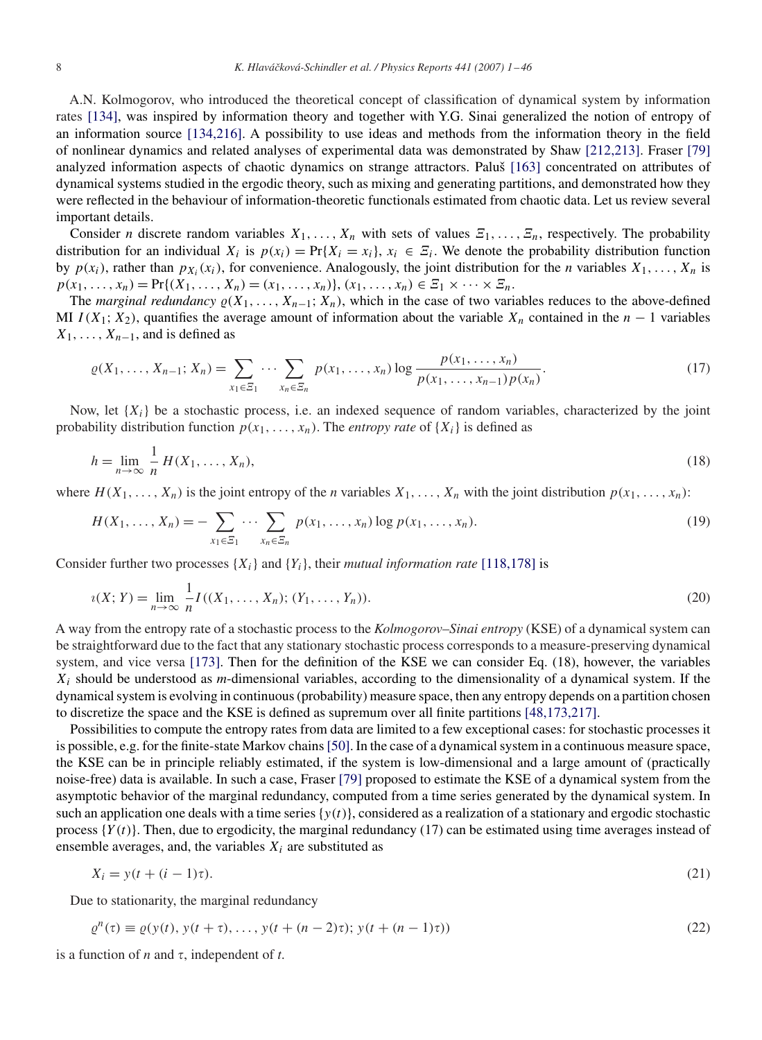A.N. Kolmogorov, who introduced the theoretical concept of classification of dynamical system by information rates [\[134\],](#page-43-0) was inspired by information theory and together with Y.G. Sinai generalized the notion of entropy of an information source [134,216]. A possibility to use ideas and methods from the information theory in the field of nonlinear dynamics and related analyses of experimental data was demonstrated by Shaw [212,213]. Fraser [\[79\]](#page-42-0) analyzed information aspects of chaotic dynamics on strange attractors. Paluš [\[163\]](#page-44-0) concentrated on attributes of dynamical systems studied in the ergodic theory, such as mixing and generating partitions, and demonstrated how they were reflected in the behaviour of information-theoretic functionals estimated from chaotic data. Let us review several important details.

Consider *n* discrete random variables  $X_1, \ldots, X_n$  with sets of values  $E_1, \ldots, E_n$ , respectively. The probability distribution for an individual  $X_i$  is  $p(x_i) = Pr{X_i = x_i}$ ,  $x_i \in \mathcal{Z}_i$ . We denote the probability distribution function by  $p(x_i)$ , rather than  $p_{X_i}(x_i)$ , for convenience. Analogously, the joint distribution for the *n* variables  $X_1, \ldots, X_n$  is  $p(x_1, ..., x_n) = Pr\{(X_1, ..., X_n) = (x_1, ..., x_n)\}, (x_1, ..., x_n) \in \mathbb{Z}_1 \times \cdots \times \mathbb{Z}_n.$ 

The *marginal redundancy*  $\varrho(X_1, \ldots, X_{n-1}; X_n)$ , which in the case of two variables reduces to the above-defined MI  $I(X_1; X_2)$ , quantifies the average amount of information about the variable  $X_n$  contained in the  $n-1$  variables  $X_1, \ldots, X_{n-1}$ , and is defined as

$$
\varrho(X_1, \ldots, X_{n-1}; X_n) = \sum_{x_1 \in \Xi_1} \cdots \sum_{x_n \in \Xi_n} p(x_1, \ldots, x_n) \log \frac{p(x_1, \ldots, x_n)}{p(x_1, \ldots, x_{n-1}) p(x_n)}.
$$
\n(17)

Now, let  $\{X_i\}$  be a stochastic process, i.e. an indexed sequence of random variables, characterized by the joint probability distribution function  $p(x_1, \ldots, x_n)$ . The *entropy rate* of  $\{X_i\}$  is defined as

$$
h = \lim_{n \to \infty} \frac{1}{n} H(X_1, \dots, X_n),\tag{18}
$$

where  $H(X_1, \ldots, X_n)$  is the joint entropy of the *n* variables  $X_1, \ldots, X_n$  with the joint distribution  $p(x_1, \ldots, x_n)$ :

$$
H(X_1, ..., X_n) = -\sum_{x_1 \in \Xi_1} \cdots \sum_{x_n \in \Xi_n} p(x_1, ..., x_n) \log p(x_1, ..., x_n).
$$
 (19)

Consider further two processes  $\{X_i\}$  and  $\{Y_i\}$ , their *mutual information rate* [118,178] is

$$
u(X; Y) = \lim_{n \to \infty} \frac{1}{n} I((X_1, \dots, X_n); (Y_1, \dots, Y_n)).
$$
\n(20)

A way from the entropy rate of a stochastic process to the *Kolmogorov–Sinai entropy* (KSE) of a dynamical system can be straightforward due to the fact that any stationary stochastic process corresponds to a measure-preserving dynamical system, and vice versa [\[173\].](#page-44-0) Then for the definition of the KSE we can consider Eq. (18), however, the variables *Xi* should be understood as *m*-dimensional variables, according to the dimensionality of a dynamical system. If the dynamical system is evolving in continuous (probability) measure space, then any entropy depends on a partition chosen to discretize the space and the KSE is defined as supremum over all finite partitions [48,173,217].

Possibilities to compute the entropy rates from data are limited to a few exceptional cases: for stochastic processes it is possible, e.g. for the finite-state Markov chains[\[50\].](#page-41-0) In the case of a dynamical system in a continuous measure space, the KSE can be in principle reliably estimated, if the system is low-dimensional and a large amount of (practically noise-free) data is available. In such a case, Fraser [\[79\]](#page-42-0) proposed to estimate the KSE of a dynamical system from the asymptotic behavior of the marginal redundancy, computed from a time series generated by the dynamical system. In such an application one deals with a time series  $\{y(t)\}$ , considered as a realization of a stationary and ergodic stochastic process  $\{Y(t)\}\$ . Then, due to ergodicity, the marginal redundancy (17) can be estimated using time averages instead of ensemble averages, and, the variables  $X_i$  are substituted as

$$
X_i = y(t + (i - 1)\tau). \tag{21}
$$

Due to stationarity, the marginal redundancy

$$
\varrho^{n}(\tau) \equiv \varrho(y(t), y(t+\tau), \dots, y(t+(n-2)\tau); y(t+(n-1)\tau))
$$
\n(22)

is a function of  $n$  and  $\tau$ , independent of  $t$ .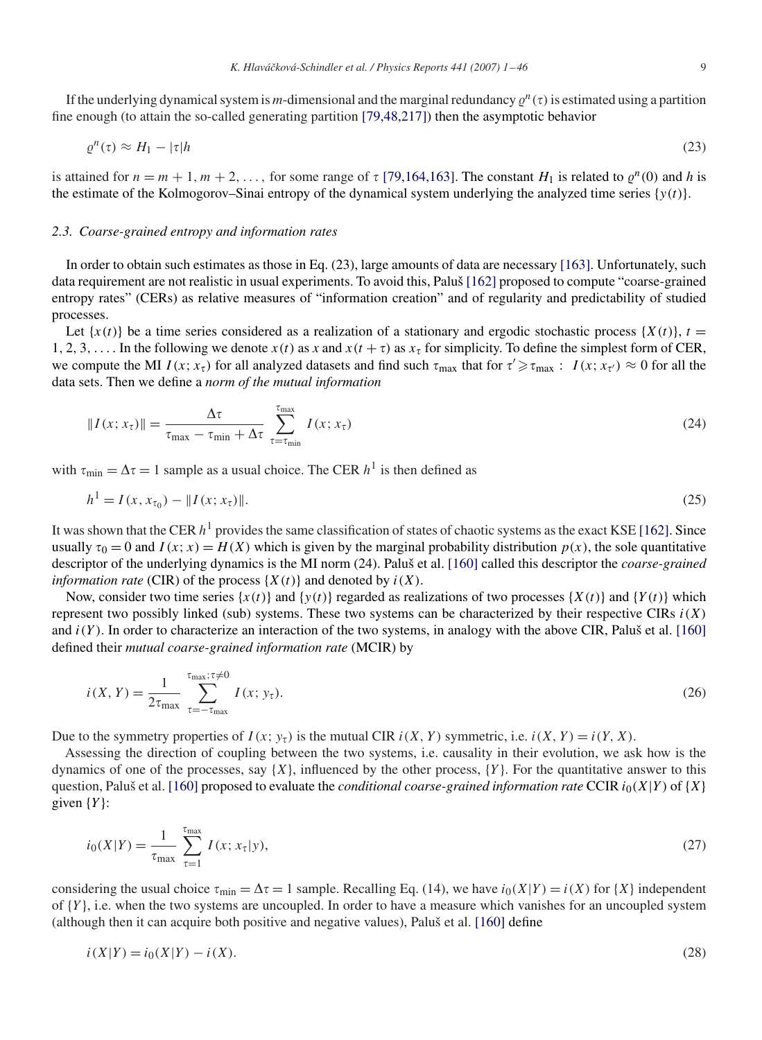<span id="page-8-0"></span>If the underlying dynamical system is *m*-dimensional and the marginal redundancy  $\varrho^n(\tau)$  is estimated using a partition fine enough (to attain the so-called generating partition [79,48,217]) then the asymptotic behavior

$$
\varrho^n(\tau) \approx H_1 - |\tau| h \tag{23}
$$

is attained for  $n = m + 1, m + 2, \ldots$ , for some range of  $\tau$  [79,164,163]. The constant  $H_1$  is related to  $\varrho^n(0)$  and h is the estimate of the Kolmogorov–Sinai entropy of the dynamical system underlying the analyzed time series  $\{y(t)\}\$ .

#### *2.3. Coarse-grained entropy and information rates*

In order to obtain such estimates as those in Eq. (23), large amounts of data are necessary [\[163\].](#page-44-0) Unfortunately, such data requirement are not realistic in usual experiments. To avoid this, Paluš [\[162\]](#page-44-0) proposed to compute "coarse-grained entropy rates" (CERs) as relative measures of "information creation" and of regularity and predictability of studied processes.

Let  $\{x(t)\}\$ be a time series considered as a realization of a stationary and ergodic stochastic process  $\{X(t)\}\$ ,  $t =$ 1, 2, 3, .... In the following we denote  $x(t)$  as x and  $x(t + \tau)$  as  $x_{\tau}$  for simplicity. To define the simplest form of CER, we compute the MI  $I(x; x_\tau)$  for all analyzed datasets and find such  $\tau_{\text{max}}$  that for  $\tau' \geq \tau_{\text{max}}$ :  $I(x; x_{\tau'}) \approx 0$  for all the data sets. Then we define a *norm of the mutual information*

$$
||I(x; x_{\tau})|| = \frac{\Delta \tau}{\tau_{\max} - \tau_{\min} + \Delta \tau} \sum_{\tau = \tau_{\min}}^{\tau_{\max}} I(x; x_{\tau})
$$
\n(24)

with  $\tau_{\min} = \Delta \tau = 1$  sample as a usual choice. The CER  $h^1$  is then defined as

$$
h^1 = I(x, x_{\tau_0}) - ||I(x; x_{\tau})||. \tag{25}
$$

It was shown that the CER  $h^1$  provides the same classification of states of chaotic systems as the exact KSE [\[162\].](#page-44-0) Since usually  $\tau_0 = 0$  and  $I(x; x) = H(X)$  which is given by the marginal probability distribution  $p(x)$ , the sole quantitative descriptor of the underlying dynamics is the MI norm (24). Paluš et al. [\[160\]](#page-44-0) called this descriptor the *coarse-grained information rate* (CIR) of the process  $\{X(t)\}\$ and denoted by  $i(X)$ .

Now, consider two time series  $\{x(t)\}$  and  $\{y(t)\}$  regarded as realizations of two processes  $\{X(t)\}$  and  $\{Y(t)\}$  which represent two possibly linked (sub) systems. These two systems can be characterized by their respective CIRs  $i(X)$ and  $i(Y)$ . In order to characterize an interaction of the two systems, in analogy with the above CIR, Paluš et al. [\[160\]](#page-44-0) defined their *mutual coarse-grained information rate* (MCIR) by

$$
i(X, Y) = \frac{1}{2\tau_{\text{max}}} \sum_{\tau = -\tau_{\text{max}}}^{\tau_{\text{max}}; \tau \neq 0} I(x; y_{\tau}).
$$
\n(26)

Due to the symmetry properties of  $I(x; y_\tau)$  is the mutual CIR  $i(X, Y)$  symmetric, i.e.  $i(X, Y) = i(Y, X)$ .

Assessing the direction of coupling between the two systems, i.e. causality in their evolution, we ask how is the dynamics of one of the processes, say  $\{X\}$ , influenced by the other process,  $\{Y\}$ . For the quantitative answer to this question, Paluš et al. [\[160\]](#page-44-0) proposed to evaluate the *conditional coarse-grained information rate* CCIR *i*0*(X*|*Y )* of {*X*} given  ${Y}$ :

$$
i_0(X|Y) = \frac{1}{\tau_{\text{max}}} \sum_{\tau=1}^{\tau_{\text{max}}} I(x; x_{\tau}|y),
$$
\n(27)

considering the usual choice  $\tau_{\min} = \Delta \tau = 1$  sample. Recalling Eq. (14), we have  $i_0(X|Y) = i(X)$  for  $\{X\}$  independent of {*Y* }, i.e. when the two systems are uncoupled. In order to have a measure which vanishes for an uncoupled system (although then it can acquire both positive and negative values), Paluš et al. [\[160\]](#page-44-0) define

$$
i(X|Y) = i_0(X|Y) - i(X).
$$
\n(28)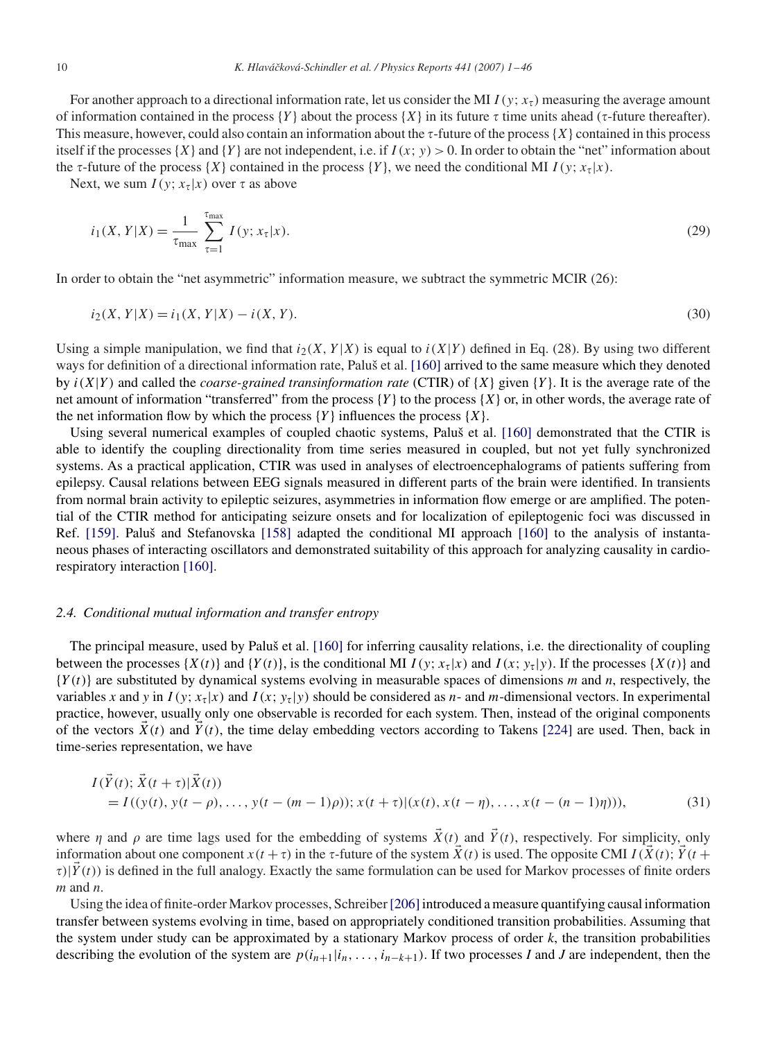<span id="page-9-0"></span>For another approach to a directional information rate, let us consider the MI  $I(y; x<sub>\tau</sub>)$  measuring the average amount of information contained in the process  $\{Y\}$  about the process  $\{X\}$  in its future  $\tau$  time units ahead ( $\tau$ -future thereafter). This measure, however, could also contain an information about the  $\tau$ -future of the process  $\{X\}$  contained in this process itself if the processes  $\{X\}$  and  $\{Y\}$  are not independent, i.e. if  $I(x; y) > 0$ . In order to obtain the "net" information about the  $\tau$ -future of the process  $\{X\}$  contained in the process  $\{Y\}$ , we need the conditional MI  $I(y; x_{\tau}|x)$ .

Next, we sum  $I(y; x<sub>\tau</sub>|x)$  over  $\tau$  as above

$$
i_1(X, Y|X) = \frac{1}{\tau_{\text{max}}} \sum_{\tau=1}^{\tau_{\text{max}}} I(y; x_{\tau}|x).
$$
 (29)

In order to obtain the "net asymmetric" information measure, we subtract the symmetric MCIR (26):

$$
i_2(X, Y|X) = i_1(X, Y|X) - i(X, Y).
$$
\n(30)

Using a simple manipulation, we find that  $i_2(X, Y|X)$  is equal to  $i(X|Y)$  defined in Eq. (28). By using two different ways for definition of a directional information rate, Paluš et al. [\[160\]](#page-44-0) arrived to the same measure which they denoted by *i(X*|*Y )* and called the *coarse-grained transinformation rate* (CTIR) of {*X*} given {*Y* }. It is the average rate of the net amount of information "transferred" from the process {*Y* } to the process {*X*} or, in other words, the average rate of the net information flow by which the process  $\{Y\}$  influences the process  $\{X\}$ .

Using several numerical examples of coupled chaotic systems, Paluš et al. [\[160\]](#page-44-0) demonstrated that the CTIR is able to identify the coupling directionality from time series measured in coupled, but not yet fully synchronized systems. As a practical application, CTIR was used in analyses of electroencephalograms of patients suffering from epilepsy. Causal relations between EEG signals measured in different parts of the brain were identified. In transients from normal brain activity to epileptic seizures, asymmetries in information flow emerge or are amplified. The potential of the CTIR method for anticipating seizure onsets and for localization of epileptogenic foci was discussed in Ref. [\[159\].](#page-44-0) Paluš and Stefanovska [\[158\]](#page-44-0) adapted the conditional MI approach [\[160\]](#page-44-0) to the analysis of instantaneous phases of interacting oscillators and demonstrated suitability of this approach for analyzing causality in cardiorespiratory interaction [\[160\].](#page-44-0)

# *2.4. Conditional mutual information and transfer entropy*

The principal measure, used by Paluš et al. [\[160\]](#page-44-0) for inferring causality relations, i.e. the directionality of coupling between the processes  $\{X(t)\}\$  and  $\{Y(t)\}\$ , is the conditional MI  $I(y; x_{\tau}|x)$  and  $I(x; y_{\tau}|y)$ . If the processes  $\{X(t)\}\$  and {*Y (t)*} are substituted by dynamical systems evolving in measurable spaces of dimensions *m* and *n*, respectively, the variables *x* and *y* in  $I(y; x_{\tau}|x)$  and  $I(x; y_{\tau}|y)$  should be considered as *n*- and *m*-dimensional vectors. In experimental practice, however, usually only one observable is recorded for each system. Then, instead of the original components of the vectors  $\vec{X}(t)$  and  $\vec{Y}(t)$ , the time delay embedding vectors according to Takens [\[224\]](#page-45-0) are used. Then, back in time-series representation, we have

$$
I(\vec{Y}(t); \vec{X}(t+\tau)|\vec{X}(t)) = I((y(t), y(t-\rho), \dots, y(t-(m-1)\rho)); x(t+\tau)|(x(t), x(t-\eta), \dots, x(t-(n-1)\eta))),
$$
\n(31)

where  $\eta$  and  $\rho$  are time lags used for the embedding of systems  $\vec{X}(t)$  and  $\vec{Y}(t)$ , respectively. For simplicity, only information about one component  $x(t + \tau)$  in the  $\tau$ -future of the system  $\vec{X}(t)$  is used. The opposite CMI  $I(\vec{X}(t))$ ;  $\vec{Y}(t + \tau)$  $\langle \tau | \vec{Y}(t) \rangle$  is defined in the full analogy. Exactly the same formulation can be used for Markov processes of finite orders *m* and *n*.

Using the idea of finite-order Markov processes, Schreiber [\[206\]](#page-45-0) introduced a measure quantifying causal information transfer between systems evolving in time, based on appropriately conditioned transition probabilities. Assuming that the system under study can be approximated by a stationary Markov process of order *k*, the transition probabilities describing the evolution of the system are  $p(i_{n+1}|i_n,\ldots,i_{n-k+1})$ . If two processes *I* and *J* are independent, then the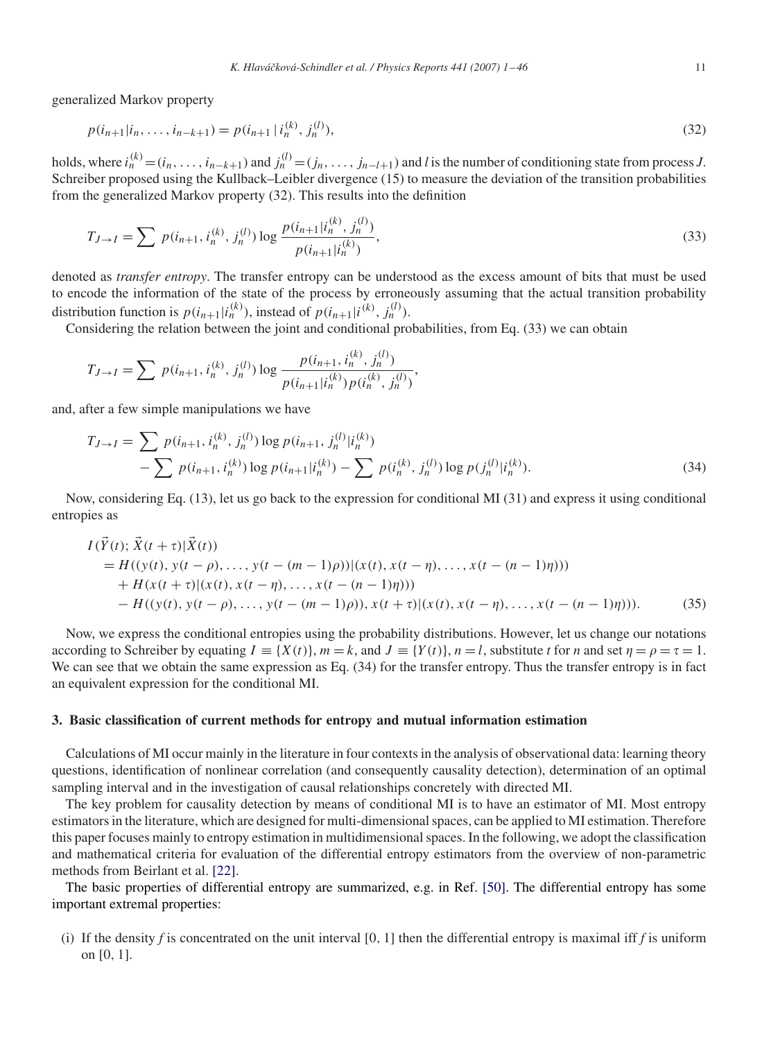<span id="page-10-0"></span>generalized Markov property

$$
p(i_{n+1}|i_n, \dots, i_{n-k+1}) = p(i_{n+1}|i_n^{(k)}, j_n^{(l)}),
$$
\n(32)

holds, where  $i_n^{(k)} = (i_n, \ldots, i_{n-k+1})$  and  $j_n^{(l)} = (j_n, \ldots, j_{n-l+1})$  and *l* is the number of conditioning state from process *J*. Schreiber proposed using the Kullback–Leibler divergence (15) to measure the deviation of the transition probabilities from the generalized Markov property (32). This results into the definition

$$
T_{J \to I} = \sum p(i_{n+1}, i_n^{(k)}, j_n^{(l)}) \log \frac{p(i_{n+1} | i_n^{(k)}, j_n^{(l)})}{p(i_{n+1} | i_n^{(k)})},\tag{33}
$$

denoted as *transfer entropy*. The transfer entropy can be understood as the excess amount of bits that must be used to encode the information of the state of the process by erroneously assuming that the actual transition probability distribution function is  $p(i_{n+1}|i_n^{(k)})$ , instead of  $p(i_{n+1}|i^{(k)}, j_n^{(l)})$ .

Considering the relation between the joint and conditional probabilities, from Eq. (33) we can obtain

$$
T_{J \to I} = \sum p(i_{n+1}, i_n^{(k)}, j_n^{(l)}) \log \frac{p(i_{n+1}, i_n^{(k)}, j_n^{(l)})}{p(i_{n+1} | i_n^{(k)}) p(i_n^{(k)}, j_n^{(l)})},
$$

and, after a few simple manipulations we have

$$
T_{J \to I} = \sum p(i_{n+1}, i_n^{(k)}, j_n^{(l)}) \log p(i_{n+1}, j_n^{(l)} | i_n^{(k)}) - \sum p(i_{n+1}, i_n^{(k)}) \log p(i_{n+1} | i_n^{(k)}) - \sum p(i_n^{(k)}, j_n^{(l)}) \log p(j_n^{(l)} | i_n^{(k)}).
$$
\n(34)

Now, considering Eq. (13), let us go back to the expression for conditional MI (31) and express it using conditional entropies as

$$
I(\vec{Y}(t); \vec{X}(t+\tau)|\vec{X}(t))
$$
  
=  $H((y(t), y(t-\rho),..., y(t-(m-1)\rho))|(x(t), x(t-\eta),..., x(t-(n-1)\eta)))$   
+  $H(x(t+\tau)|(x(t), x(t-\eta),..., x(t-(n-1)\eta)))$   
-  $H((y(t), y(t-\rho),..., y(t-(m-1)\rho)), x(t+\tau)|(x(t), x(t-\eta),..., x(t-(n-1)\eta))).$  (35)

Now, we express the conditional entropies using the probability distributions. However, let us change our notations according to Schreiber by equating  $I \equiv \{X(t)\}, m = k$ , and  $J \equiv \{Y(t)\}, n = l$ , substitute *t* for *n* and set  $\eta = \rho = \tau = 1$ . We can see that we obtain the same expression as Eq.  $(34)$  for the transfer entropy. Thus the transfer entropy is in fact an equivalent expression for the conditional MI.

#### **3. Basic classification of current methods for entropy and mutual information estimation**

Calculations of MI occur mainly in the literature in four contexts in the analysis of observational data: learning theory questions, identification of nonlinear correlation (and consequently causality detection), determination of an optimal sampling interval and in the investigation of causal relationships concretely with directed MI.

The key problem for causality detection by means of conditional MI is to have an estimator of MI. Most entropy estimators in the literature, which are designed for multi-dimensional spaces, can be applied to MI estimation. Therefore this paper focuses mainly to entropy estimation in multidimensional spaces. In the following, we adopt the classification and mathematical criteria for evaluation of the differential entropy estimators from the overview of non-parametric methods from Beirlant et al. [\[22\].](#page-41-0)

The basic properties of differential entropy are summarized, e.g. in Ref. [\[50\].](#page-41-0) The differential entropy has some important extremal properties:

(i) If the density f is concentrated on the unit interval  $[0, 1]$  then the differential entropy is maximal iff f is uniform on [0*,* 1].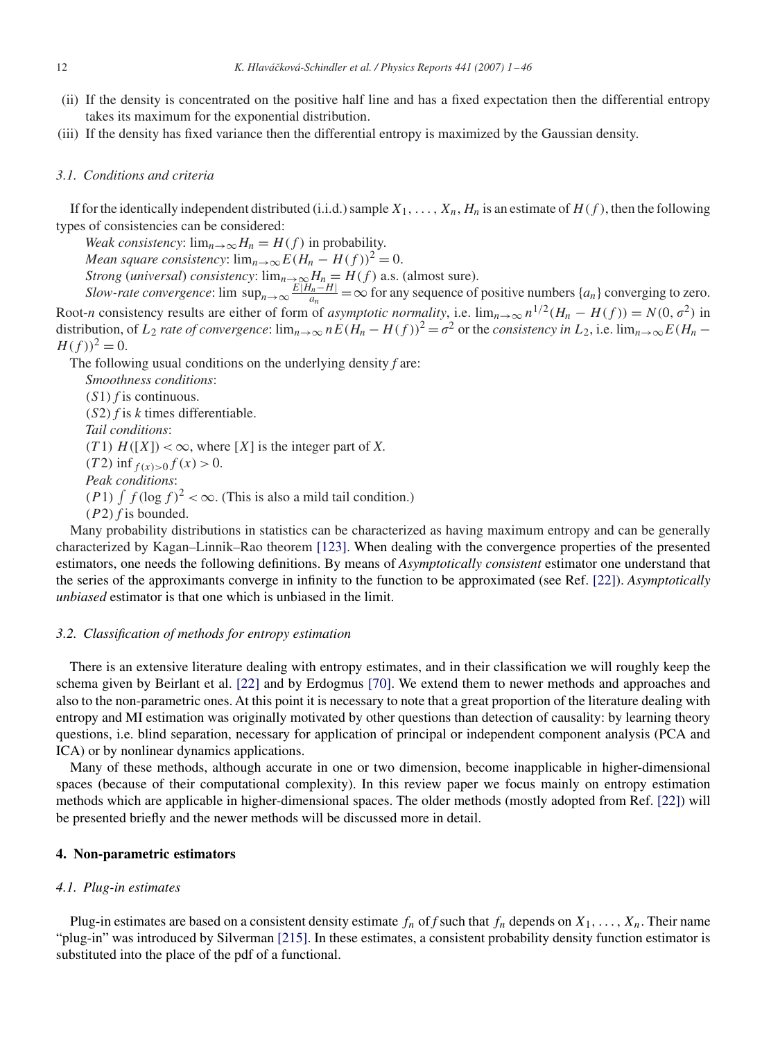- <span id="page-11-0"></span>(ii) If the density is concentrated on the positive half line and has a fixed expectation then the differential entropy takes its maximum for the exponential distribution.
- (iii) If the density has fixed variance then the differential entropy is maximized by the Gaussian density.

#### *3.1. Conditions and criteria*

If for the identically independent distributed (i.i.d.) sample  $X_1, \ldots, X_n, H_n$  is an estimate of  $H(f)$ , then the following types of consistencies can be considered:

*Weak consistency*:  $\lim_{n\to\infty} H_n = H(f)$  in probability. *Mean square consistency*:  $\lim_{n\to\infty} E(H_n - H(f))^2 = 0$ .

*Strong* (*universal*) *consistency*:  $\lim_{n\to\infty} H_n = H(f)$  a.s. (almost sure).

*Slow-rate convergence*: lim  $\sup_{n\to\infty} \frac{E[H_n-H]}{a_n} = \infty$  for any sequence of positive numbers {*a<sub>n</sub>*} converging to zero. Root-*n* consistency results are either of form of *asymptotic normality*, i.e.  $\lim_{n\to\infty} n^{1/2}(H_n - H(f)) = N(0, \sigma^2)$  in distribution, of *L*<sub>2</sub> *rate of convergence*:  $\lim_{n\to\infty} nE(H_n - H(f))^2 = \sigma^2$  or the *consistency* in *L*<sub>2</sub>, i.e.  $\lim_{n\to\infty} E(H_n - H(f))^2 = \sigma^2$  $H(f)$ <sup>2</sup> = 0*.* 

The following usual conditions on the underlying density *f* are:

*Smoothness conditions*: *(S*1*) f* is continuous.  $(S2)$  *f* is *k* times differentiable. *Tail conditions*:  $(T1) H([X]) < \infty$ , where [X] is the integer part of *X*. *(T2)* inf  $f(x) > 0$ *f (x) >* 0. *Peak conditions*: *(P*1*)*  $\int f(\log f)^2$  < ∞. (This is also a mild tail condition.) *(P*2*) f* is bounded.

Many probability distributions in statistics can be characterized as having maximum entropy and can be generally characterized by Kagan–Linnik–Rao theorem [\[123\].](#page-43-0) When dealing with the convergence properties of the presented estimators, one needs the following definitions. By means of *Asymptotically consistent* estimator one understand that the series of the approximants converge in infinity to the function to be approximated (see Ref. [\[22\]\)](#page-41-0). *Asymptotically unbiased* estimator is that one which is unbiased in the limit.

#### *3.2. Classification of methods for entropy estimation*

There is an extensive literature dealing with entropy estimates, and in their classification we will roughly keep the schema given by Beirlant et al. [\[22\]](#page-41-0) and by Erdogmus [\[70\].](#page-42-0) We extend them to newer methods and approaches and also to the non-parametric ones. At this point it is necessary to note that a great proportion of the literature dealing with entropy and MI estimation was originally motivated by other questions than detection of causality: by learning theory questions, i.e. blind separation, necessary for application of principal or independent component analysis (PCA and ICA) or by nonlinear dynamics applications.

Many of these methods, although accurate in one or two dimension, become inapplicable in higher-dimensional spaces (because of their computational complexity). In this review paper we focus mainly on entropy estimation methods which are applicable in higher-dimensional spaces. The older methods (mostly adopted from Ref. [\[22\]\)](#page-41-0) will be presented briefly and the newer methods will be discussed more in detail.

# **4. Non-parametric estimators**

# *4.1. Plug-in estimates*

Plug-in estimates are based on a consistent density estimate  $f_n$  of *f* such that  $f_n$  depends on  $X_1, \ldots, X_n$ . Their name "plug-in" was introduced by Silverman [\[215\].](#page-45-0) In these estimates, a consistent probability density function estimator is substituted into the place of the pdf of a functional.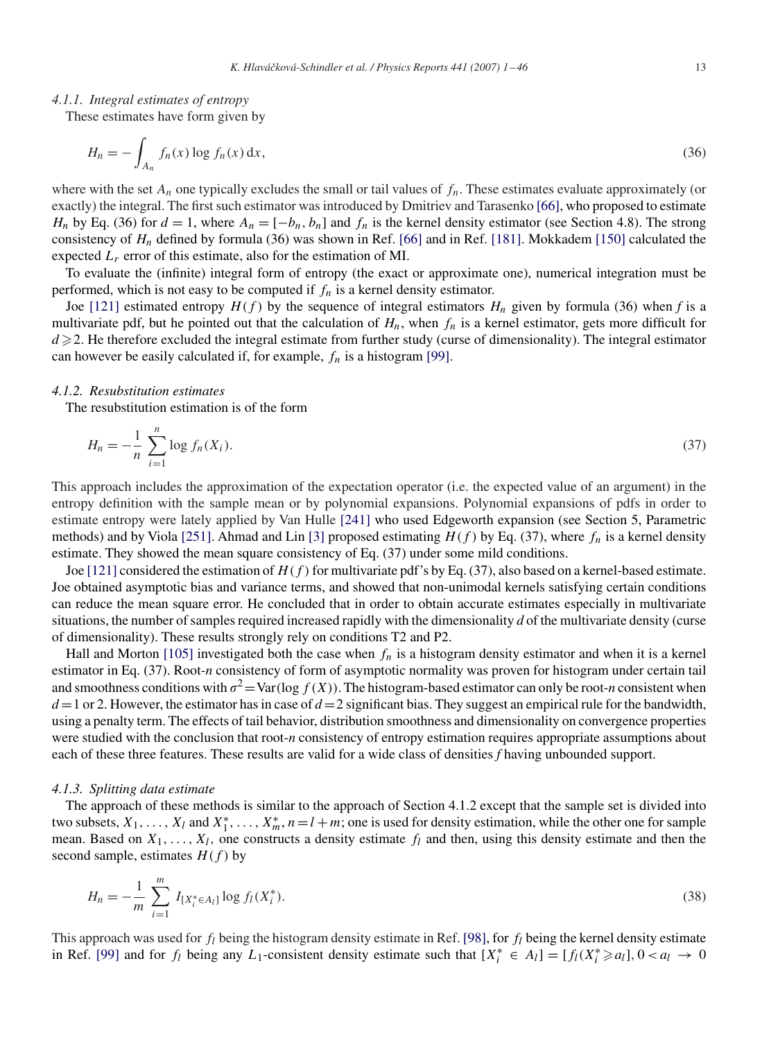<span id="page-12-0"></span>*4.1.1. Integral estimates of entropy*

These estimates have form given by

$$
H_n = -\int_{A_n} f_n(x) \log f_n(x) dx,
$$
\n(36)

where with the set  $A_n$  one typically excludes the small or tail values of  $f_n$ . These estimates evaluate approximately (or exactly) the integral. The first such estimator was introduced by Dmitriev and Tarasenko [\[66\],](#page-42-0) who proposed to estimate *H<sub>n</sub>* by Eq. (36) for  $d = 1$ , where  $A_n = [-b_n, b_n]$  and  $f_n$  is the kernel density estimator (see Section 4.8). The strong consistency of *Hn* defined by formula (36) was shown in Ref. [\[66\]](#page-42-0) and in Ref. [\[181\].](#page-44-0) Mokkadem [\[150\]](#page-43-0) calculated the expected *Lr* error of this estimate, also for the estimation of MI.

To evaluate the (infinite) integral form of entropy (the exact or approximate one), numerical integration must be performed, which is not easy to be computed if  $f_n$  is a kernel density estimator.

Joe [\[121\]](#page-43-0) estimated entropy  $H(f)$  by the sequence of integral estimators  $H_n$  given by formula (36) when f is a multivariate pdf, but he pointed out that the calculation of  $H_n$ , when  $f_n$  is a kernel estimator, gets more difficult for  $d \geqslant 2$ . He therefore excluded the integral estimate from further study (curse of dimensionality). The integral estimator can however be easily calculated if, for example,  $f_n$  is a histogram [\[99\].](#page-42-0)

## *4.1.2. Resubstitution estimates*

The resubstitution estimation is of the form

$$
H_n = -\frac{1}{n} \sum_{i=1}^n \log f_n(X_i).
$$
 (37)

This approach includes the approximation of the expectation operator (i.e. the expected value of an argument) in the entropy definition with the sample mean or by polynomial expansions. Polynomial expansions of pdfs in order to estimate entropy were lately applied by Van Hulle [\[241\]](#page-45-0) who used Edgeworth expansion (see Section 5, Parametric methods) and by Viola [\[251\].](#page-45-0) Ahmad and Lin [\[3\]](#page-41-0) proposed estimating  $H(f)$  by Eq. (37), where  $f_n$  is a kernel density estimate. They showed the mean square consistency of Eq. (37) under some mild conditions.

Joe [\[121\]](#page-43-0) considered the estimation of  $H(f)$  for multivariate pdf's by Eq. (37), also based on a kernel-based estimate. Joe obtained asymptotic bias and variance terms, and showed that non-unimodal kernels satisfying certain conditions can reduce the mean square error. He concluded that in order to obtain accurate estimates especially in multivariate situations, the number of samples required increased rapidly with the dimensionality *d* of the multivariate density (curse of dimensionality). These results strongly rely on conditions T2 and P2.

Hall and Morton [\[105\]](#page-42-0) investigated both the case when  $f_n$  is a histogram density estimator and when it is a kernel estimator in Eq. (37). Root-*n* consistency of form of asymptotic normality was proven for histogram under certain tail and smoothness conditions with  $\sigma^2 = \text{Var}(\log f(X))$ . The histogram-based estimator can only be root-*n* consistent when  $d=1$  or 2. However, the estimator has in case of  $d=2$  significant bias. They suggest an empirical rule for the bandwidth, using a penalty term. The effects of tail behavior, distribution smoothness and dimensionality on convergence properties were studied with the conclusion that root-*n* consistency of entropy estimation requires appropriate assumptions about each of these three features. These results are valid for a wide class of densities *f* having unbounded support.

#### *4.1.3. Splitting data estimate*

The approach of these methods is similar to the approach of Section 4.1.2 except that the sample set is divided into two subsets,  $X_1, \ldots, X_l$  and  $X_1^*, \ldots, X_m^*, n = l + m$ ; one is used for density estimation, while the other one for sample mean. Based on  $X_1, \ldots, X_l$ , one constructs a density estimate  $f_l$  and then, using this density estimate and then the second sample, estimates  $H(f)$  by

$$
H_n = -\frac{1}{m} \sum_{i=1}^{m} I_{[X_i^* \in A_l]} \log f_l(X_i^*).
$$
\n(38)

This approach was used for  $f_l$  being the histogram density estimate in Ref. [\[98\],](#page-42-0) for  $f_l$  being the kernel density estimate in Ref. [\[99\]](#page-42-0) and for  $f_l$  being any  $L_1$ -consistent density estimate such that  $[X_i^* \in A_l] = [f_l(X_i^* \ge a_l], 0 < a_l \to 0$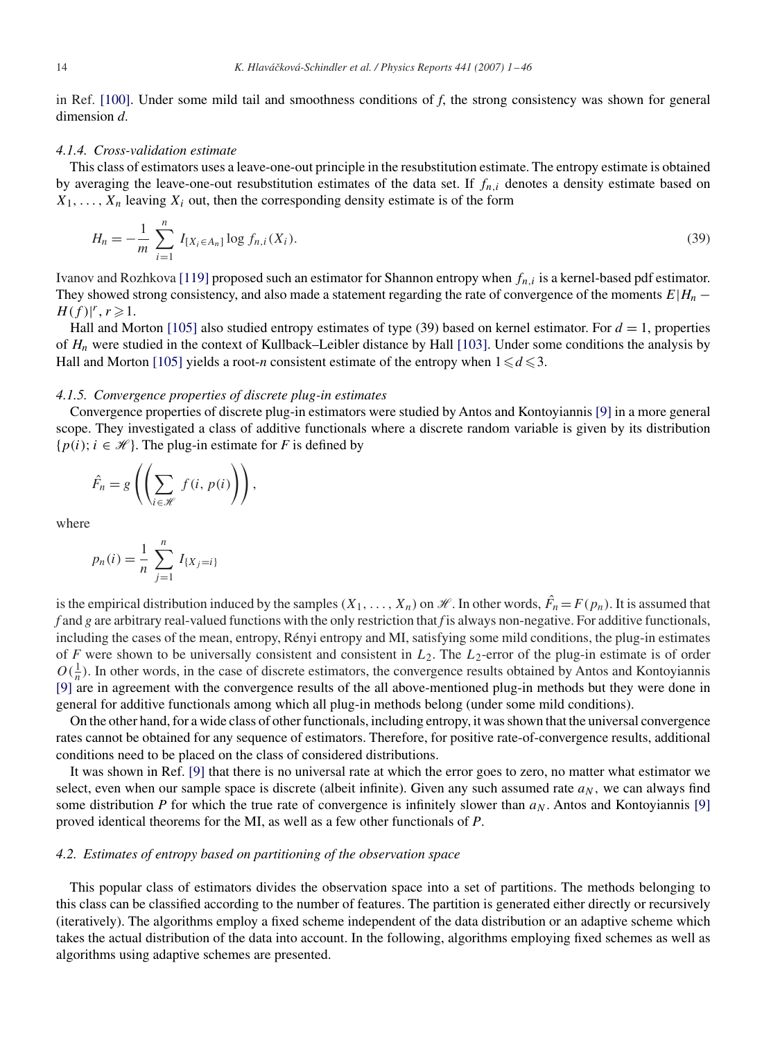<span id="page-13-0"></span>in Ref. [\[100\].](#page-42-0) Under some mild tail and smoothness conditions of *f*, the strong consistency was shown for general dimension *d*.

# *4.1.4. Cross-validation estimate*

This class of estimators uses a leave-one-out principle in the resubstitution estimate. The entropy estimate is obtained by averaging the leave-one-out resubstitution estimates of the data set. If *fn,i* denotes a density estimate based on  $X_1, \ldots, X_n$  leaving  $X_i$  out, then the corresponding density estimate is of the form

$$
H_n = -\frac{1}{m} \sum_{i=1}^n I_{[X_i \in A_n]} \log f_{n,i}(X_i).
$$
 (39)

Ivanov and Rozhkova [\[119\]](#page-43-0) proposed such an estimator for Shannon entropy when *fn,i* is a kernel-based pdf estimator. They showed strong consistency, and also made a statement regarding the rate of convergence of the moments  $E|H_n H(f)|^r, r \geq 1.$ 

Hall and Morton [\[105\]](#page-42-0) also studied entropy estimates of type (39) based on kernel estimator. For *d* = 1, properties of *Hn* were studied in the context of Kullback–Leibler distance by Hall [\[103\].](#page-42-0) Under some conditions the analysis by Hall and Morton [\[105\]](#page-42-0) yields a root-*n* consistent estimate of the entropy when  $1 \leq d \leq 3$ .

# *4.1.5. Convergence properties of discrete plug-in estimates*

Convergence properties of discrete plug-in estimators were studied by Antos and Kontoyiannis [\[9\]](#page-41-0) in a more general scope. They investigated a class of additive functionals where a discrete random variable is given by its distribution  $\{p(i); i \in \mathcal{H}\}\$ . The plug-in estimate for *F* is defined by

$$
\hat{F}_n = g\left(\left(\sum_{i \in \mathcal{H}} f(i, p(i))\right)\right),
$$

where

$$
p_n(i) = \frac{1}{n} \sum_{j=1}^n I_{\{X_j = i\}}
$$

is the empirical distribution induced by the samples  $(X_1, \ldots, X_n)$  on  $\mathcal{H}$ . In other words,  $\hat{F}_n = F(p_n)$ . It is assumed that *f* and *g* are arbitrary real-valued functions with the only restriction that *f* is always non-negative. For additive functionals, including the cases of the mean, entropy, Rényi entropy and MI, satisfying some mild conditions, the plug-in estimates of *F* were shown to be universally consistent and consistent in *L*2. The *L*2-error of the plug-in estimate is of order  $O(\frac{1}{n})$ . In other words, in the case of discrete estimators, the convergence results obtained by Antos and Kontoyiannis [\[9\]](#page-41-0) are in agreement with the convergence results of the all above-mentioned plug-in methods but they were done in general for additive functionals among which all plug-in methods belong (under some mild conditions).

On the other hand, for a wide class of other functionals, including entropy, it was shown that the universal convergence rates cannot be obtained for any sequence of estimators. Therefore, for positive rate-of-convergence results, additional conditions need to be placed on the class of considered distributions.

It was shown in Ref. [\[9\]](#page-41-0) that there is no universal rate at which the error goes to zero, no matter what estimator we select, even when our sample space is discrete (albeit infinite). Given any such assumed rate  $a_N$ , we can always find some distribution *P* for which the true rate of convergence is infinitely slower than  $a_N$ . Antos and Kontoyiannis [\[9\]](#page-41-0) proved identical theorems for the MI, as well as a few other functionals of *P*.

# *4.2. Estimates of entropy based on partitioning of the observation space*

This popular class of estimators divides the observation space into a set of partitions. The methods belonging to this class can be classified according to the number of features. The partition is generated either directly or recursively (iteratively). The algorithms employ a fixed scheme independent of the data distribution or an adaptive scheme which takes the actual distribution of the data into account. In the following, algorithms employing fixed schemes as well as algorithms using adaptive schemes are presented.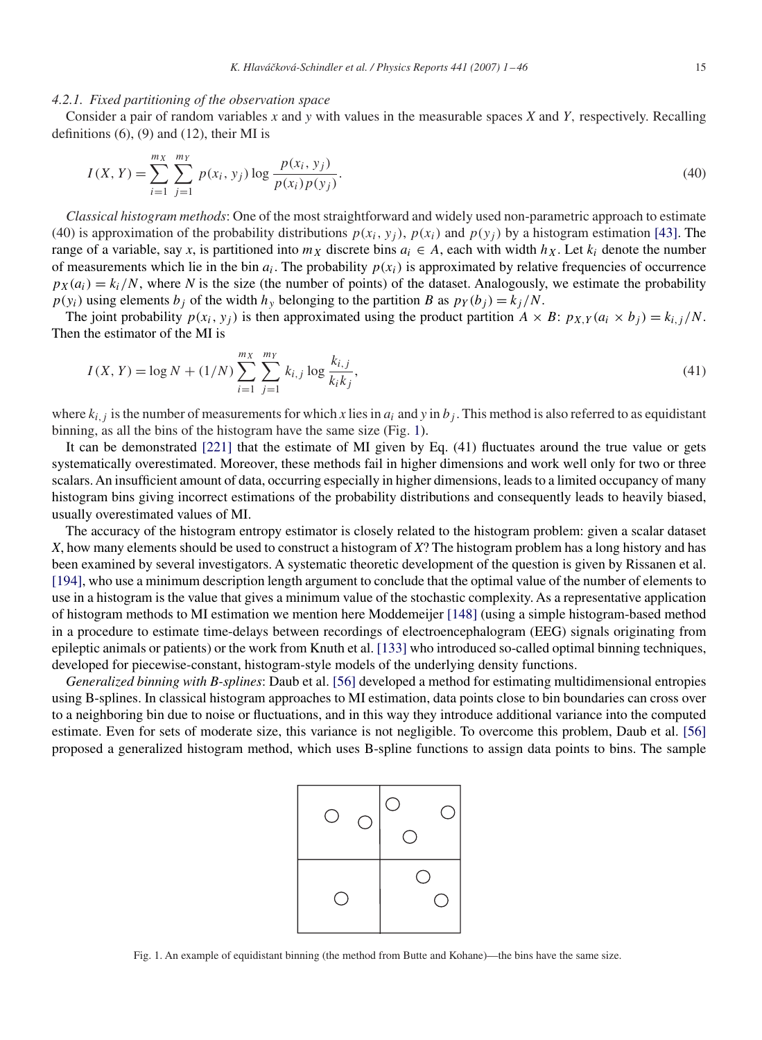# <span id="page-14-0"></span>*4.2.1. Fixed partitioning of the observation space*

Consider a pair of random variables *x* and *y* with values in the measurable spaces *X* and *Y,* respectively. Recalling definitions  $(6)$ ,  $(9)$  and  $(12)$ , their MI is

$$
I(X, Y) = \sum_{i=1}^{m_X} \sum_{j=1}^{m_Y} p(x_i, y_j) \log \frac{p(x_i, y_j)}{p(x_i) p(y_j)}.
$$
\n(40)

*Classical histogram methods*: One of the most straightforward and widely used non-parametric approach to estimate (40) is approximation of the probability distributions  $p(x_i, y_j)$ ,  $p(x_i)$  and  $p(y_j)$  by a histogram estimation [\[43\].](#page-41-0) The range of a variable, say *x*, is partitioned into  $m_X$  discrete bins  $a_i \in A$ , each with width  $h_X$ . Let  $k_i$  denote the number of measurements which lie in the bin  $a_i$ . The probability  $p(x_i)$  is approximated by relative frequencies of occurrence  $p_X(a_i) = k_i/N$ , where *N* is the size (the number of points) of the dataset. Analogously, we estimate the probability  $p(y_i)$  using elements  $b_j$  of the width  $h_y$  belonging to the partition *B* as  $p_Y(b_j) = k_j/N$ .

The joint probability  $p(x_i, y_j)$  is then approximated using the product partition  $A \times B$ :  $p_{X,Y}(a_i \times b_j) = k_{i,j}/N$ . Then the estimator of the MI is

$$
I(X, Y) = \log N + (1/N) \sum_{i=1}^{m_X} \sum_{j=1}^{m_Y} k_{i,j} \log \frac{k_{i,j}}{k_i k_j},
$$
\n(41)

where  $k_{i,j}$  is the number of measurements for which *x* lies in  $a_i$  and *y* in  $b_j$ . This method is also referred to as equidistant binning, as all the bins of the histogram have the same size (Fig. 1).

It can be demonstrated [\[221\]](#page-45-0) that the estimate of MI given by Eq. (41) fluctuates around the true value or gets systematically overestimated. Moreover, these methods fail in higher dimensions and work well only for two or three scalars. An insufficient amount of data, occurring especially in higher dimensions, leads to a limited occupancy of many histogram bins giving incorrect estimations of the probability distributions and consequently leads to heavily biased, usually overestimated values of MI.

The accuracy of the histogram entropy estimator is closely related to the histogram problem: given a scalar dataset *X*, how many elements should be used to construct a histogram of *X*? The histogram problem has a long history and has been examined by several investigators. A systematic theoretic development of the question is given by Rissanen et al. [\[194\],](#page-44-0) who use a minimum description length argument to conclude that the optimal value of the number of elements to use in a histogram is the value that gives a minimum value of the stochastic complexity. As a representative application of histogram methods to MI estimation we mention here Moddemeijer [\[148\]](#page-43-0) (using a simple histogram-based method in a procedure to estimate time-delays between recordings of electroencephalogram (EEG) signals originating from epileptic animals or patients) or the work from Knuth et al. [\[133\]](#page-43-0) who introduced so-called optimal binning techniques, developed for piecewise-constant, histogram-style models of the underlying density functions.

*Generalized binning with B-splines*: Daub et al. [\[56\]](#page-42-0) developed a method for estimating multidimensional entropies using B-splines. In classical histogram approaches to MI estimation, data points close to bin boundaries can cross over to a neighboring bin due to noise or fluctuations, and in this way they introduce additional variance into the computed estimate. Even for sets of moderate size, this variance is not negligible. To overcome this problem, Daub et al. [\[56\]](#page-42-0) proposed a generalized histogram method, which uses B-spline functions to assign data points to bins. The sample



Fig. 1. An example of equidistant binning (the method from Butte and Kohane)—the bins have the same size.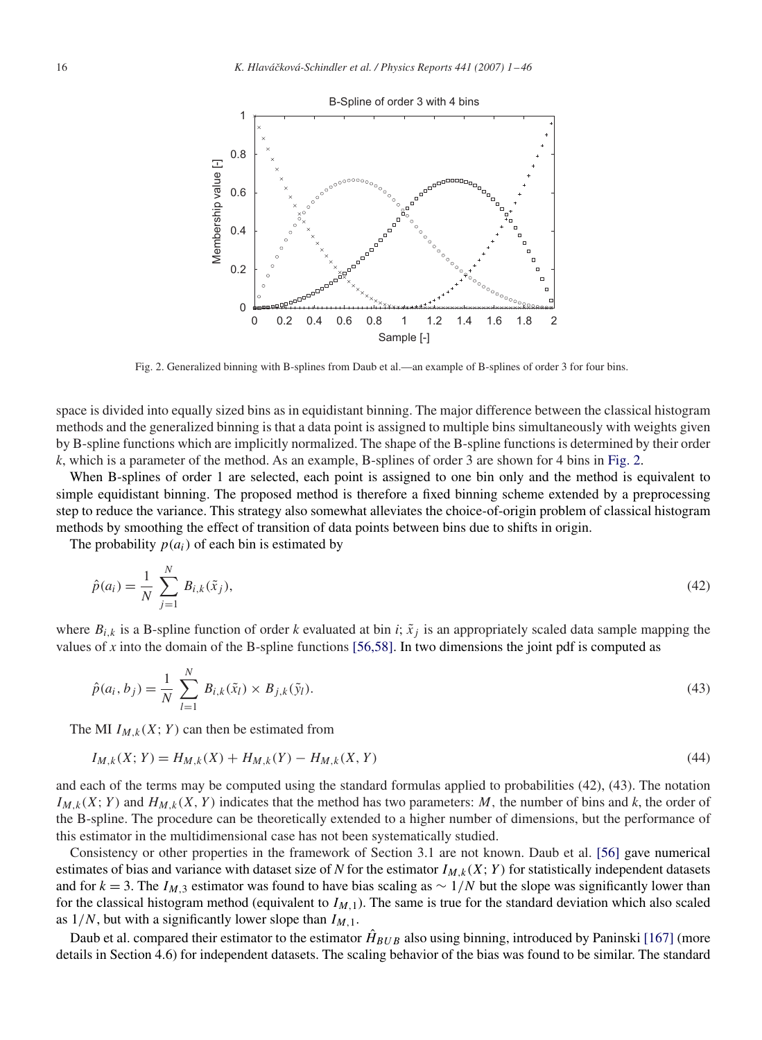

Fig. 2. Generalized binning with B-splines from Daub et al.—an example of B-splines of order 3 for four bins.

space is divided into equally sized bins as in equidistant binning. The major difference between the classical histogram methods and the generalized binning is that a data point is assigned to multiple bins simultaneously with weights given by B-spline functions which are implicitly normalized. The shape of the B-spline functions is determined by their order *k*, which is a parameter of the method. As an example, B-splines of order 3 are shown for 4 bins in Fig. 2.

When B-splines of order 1 are selected, each point is assigned to one bin only and the method is equivalent to simple equidistant binning. The proposed method is therefore a fixed binning scheme extended by a preprocessing step to reduce the variance. This strategy also somewhat alleviates the choice-of-origin problem of classical histogram methods by smoothing the effect of transition of data points between bins due to shifts in origin.

The probability  $p(a_i)$  of each bin is estimated by

$$
\hat{p}(a_i) = \frac{1}{N} \sum_{j=1}^{N} B_{i,k}(\tilde{x}_j),
$$
\n(42)

where  $B_{i,k}$  is a B-spline function of order *k* evaluated at bin *i*;  $\tilde{x}_i$  is an appropriately scaled data sample mapping the values of *x* into the domain of the B-spline functions [56,58]. In two dimensions the joint pdf is computed as

$$
\hat{p}(a_i, b_j) = \frac{1}{N} \sum_{l=1}^{N} B_{i,k}(\tilde{x}_l) \times B_{j,k}(\tilde{y}_l).
$$
\n(43)

The MI  $I_{M,k}(X; Y)$  can then be estimated from

$$
I_{M,k}(X;Y) = H_{M,k}(X) + H_{M,k}(Y) - H_{M,k}(X,Y)
$$
\n(44)

and each of the terms may be computed using the standard formulas applied to probabilities (42), (43). The notation  $I_{M,k}(X; Y)$  and  $H_{M,k}(X, Y)$  indicates that the method has two parameters: *M*, the number of bins and *k*, the order of the B-spline. The procedure can be theoretically extended to a higher number of dimensions, but the performance of this estimator in the multidimensional case has not been systematically studied.

Consistency or other properties in the framework of Section 3.1 are not known. Daub et al. [\[56\]](#page-42-0) gave numerical estimates of bias and variance with dataset size of *N* for the estimator  $I_{M,k}(X; Y)$  for statistically independent datasets and for  $k = 3$ . The *I<sub>M,3</sub>* estimator was found to have bias scaling as  $\sim 1/N$  but the slope was significantly lower than for the classical histogram method (equivalent to  $I_{M,1}$ ). The same is true for the standard deviation which also scaled as  $1/N$ , but with a significantly lower slope than  $I_{M,1}$ .

Daub et al. compared their estimator to the estimator  $\hat{H}_{BUB}$  also using binning, introduced by Paninski [\[167\]](#page-44-0) (more details in Section 4.6) for independent datasets. The scaling behavior of the bias was found to be similar. The standard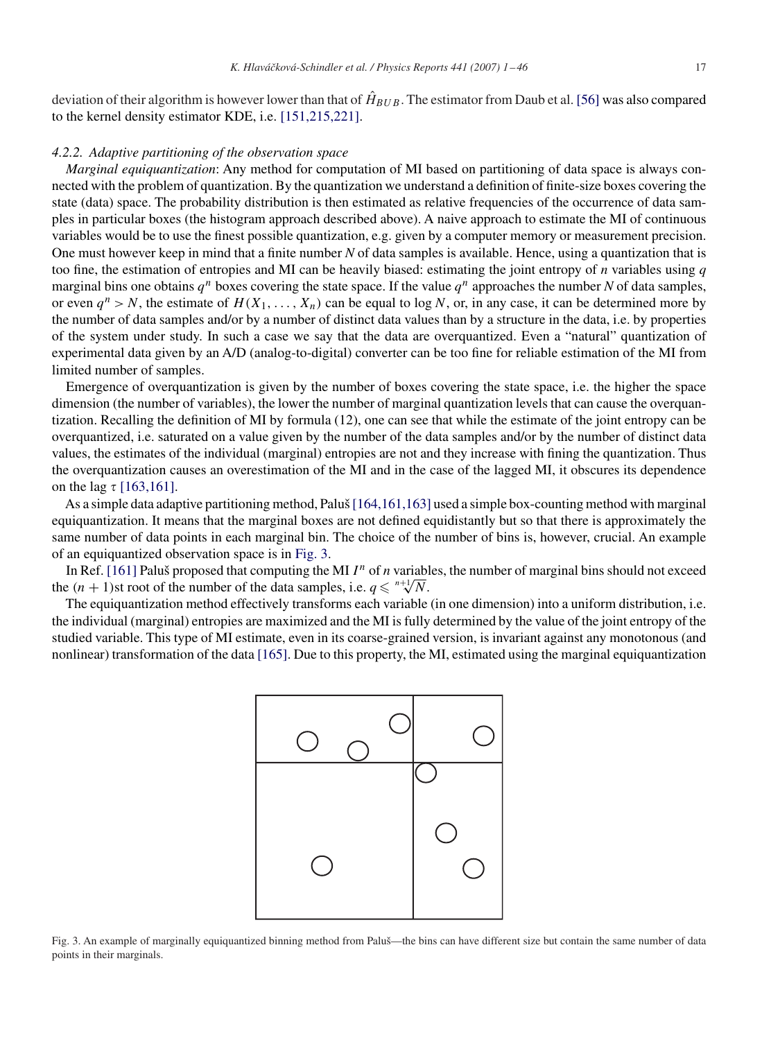<span id="page-16-0"></span>deviation of their algorithm is however lower than that of  $\hat{H}_{BUB}$ . The estimator from Daub et al. [\[56\]](#page-42-0) was also compared to the kernel density estimator KDE, i.e. [151,215,221].

# *4.2.2. Adaptive partitioning of the observation space*

*Marginal equiquantization*: Any method for computation of MI based on partitioning of data space is always connected with the problem of quantization. By the quantization we understand a definition of finite-size boxes covering the state (data) space. The probability distribution is then estimated as relative frequencies of the occurrence of data samples in particular boxes (the histogram approach described above). A naive approach to estimate the MI of continuous variables would be to use the finest possible quantization, e.g. given by a computer memory or measurement precision. One must however keep in mind that a finite number *N* of data samples is available. Hence, using a quantization that is too fine, the estimation of entropies and MI can be heavily biased: estimating the joint entropy of *n* variables using *q* marginal bins one obtains  $q^n$  boxes covering the state space. If the value  $q^n$  approaches the number *N* of data samples, or even  $q^n > N$ , the estimate of  $H(X_1, \ldots, X_n)$  can be equal to log *N*, or, in any case, it can be determined more by the number of data samples and/or by a number of distinct data values than by a structure in the data, i.e. by properties of the system under study. In such a case we say that the data are overquantized. Even a "natural" quantization of experimental data given by an A/D (analog-to-digital) converter can be too fine for reliable estimation of the MI from limited number of samples.

Emergence of overquantization is given by the number of boxes covering the state space, i.e. the higher the space dimension (the number of variables), the lower the number of marginal quantization levels that can cause the overquantization. Recalling the definition of MI by formula (12), one can see that while the estimate of the joint entropy can be overquantized, i.e. saturated on a value given by the number of the data samples and/or by the number of distinct data values, the estimates of the individual (marginal) entropies are not and they increase with fining the quantization. Thus the overquantization causes an overestimation of the MI and in the case of the lagged MI, it obscures its dependence on the lag  $\tau$  [163,161].

As a simple data adaptive partitioning method, Paluš[164,161,163] used a simple box-counting method with marginal equiquantization. It means that the marginal boxes are not defined equidistantly but so that there is approximately the same number of data points in each marginal bin. The choice of the number of bins is, however, crucial. An example of an equiquantized observation space is in Fig. 3.

In Ref. [\[161\]](#page-44-0) Paluš proposed that computing the MI *I<sup>n</sup>* of *n* variables, the number of marginal bins should not exceed In Ref. [161] Palus proposed that computing the MI  $I^n$  of *n* variable the  $(n + 1)$ st root of the number of the data samples, i.e.  $q \leq \sqrt[n+1]{N}$ .

The equiquantization method effectively transforms each variable (in one dimension) into a uniform distribution, i.e. the individual (marginal) entropies are maximized and the MI is fully determined by the value of the joint entropy of the studied variable. This type of MI estimate, even in its coarse-grained version, is invariant against any monotonous (and nonlinear) transformation of the data [\[165\].](#page-44-0) Due to this property, the MI, estimated using the marginal equiquantization



Fig. 3. An example of marginally equiquantized binning method from Paluš—the bins can have different size but contain the same number of data points in their marginals.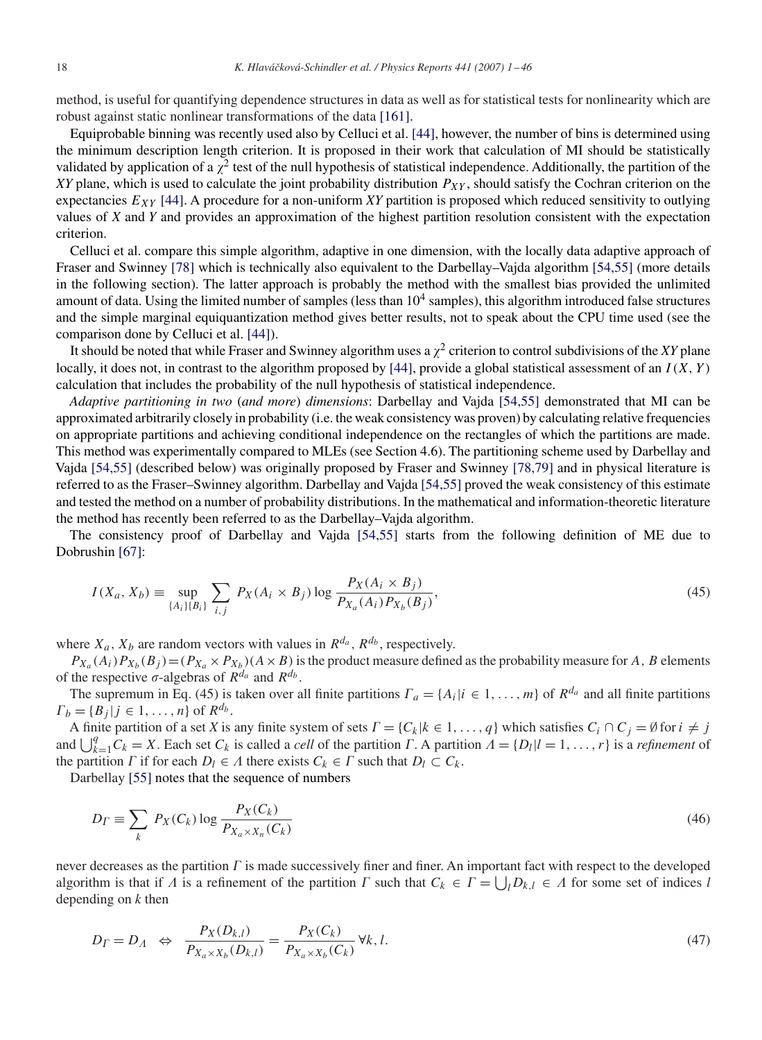method, is useful for quantifying dependence structures in data as well as for statistical tests for nonlinearity which are robust against static nonlinear transformations of the data [\[161\].](#page-44-0)

Equiprobable binning was recently used also by Celluci et al. [\[44\],](#page-41-0) however, the number of bins is determined using the minimum description length criterion. It is proposed in their work that calculation of MI should be statistically validated by application of a  $\chi^2$  test of the null hypothesis of statistical independence. Additionally, the partition of the *XY* plane, which is used to calculate the joint probability distribution  $P_{XY}$ , should satisfy the Cochran criterion on the expectancies *EXY* [\[44\].](#page-41-0) A procedure for a non-uniform *XY* partition is proposed which reduced sensitivity to outlying values of *X* and *Y* and provides an approximation of the highest partition resolution consistent with the expectation criterion.

Celluci et al. compare this simple algorithm, adaptive in one dimension, with the locally data adaptive approach of Fraser and Swinney [\[78\]](#page-42-0) which is technically also equivalent to the Darbellay–Vajda algorithm [54,55] (more details in the following section). The latter approach is probably the method with the smallest bias provided the unlimited amount of data. Using the limited number of samples (less than  $10<sup>4</sup>$  samples), this algorithm introduced false structures and the simple marginal equiquantization method gives better results, not to speak about the CPU time used (see the comparison done by Celluci et al. [\[44\]\)](#page-41-0).

It should be noted that while Fraser and Swinney algorithm uses a  $\chi^2$  criterion to control subdivisions of the *XY* plane locally, it does not, in contrast to the algorithm proposed by [\[44\],](#page-41-0) provide a global statistical assessment of an *I (X, Y )* calculation that includes the probability of the null hypothesis of statistical independence.

*Adaptive partitioning in two* (*and more*) *dimensions*: Darbellay and Vajda [54,55] demonstrated that MI can be approximated arbitrarily closely in probability (i.e. the weak consistency was proven) by calculating relative frequencies on appropriate partitions and achieving conditional independence on the rectangles of which the partitions are made. This method was experimentally compared to MLEs (see Section 4.6). The partitioning scheme used by Darbellay and Vajda [54,55] (described below) was originally proposed by Fraser and Swinney [78,79] and in physical literature is referred to as the Fraser–Swinney algorithm. Darbellay and Vajda [54,55] proved the weak consistency of this estimate and tested the method on a number of probability distributions. In the mathematical and information-theoretic literature the method has recently been referred to as the Darbellay–Vajda algorithm.

The consistency proof of Darbellay and Vajda [54,55] starts from the following definition of ME due to Dobrushin [\[67\]:](#page-42-0)

$$
I(X_a, X_b) \equiv \sup_{\{A_i\} \{B_i\}} \sum_{i,j} P_X(A_i \times B_j) \log \frac{P_X(A_i \times B_j)}{P_{X_a}(A_i) P_{X_b}(B_j)},
$$
(45)

where  $X_a$ ,  $X_b$  are random vectors with values in  $R^{d_a}$ ,  $R^{d_b}$ , respectively.

 $P_{X_a}(A_i)P_{X_b}(B_j) = (P_{X_a} \times P_{X_b})(A \times B)$  is the product measure defined as the probability measure for *A*, *B* elements of the respective  $\sigma$ -algebras of  $R^{d_a}$  and  $R^{d_b}$ .

The supremum in Eq. (45) is taken over all finite partitions  $\Gamma_a = \{A_i | i \in 1, \ldots, m\}$  of  $R^{d_a}$  and all finite partitions  $\Gamma_b = \{B_j | j \in 1, \ldots, n\}$  of  $R^{d_b}$ .

A finite partition of a set *X* is any finite system of sets  $\Gamma = \{C_k | k \in 1, ..., q\}$  which satisfies  $C_i \cap C_j = \emptyset$  for  $i \neq j$ and  $\bigcup_{k=1}^{q} C_k = X$ . Each set  $C_k$  is called a *cell* of the partition  $\Gamma$ . A partition  $\Lambda = \{D_l | l = 1, \ldots, r\}$  is a *refinement* of the partition  $\Gamma$  if for each  $D_l \in \Lambda$  there exists  $C_k \in \Gamma$  such that  $D_l \subset C_k$ .

Darbellay [\[55\]](#page-42-0) notes that the sequence of numbers

$$
D_{\Gamma} \equiv \sum_{k} P_{X}(C_{k}) \log \frac{P_{X}(C_{k})}{P_{X_{a} \times X_{n}}(C_{k})}
$$
(46)

never decreases as the partition  $\Gamma$  is made successively finer and finer. An important fact with respect to the developed algorithm is that if  $\Lambda$  is a refinement of the partition  $\Gamma$  such that  $C_k \in \Gamma = \bigcup_l D_{k,l} \in \Lambda$  for some set of indices *l* depending on *k* then

$$
D_{\Gamma} = D_{\Lambda} \iff \frac{P_X(D_{k,l})}{P_{X_a \times X_b}(D_{k,l})} = \frac{P_X(C_k)}{P_{X_a \times X_b}(C_k)} \,\forall k, l. \tag{47}
$$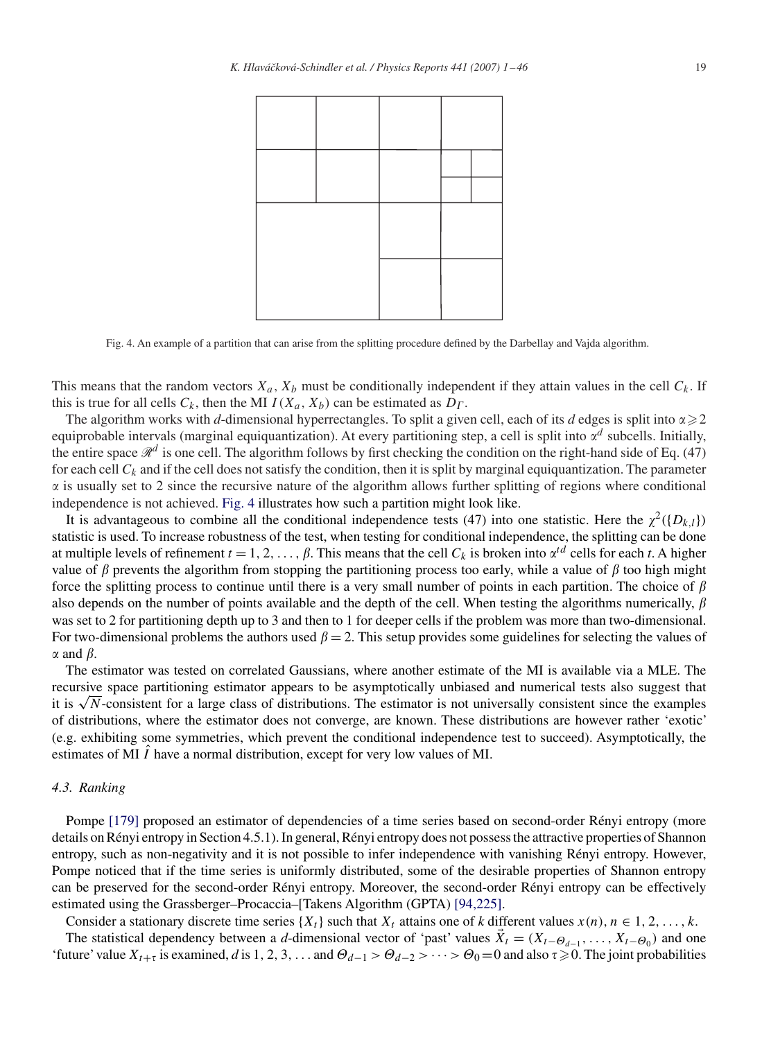<span id="page-18-0"></span>

Fig. 4. An example of a partition that can arise from the splitting procedure defined by the Darbellay and Vajda algorithm.

This means that the random vectors  $X_a$ ,  $X_b$  must be conditionally independent if they attain values in the cell  $C_k$ . If this is true for all cells  $C_k$ , then the MI  $I(X_a, X_b)$  can be estimated as  $D_r$ .

The algorithm works with *d*-dimensional hyperrectangles. To split a given cell, each of its *d* edges is split into  $\alpha \geq 2$ equiprobable intervals (marginal equiquantization). At every partitioning step, a cell is split into  $\alpha^d$  subcells. Initially, the entire space  $\mathcal{R}^d$  is one cell. The algorithm follows by first checking the condition on the right-hand side of Eq. (47) for each cell  $C_k$  and if the cell does not satisfy the condition, then it is split by marginal equiquantization. The parameter  $\alpha$  is usually set to 2 since the recursive nature of the algorithm allows further splitting of regions where conditional independence is not achieved. Fig. 4 illustrates how such a partition might look like.

It is advantageous to combine all the conditional independence tests (47) into one statistic. Here the  $\chi^2({D_{k,l}})$ statistic is used. To increase robustness of the test, when testing for conditional independence, the splitting can be done at multiple levels of refinement  $t = 1, 2, \ldots, \beta$ . This means that the cell  $C_k$  is broken into  $\alpha^{td}$  cells for each *t*. A higher value of  $\beta$  prevents the algorithm from stopping the partitioning process too early, while a value of  $\beta$  too high might force the splitting process to continue until there is a very small number of points in each partition. The choice of  $\beta$ also depends on the number of points available and the depth of the cell. When testing the algorithms numerically,  $\beta$ was set to 2 for partitioning depth up to 3 and then to 1 for deeper cells if the problem was more than two-dimensional. For two-dimensional problems the authors used  $\beta = 2$ . This setup provides some guidelines for selecting the values of  $\alpha$  and  $\beta$ .

The estimator was tested on correlated Gaussians, where another estimate of the MI is available via a MLE. The recursive space partitioning estimator appears to be asymptotically unbiased and numerical tests also suggest that it is <sup>√</sup>*N*-consistent for a large class of distributions. The estimator is not universally consistent since the examples of distributions, where the estimator does not converge, are known. These distributions are however rather 'exotic' (e.g. exhibiting some symmetries, which prevent the conditional independence test to succeed). Asymptotically, the estimates of MI  $\hat{I}$  have a normal distribution, except for very low values of MI.

# *4.3. Ranking*

Pompe [\[179\]](#page-44-0) proposed an estimator of dependencies of a time series based on second-order Rényi entropy (more details on Rényi entropy in Section 4.5.1). In general, Rényi entropy does not possess the attractive properties of Shannon entropy, such as non-negativity and it is not possible to infer independence with vanishing Rényi entropy. However, Pompe noticed that if the time series is uniformly distributed, some of the desirable properties of Shannon entropy can be preserved for the second-order Rényi entropy. Moreover, the second-order Rényi entropy can be effectively estimated using the Grassberger–Procaccia–[Takens Algorithm (GPTA) [94,225].

Consider a stationary discrete time series  $\{X_t\}$  such that  $X_t$  attains one of *k* different values  $x(n), n \in 1, 2, \ldots, k$ . The statistical dependency between a *d*-dimensional vector of 'past' values  $\vec{X}_t = (X_{t-\Theta_{d-1}}, \ldots, X_{t-\Theta_0})$  and one 'future' value  $X_{t+\tau}$  is examined, *d* is 1, 2, 3, ... and  $\Theta_{d-1} > \Theta_{d-2} > \cdots > \Theta_0 = 0$  and also  $\tau \ge 0$ . The joint probabilities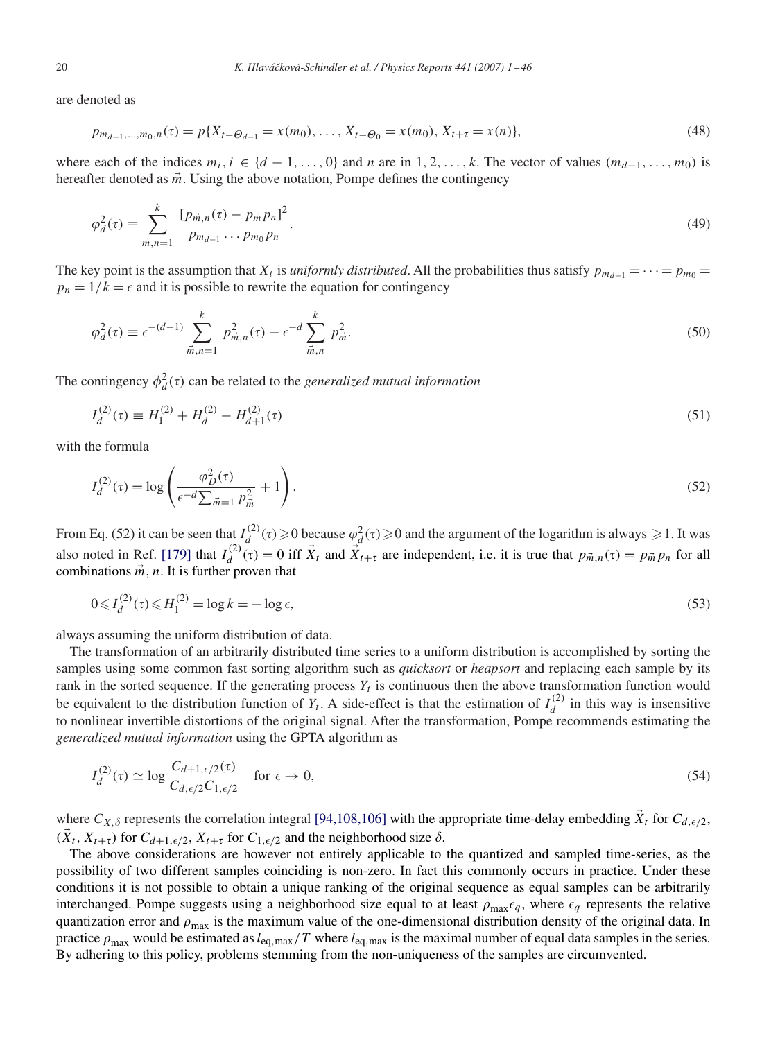are denoted as

$$
p_{m_{d-1},\dots,m_0,n}(\tau) = p\{X_{t-\Theta_{d-1}} = x(m_0),\dots,X_{t-\Theta_0} = x(m_0),X_{t+\tau} = x(n)\},\tag{48}
$$

where each of the indices  $m_i$ ,  $i \in \{d-1, \ldots, 0\}$  and *n* are in 1, 2, ..., k. The vector of values  $(m_{d-1}, \ldots, m_0)$  is hereafter denoted as  $\vec{m}$ . Using the above notation, Pompe defines the contingency

$$
\varphi_d^2(\tau) \equiv \sum_{\substack{\vec{m}, n=1}}^k \frac{[p_{\vec{m},n}(\tau) - p_{\vec{m}} p_n]^2}{p_{m_{d-1}} \cdots p_{m_0} p_n}.
$$
\n(49)

The key point is the assumption that  $X_t$  is *uniformly distributed*. All the probabilities thus satisfy  $p_{m_{d-1}} = \cdots = p_{m_0} =$  $p_n = 1/k = \epsilon$  and it is possible to rewrite the equation for contingency

$$
\varphi_d^2(\tau) \equiv \epsilon^{-(d-1)} \sum_{\vec{m},n=1}^k p_{\vec{m},n}^2(\tau) - \epsilon^{-d} \sum_{\vec{m},n}^k p_{\vec{m}}^2.
$$
\n(50)

The contingency  $\phi_d^2(\tau)$  can be related to the *generalized mutual information* 

$$
I_d^{(2)}(\tau) \equiv H_1^{(2)} + H_d^{(2)} - H_{d+1}^{(2)}(\tau)
$$
\n(51)

with the formula

$$
I_d^{(2)}(\tau) = \log \left( \frac{\varphi_D^2(\tau)}{\epsilon^{-d} \sum_{\vec{m}=1} p_{\vec{m}}^2} + 1 \right). \tag{52}
$$

From Eq. (52) it can be seen that  $I_d^{(2)}(\tau) \ge 0$  because  $\varphi_d^2(\tau) \ge 0$  and the argument of the logarithm is always  $\ge 1$ . It was also noted in Ref. [\[179\]](#page-44-0) that  $I_d^{(2)}(\tau) = 0$  iff  $\vec{X}_t$  and  $\vec{X}_{t+\tau}$  are independent, i.e. it is true that  $p_{\vec{m},n}(\tau) = p_{\vec{m}} p_n$  for all combinations  $\vec{m}$ , *n*. It is further proven that

$$
0 \leq I_d^{(2)}(\tau) \leq H_1^{(2)} = \log k = -\log \epsilon,
$$
\n(53)

always assuming the uniform distribution of data.

The transformation of an arbitrarily distributed time series to a uniform distribution is accomplished by sorting the samples using some common fast sorting algorithm such as *quicksort* or *heapsort* and replacing each sample by its rank in the sorted sequence. If the generating process  $Y_t$  is continuous then the above transformation function would be equivalent to the distribution function of  $Y_t$ . A side-effect is that the estimation of  $I_d^{(2)}$  in this way is insensitive to nonlinear invertible distortions of the original signal. After the transformation, Pompe recommends estimating the *generalized mutual information* using the GPTA algorithm as

$$
I_d^{(2)}(\tau) \simeq \log \frac{C_{d+1,\epsilon/2}(\tau)}{C_{d,\epsilon/2}C_{1,\epsilon/2}} \quad \text{for } \epsilon \to 0,
$$
\n(54)

where  $C_{X,\delta}$  represents the correlation integral [94,108,106] with the appropriate time-delay embedding  $\vec{X}_t$  for  $C_{d,\epsilon/2}$ ,  $(\vec{X}_t, X_{t+\tau})$  for  $C_{d+1,\epsilon/2}, X_{t+\tau}$  for  $C_{1,\epsilon/2}$  and the neighborhood size  $\delta$ .

The above considerations are however not entirely applicable to the quantized and sampled time-series, as the possibility of two different samples coinciding is non-zero. In fact this commonly occurs in practice. Under these conditions it is not possible to obtain a unique ranking of the original sequence as equal samples can be arbitrarily interchanged. Pompe suggests using a neighborhood size equal to at least  $\rho_{\text{max}}\epsilon_q$ , where  $\epsilon_q$  represents the relative quantization error and  $\rho_{\text{max}}$  is the maximum value of the one-dimensional distribution density of the original data. In practice  $\rho_{\text{max}}$  would be estimated as  $l_{\text{eq},\text{max}}/T$  where  $l_{\text{eq},\text{max}}$  is the maximal number of equal data samples in the series. By adhering to this policy, problems stemming from the non-uniqueness of the samples are circumvented.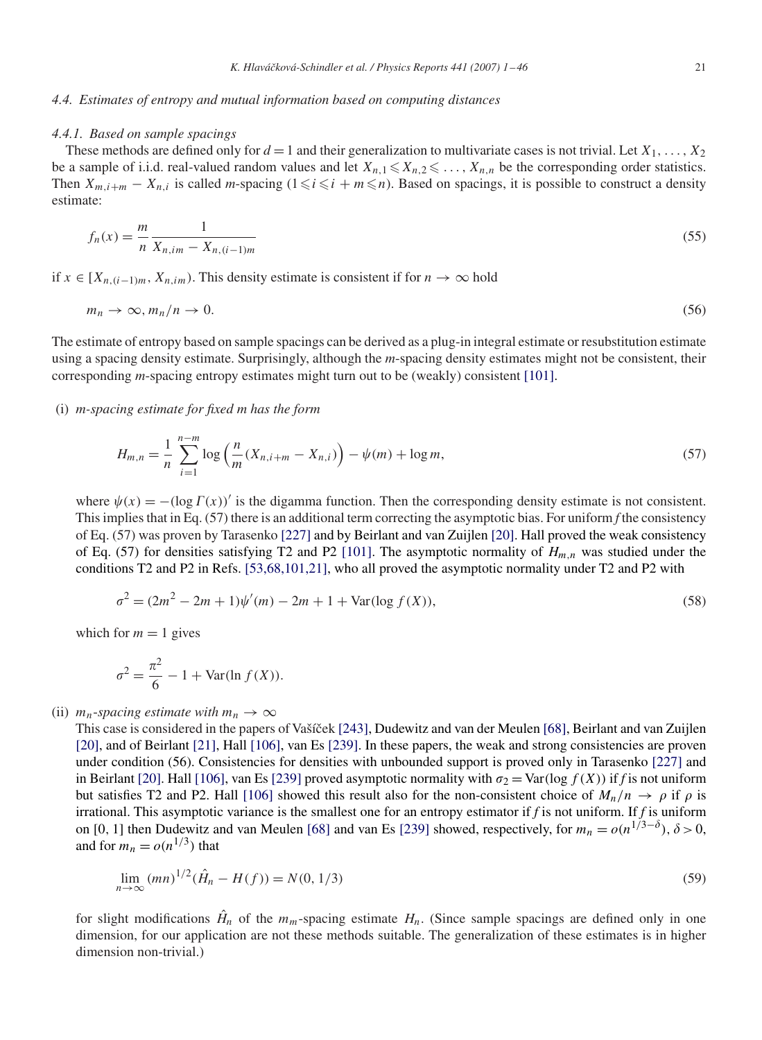# <span id="page-20-0"></span>*4.4. Estimates of entropy and mutual information based on computing distances*

#### *4.4.1. Based on sample spacings*

These methods are defined only for  $d = 1$  and their generalization to multivariate cases is not trivial. Let  $X_1, \ldots, X_2$ be a sample of i.i.d. real-valued random values and let  $X_{n,1} \leq X_{n,2} \leq \ldots, X_{n,n}$  be the corresponding order statistics. Then  $X_{m,i+m} - X_{n,i}$  is called *m*-spacing ( $1 \le i \le i + m \le n$ ). Based on spacings, it is possible to construct a density estimate:

$$
f_n(x) = \frac{m}{n} \frac{1}{X_{n, im} - X_{n, (i-1)m}}
$$
\n(55)

if *x* ∈ [ $X_{n,(i-1)m}$ ,  $X_{n,im}$ ). This density estimate is consistent if for  $n \to \infty$  hold

$$
m_n \to \infty, m_n/n \to 0. \tag{56}
$$

The estimate of entropy based on sample spacings can be derived as a plug-in integral estimate or resubstitution estimate using a spacing density estimate. Surprisingly, although the *m*-spacing density estimates might not be consistent, their corresponding *m*-spacing entropy estimates might turn out to be (weakly) consistent [\[101\].](#page-42-0)

# (i) *m-spacing estimate for fixed m has the form*

$$
H_{m,n} = \frac{1}{n} \sum_{i=1}^{n-m} \log \left( \frac{n}{m} (X_{n,i+m} - X_{n,i}) \right) - \psi(m) + \log m, \tag{57}
$$

where  $\psi(x) = -(\log \Gamma(x))'$  is the digamma function. Then the corresponding density estimate is not consistent. This implies that in Eq. (57) there is an additional term correcting the asymptotic bias. For uniform *f* the consistency of Eq. (57) was proven by Tarasenko [\[227\]](#page-45-0) and by Beirlant and van Zuijlen [\[20\].](#page-41-0) Hall proved the weak consistency of Eq. (57) for densities satisfying T2 and P2 [\[101\].](#page-42-0) The asymptotic normality of *Hm,n* was studied under the conditions T2 and P2 in Refs. [53,68,101,21], who all proved the asymptotic normality under T2 and P2 with

$$
\sigma^2 = (2m^2 - 2m + 1)\psi'(m) - 2m + 1 + \text{Var}(\log f(X)),\tag{58}
$$

which for  $m = 1$  gives

$$
\sigma^2 = \frac{\pi^2}{6} - 1 + \text{Var}(\ln f(X)).
$$

(ii)  $m_n$ -*spacing estimate with*  $m_n \to \infty$ 

This case is considered in the papers of Vašíček [\[243\],](#page-45-0) Dudewitz and van der Meulen [\[68\],](#page-42-0) Beirlant and van Zuijlen [\[20\],](#page-41-0) and of Beirlant [\[21\],](#page-41-0) Hall [\[106\],](#page-42-0) van Es [\[239\].](#page-45-0) In these papers, the weak and strong consistencies are proven under condition (56). Consistencies for densities with unbounded support is proved only in Tarasenko [\[227\]](#page-45-0) and in Beirlant [\[20\].](#page-41-0) Hall [\[106\],](#page-42-0) van Es [\[239\]](#page-45-0) proved asymptotic normality with  $\sigma_2 = \text{Var}(\log f(X))$  if *f* is not uniform but satisfies T2 and P2. Hall [\[106\]](#page-42-0) showed this result also for the non-consistent choice of  $M_n/n \to \rho$  if  $\rho$  is irrational. This asymptotic variance is the smallest one for an entropy estimator if *f* is not uniform. If *f* is uniform on [0, 1] then Dudewitz and van Meulen [\[68\]](#page-42-0) and van Es [\[239\]](#page-45-0) showed, respectively, for  $m_n = o(n^{1/3-\delta})$ ,  $\delta > 0$ , and for  $m_n = o(n^{1/3})$  that

$$
\lim_{n \to \infty} (mn)^{1/2} (\hat{H}_n - H(f)) = N(0, 1/3)
$$
\n(59)

for slight modifications  $\hat{H}_n$  of the  $m_m$ -spacing estimate  $H_n$ . (Since sample spacings are defined only in one dimension, for our application are not these methods suitable. The generalization of these estimates is in higher dimension non-trivial.)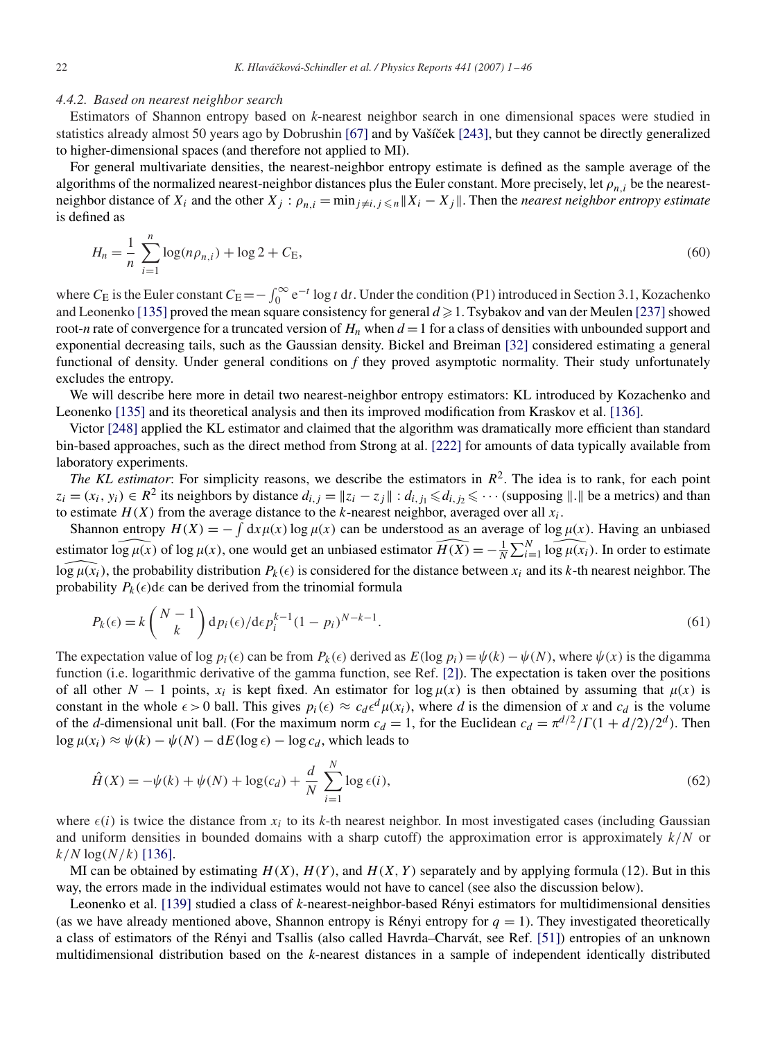# <span id="page-21-0"></span>*4.4.2. Based on nearest neighbor search*

Estimators of Shannon entropy based on *k*-nearest neighbor search in one dimensional spaces were studied in statistics already almost 50 years ago by Dobrushin [\[67\]](#page-42-0) and by Vašíček [\[243\],](#page-45-0) but they cannot be directly generalized to higher-dimensional spaces (and therefore not applied to MI).

For general multivariate densities, the nearest-neighbor entropy estimate is defined as the sample average of the algorithms of the normalized nearest-neighbor distances plus the Euler constant. More precisely, let  $\rho_{n,i}$  be the nearestneighbor distance of  $X_i$  and the other  $X_j$ :  $\rho_{n,i} = \min_{j \neq i, j \leq n} \|X_i - X_j\|$ . Then the *nearest neighbor entropy estimate* is defined as

$$
H_n = \frac{1}{n} \sum_{i=1}^n \log(n \rho_{n,i}) + \log 2 + C_E,
$$
\n(60)

where  $C_E$  is the Euler constant  $C_E = -\int_0^\infty e^{-t} \log t \, dt$ . Under the condition (P1) introduced in Section 3.1, Kozachenko and Leonenko [\[135\]](#page-43-0) proved the mean square consistency for general  $d \geq 1$ . Tsybakov and van der Meulen [\[237\]](#page-45-0) showed root-*n* rate of convergence for a truncated version of  $H_n$  when  $d=1$  for a class of densities with unbounded support and exponential decreasing tails, such as the Gaussian density. Bickel and Breiman [\[32\]](#page-41-0) considered estimating a general functional of density. Under general conditions on *f* they proved asymptotic normality. Their study unfortunately excludes the entropy.

We will describe here more in detail two nearest-neighbor entropy estimators: KL introduced by Kozachenko and Leonenko [\[135\]](#page-43-0) and its theoretical analysis and then its improved modification from Kraskov et al. [\[136\].](#page-43-0)

Victor [\[248\]](#page-45-0) applied the KL estimator and claimed that the algorithm was dramatically more efficient than standard bin-based approaches, such as the direct method from Strong at al. [\[222\]](#page-45-0) for amounts of data typically available from laboratory experiments.

*The KL estimator*: For simplicity reasons, we describe the estimators in  $R^2$ . The idea is to rank, for each point  $z_i = (x_i, y_i) \in R^2$  its neighbors by distance  $d_{i,j} = ||z_i - z_j|| : d_{i,j} \le d_{i,j} \le \cdots$  (supposing  $||.||$  be a metrics) and than to estimate  $H(X)$  from the average distance to the *k*-nearest neighbor, averaged over all  $x_i$ .

Shannon entropy  $H(X) = -\int dx \mu(x) \log \mu(x)$  can be understood as an average of log  $\mu(x)$ . Having an unbiased to estimate  $H(X)$  from the average distance to the *k*-nearest neighbor, averaged over all  $x_i$ .<br>Shannon entropy  $H(X) = -\int dx \mu(x) \log \mu(x)$  can be understood as an average of  $\log \mu(x)$ . Having an unbiased estimator  $\log \mu(x)$  of Shan<br>estimat<br> $\log \mu(x)$  $\mu(x_i)$ , the probability distribution  $P_k(\epsilon)$  is considered for the distance between  $x_i$  and its *k*-th nearest neighbor. The probability  $P_k(\epsilon)$ d $\epsilon$  can be derived from the trinomial formula

$$
P_k(\epsilon) = k \binom{N-1}{k} \mathrm{d}p_i(\epsilon) / \mathrm{d}\epsilon p_i^{k-1} (1-p_i)^{N-k-1}.
$$
\n
$$
(61)
$$

The expectation value of log  $p_i(\epsilon)$  can be from  $P_k(\epsilon)$  derived as  $E(\log p_i) = \psi(k) - \psi(N)$ , where  $\psi(x)$  is the digamma function (i.e. logarithmic derivative of the gamma function, see Ref. [\[2\]\)](#page-41-0). The expectation is taken over the positions of all other  $N-1$  points,  $x_i$  is kept fixed. An estimator for  $\log \mu(x)$  is then obtained by assuming that  $\mu(x)$  is constant in the whole  $\epsilon > 0$  ball. This gives  $p_i(\epsilon) \approx c_d \epsilon^d \mu(x_i)$ , where *d* is the dimension of *x* and  $c_d$  is the volume of the *d*-dimensional unit ball. (For the maximum norm  $c_d = 1$ , for the Euclidean  $c_d = \pi^{d/2}/\Gamma(1 + d/2)/2^d$ ). Then  $\log \mu(x_i) \approx \psi(k) - \psi(N) - dE(\log \epsilon) - \log c_d$ , which leads to

$$
\hat{H}(X) = -\psi(k) + \psi(N) + \log(c_d) + \frac{d}{N} \sum_{i=1}^{N} \log \epsilon(i),
$$
\n(62)

where  $\epsilon(i)$  is twice the distance from  $x_i$  to its *k*-th nearest neighbor. In most investigated cases (including Gaussian and uniform densities in bounded domains with a sharp cutoff) the approximation error is approximately *k/N* or *k/N* log*(N/k)* [\[136\].](#page-43-0)

MI can be obtained by estimating  $H(X)$ ,  $H(Y)$ , and  $H(X, Y)$  separately and by applying formula (12). But in this way, the errors made in the individual estimates would not have to cancel (see also the discussion below).

Leonenko et al. [\[139\]](#page-43-0) studied a class of *k*-nearest-neighbor-based Rényi estimators for multidimensional densities (as we have already mentioned above, Shannon entropy is Rényi entropy for  $q = 1$ ). They investigated theoretically a class of estimators of the Rényi and Tsallis (also called Havrda–Charvát, see Ref. [\[51\]\)](#page-41-0) entropies of an unknown multidimensional distribution based on the *k*-nearest distances in a sample of independent identically distributed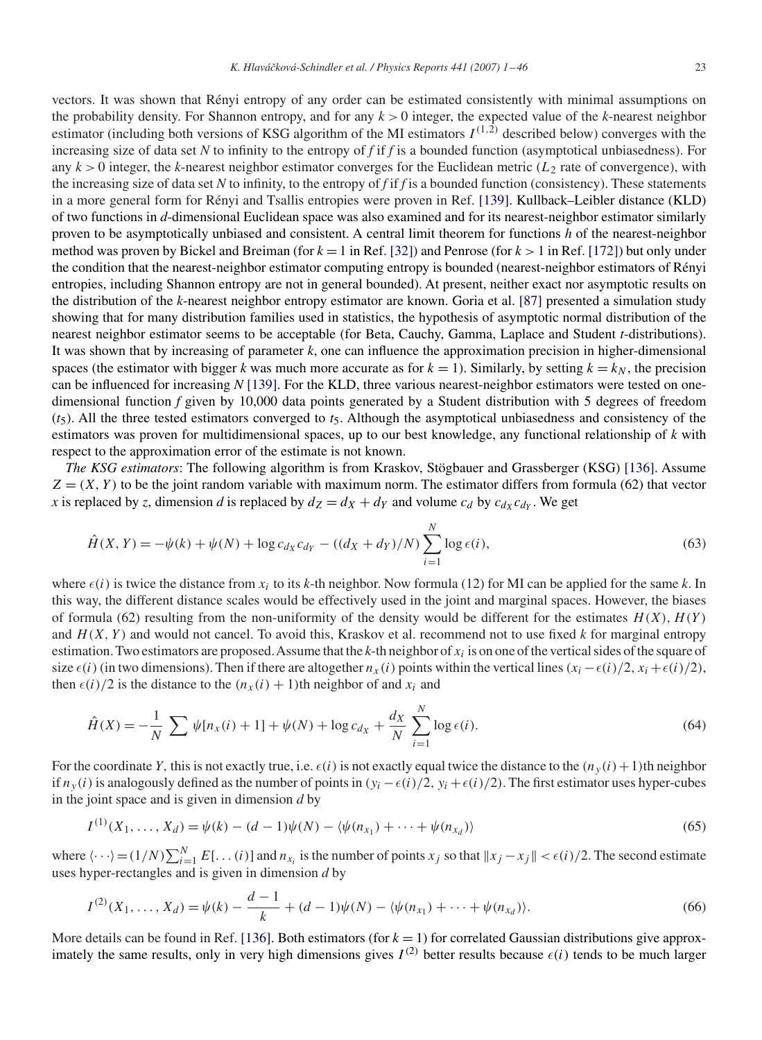vectors. It was shown that Rényi entropy of any order can be estimated consistently with minimal assumptions on the probability density. For Shannon entropy, and for any *k >* 0 integer, the expected value of the *k*-nearest neighbor estimator (including both versions of KSG algorithm of the MI estimators  $I^{(1,2)}$  described below) converges with the increasing size of data set *N* to infinity to the entropy of *f* if *f* is a bounded function (asymptotical unbiasedness). For any  $k > 0$  integer, the *k*-nearest neighbor estimator converges for the Euclidean metric ( $L<sub>2</sub>$  rate of convergence), with the increasing size of data set *N* to infinity, to the entropy of *f* if *f* is a bounded function (consistency). These statements in a more general form for Rényi and Tsallis entropies were proven in Ref. [\[139\].](#page-43-0) Kullback–Leibler distance (KLD) of two functions in *d*-dimensional Euclidean space was also examined and for its nearest-neighbor estimator similarly proven to be asymptotically unbiased and consistent. A central limit theorem for functions *h* of the nearest-neighbor method was proven by Bickel and Breiman (for *k* = 1 in Ref. [\[32\]\)](#page-41-0) and Penrose (for *k >* 1 in Ref. [\[172\]\)](#page-44-0) but only under the condition that the nearest-neighbor estimator computing entropy is bounded (nearest-neighbor estimators of Rényi entropies, including Shannon entropy are not in general bounded). At present, neither exact nor asymptotic results on the distribution of the *k*-nearest neighbor entropy estimator are known. Goria et al. [\[87\]](#page-42-0) presented a simulation study showing that for many distribution families used in statistics, the hypothesis of asymptotic normal distribution of the nearest neighbor estimator seems to be acceptable (for Beta, Cauchy, Gamma, Laplace and Student *t*-distributions). It was shown that by increasing of parameter *k*, one can influence the approximation precision in higher-dimensional spaces (the estimator with bigger *k* was much more accurate as for  $k = 1$ ). Similarly, by setting  $k = k<sub>N</sub>$ , the precision can be influenced for increasing *N* [\[139\].](#page-43-0) For the KLD, three various nearest-neighbor estimators were tested on onedimensional function *f* given by 10,000 data points generated by a Student distribution with 5 degrees of freedom (*t*5). All the three tested estimators converged to *t*5. Although the asymptotical unbiasedness and consistency of the estimators was proven for multidimensional spaces, up to our best knowledge, any functional relationship of *k* with respect to the approximation error of the estimate is not known.

*The KSG estimators*: The following algorithm is from Kraskov, Stögbauer and Grassberger (KSG) [\[136\].](#page-43-0) Assume  $Z = (X, Y)$  to be the joint random variable with maximum norm. The estimator differs from formula (62) that vector *x* is replaced by *z*, dimension *d* is replaced by  $d_Z = d_X + d_Y$  and volume  $c_d$  by  $c_{d_X}c_{d_Y}$ . We get

$$
\hat{H}(X,Y) = -\psi(k) + \psi(N) + \log c_{d_X} c_{d_Y} - ((d_X + d_Y)/N) \sum_{i=1}^{N} \log \epsilon(i),
$$
\n(63)

where  $\epsilon(i)$  is twice the distance from  $x_i$  to its k-th neighbor. Now formula (12) for MI can be applied for the same k. In this way, the different distance scales would be effectively used in the joint and marginal spaces. However, the biases of formula (62) resulting from the non-uniformity of the density would be different for the estimates  $H(X)$ ,  $H(Y)$ and  $H(X, Y)$  and would not cancel. To avoid this, Kraskov et al. recommend not to use fixed  $k$  for marginal entropy estimation. Two estimators are proposed. Assume that the  $k$ -th neighbor of  $x_i$  is on one of the vertical sides of the square of size  $\epsilon(i)$  (in two dimensions). Then if there are altogether  $n_x(i)$  points within the vertical lines  $(x_i - \epsilon(i)/2, x_i + \epsilon(i)/2)$ , then  $\epsilon(i)/2$  is the distance to the  $(n_x(i) + 1)$ th neighbor of and  $x_i$  and

$$
\hat{H}(X) = -\frac{1}{N} \sum \psi[n_x(i) + 1] + \psi(N) + \log c_{d_X} + \frac{d_X}{N} \sum_{i=1}^{N} \log \epsilon(i).
$$
\n(64)

For the coordinate *Y*, this is not exactly true, i.e.  $\epsilon(i)$  is not exactly equal twice the distance to the  $(n_y(i) + 1)$ th neighbor if  $n_y(i)$  is analogously defined as the number of points in  $(y_i - \epsilon(i)/2, y_i + \epsilon(i)/2)$ . The first estimator uses hyper-cubes in the joint space and is given in dimension *d* by

$$
I^{(1)}(X_1, ..., X_d) = \psi(k) - (d-1)\psi(N) - \langle \psi(n_{x_1}) + ... + \psi(n_{x_d}) \rangle
$$
\n(65)

where  $\langle \cdots \rangle = (1/N) \sum_{i=1}^{N} E[\dots(i)]$  and  $n_{x_i}$  is the number of points  $x_j$  so that  $||x_j - x_j|| < \epsilon(i)/2$ . The second estimate uses hyper-rectangles and is given in dimension *d* by

$$
I^{(2)}(X_1, \dots, X_d) = \psi(k) - \frac{d-1}{k} + (d-1)\psi(N) - \langle \psi(n_{x_1}) + \dots + \psi(n_{x_d}) \rangle.
$$
 (66)

More details can be found in Ref. [\[136\].](#page-43-0) Both estimators (for  $k = 1$ ) for correlated Gaussian distributions give approximately the same results, only in very high dimensions gives  $I^{(2)}$  better results because  $\epsilon(i)$  tends to be much larger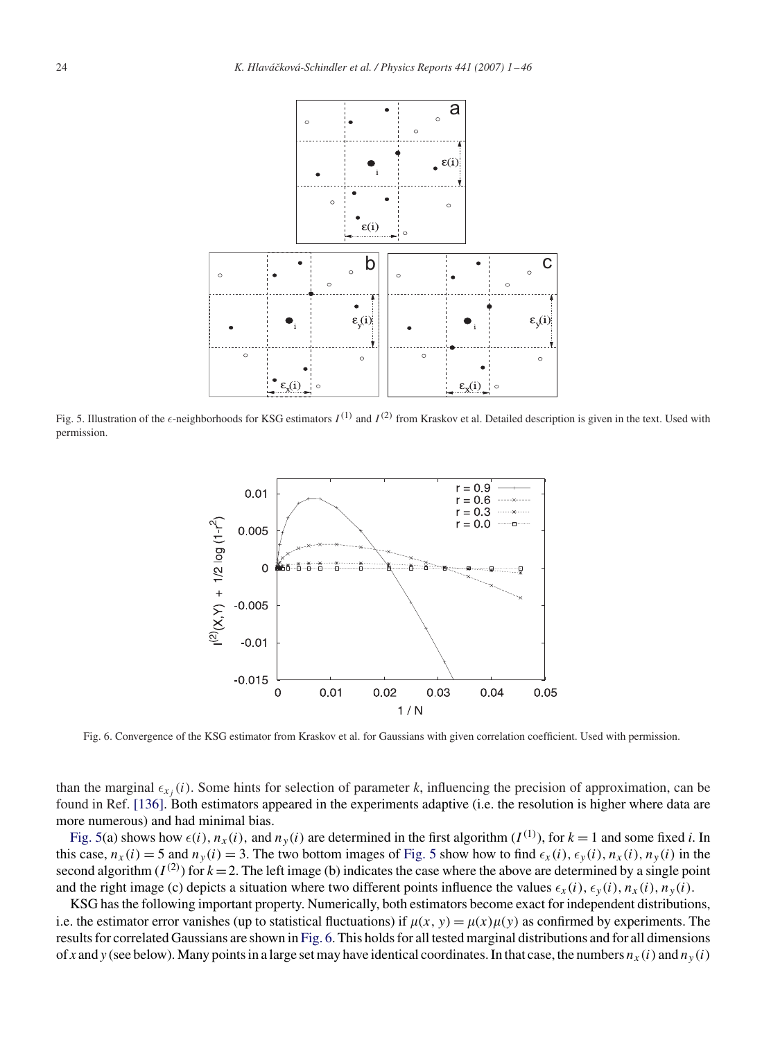

Fig. 5. Illustration of the  $\epsilon$ -neighborhoods for KSG estimators  $I^{(1)}$  and  $I^{(2)}$  from Kraskov et al. Detailed description is given in the text. Used with permission.



Fig. 6. Convergence of the KSG estimator from Kraskov et al. for Gaussians with given correlation coefficient. Used with permission.

than the marginal  $\epsilon_{x_j}(i)$ . Some hints for selection of parameter *k*, influencing the precision of approximation, can be found in Ref. [\[136\].](#page-43-0) Both estimators appeared in the experiments adaptive (i.e. the resolution is higher where data are more numerous) and had minimal bias.

Fig. 5(a) shows how  $\epsilon(i)$ ,  $n_x(i)$ , and  $n_y(i)$  are determined in the first algorithm  $(I^{(1)})$ , for  $k = 1$  and some fixed *i*. In this case,  $n_x(i) = 5$  and  $n_y(i) = 3$ . The two bottom images of Fig. 5 show how to find  $\epsilon_x(i)$ ,  $\epsilon_y(i)$ ,  $n_x(i)$ ,  $n_y(i)$  in the second algorithm  $(I^{(2)})$  for  $k = 2$ . The left image (b) indicates the case where the above are determined by a single point and the right image (c) depicts a situation where two different points influence the values  $\epsilon_x(i)$ ,  $\epsilon_y(i)$ ,  $n_x(i)$ ,  $n_y(i)$ .

KSG has the following important property. Numerically, both estimators become exact for independent distributions, i.e. the estimator error vanishes (up to statistical fluctuations) if  $\mu(x, y) = \mu(x)\mu(y)$  as confirmed by experiments. The results for correlated Gaussians are shown in Fig. 6. This holds for all tested marginal distributions and for all dimensions of *x* and *y* (see below). Many points in a large set may have identical coordinates. In that case, the numbers  $n_x(i)$  and  $n_y(i)$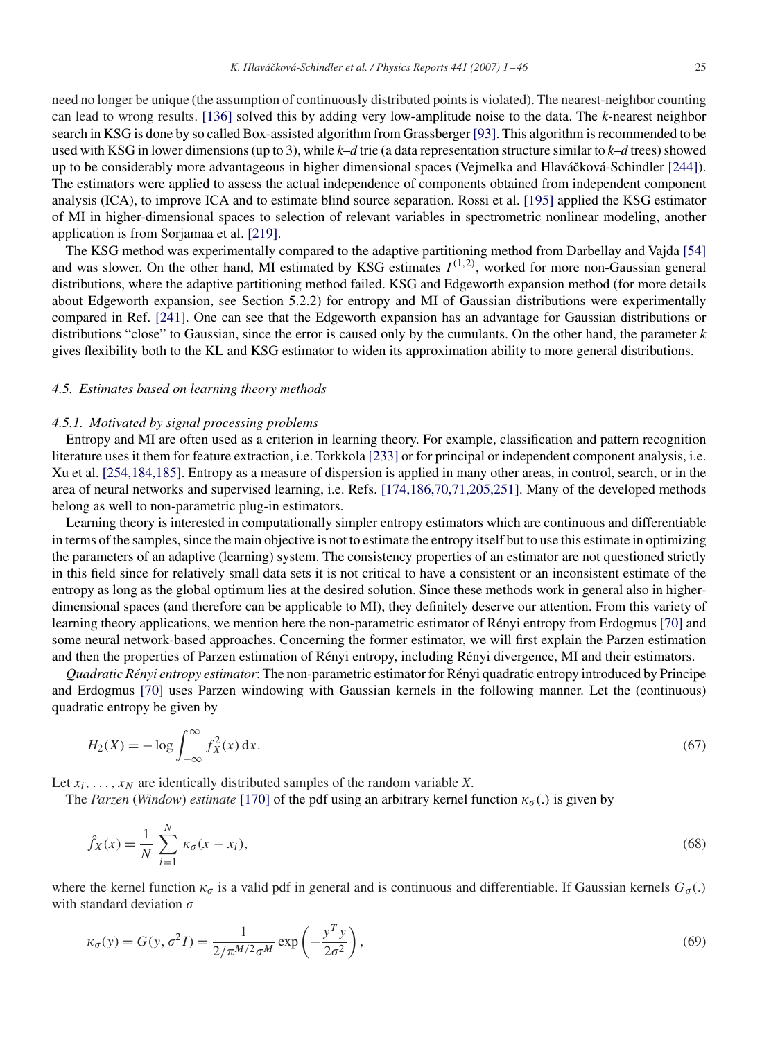<span id="page-24-0"></span>need no longer be unique (the assumption of continuously distributed points is violated). The nearest-neighbor counting can lead to wrong results. [\[136\]](#page-43-0) solved this by adding very low-amplitude noise to the data. The *k*-nearest neighbor search in KSG is done by so called Box-assisted algorithm from Grassberger [\[93\].](#page-42-0) This algorithm is recommended to be used with KSG in lower dimensions (up to 3), while *k*–*d* trie (a data representation structure similar to *k*–*d* trees) showed up to be considerably more advantageous in higher dimensional spaces (Vejmelka and Hlaváčková-Schindler [\[244\]\)](#page-45-0). The estimators were applied to assess the actual independence of components obtained from independent component analysis (ICA), to improve ICA and to estimate blind source separation. Rossi et al. [\[195\]](#page-44-0) applied the KSG estimator of MI in higher-dimensional spaces to selection of relevant variables in spectrometric nonlinear modeling, another application is from Sorjamaa et al. [\[219\].](#page-45-0)

The KSG method was experimentally compared to the adaptive partitioning method from Darbellay and Vajda [\[54\]](#page-42-0) and was slower. On the other hand, MI estimated by KSG estimates  $I^{(1,2)}$ , worked for more non-Gaussian general distributions, where the adaptive partitioning method failed. KSG and Edgeworth expansion method (for more details about Edgeworth expansion, see Section 5.2.2) for entropy and MI of Gaussian distributions were experimentally compared in Ref. [\[241\].](#page-45-0) One can see that the Edgeworth expansion has an advantage for Gaussian distributions or distributions "close" to Gaussian, since the error is caused only by the cumulants. On the other hand, the parameter *k* gives flexibility both to the KL and KSG estimator to widen its approximation ability to more general distributions.

# *4.5. Estimates based on learning theory methods*

#### *4.5.1. Motivated by signal processing problems*

Entropy and MI are often used as a criterion in learning theory. For example, classification and pattern recognition literature uses it them for feature extraction, i.e. Torkkola [\[233\]](#page-45-0) or for principal or independent component analysis, i.e. Xu et al. [254,184,185]. Entropy as a measure of dispersion is applied in many other areas, in control, search, or in the area of neural networks and supervised learning, i.e. Refs. [174,186,70,71,205,251]. Many of the developed methods belong as well to non-parametric plug-in estimators.

Learning theory is interested in computationally simpler entropy estimators which are continuous and differentiable in terms of the samples, since the main objective is not to estimate the entropy itself but to use this estimate in optimizing the parameters of an adaptive (learning) system. The consistency properties of an estimator are not questioned strictly in this field since for relatively small data sets it is not critical to have a consistent or an inconsistent estimate of the entropy as long as the global optimum lies at the desired solution. Since these methods work in general also in higherdimensional spaces (and therefore can be applicable to MI), they definitely deserve our attention. From this variety of learning theory applications, we mention here the non-parametric estimator of Rényi entropy from Erdogmus [\[70\]](#page-42-0) and some neural network-based approaches. Concerning the former estimator, we will first explain the Parzen estimation and then the properties of Parzen estimation of Rényi entropy, including Rényi divergence, MI and their estimators.

*Quadratic Rényi entropy estimator*: The non-parametric estimator for Rényi quadratic entropy introduced by Principe and Erdogmus [\[70\]](#page-42-0) uses Parzen windowing with Gaussian kernels in the following manner. Let the (continuous) quadratic entropy be given by

$$
H_2(X) = -\log \int_{-\infty}^{\infty} f_X^2(x) dx.
$$
\n(67)

Let  $x_i$ ,  $\ldots$ ,  $x_N$  are identically distributed samples of the random variable *X*.

The *Parzen* (*Window*) *estimate* [\[170\]](#page-44-0) of the pdf using an arbitrary kernel function  $\kappa_{\sigma}$ (.) is given by

$$
\hat{f}_X(x) = \frac{1}{N} \sum_{i=1}^{N} \kappa_{\sigma}(x - x_i),
$$
\n(68)

where the kernel function  $\kappa_{\sigma}$  is a valid pdf in general and is continuous and differentiable. If Gaussian kernels  $G_{\sigma}$ (.) with standard deviation  $\sigma$ 

$$
\kappa_{\sigma}(y) = G(y, \sigma^2 I) = \frac{1}{2/\pi^{M/2} \sigma^M} \exp\left(-\frac{y^T y}{2\sigma^2}\right),\tag{69}
$$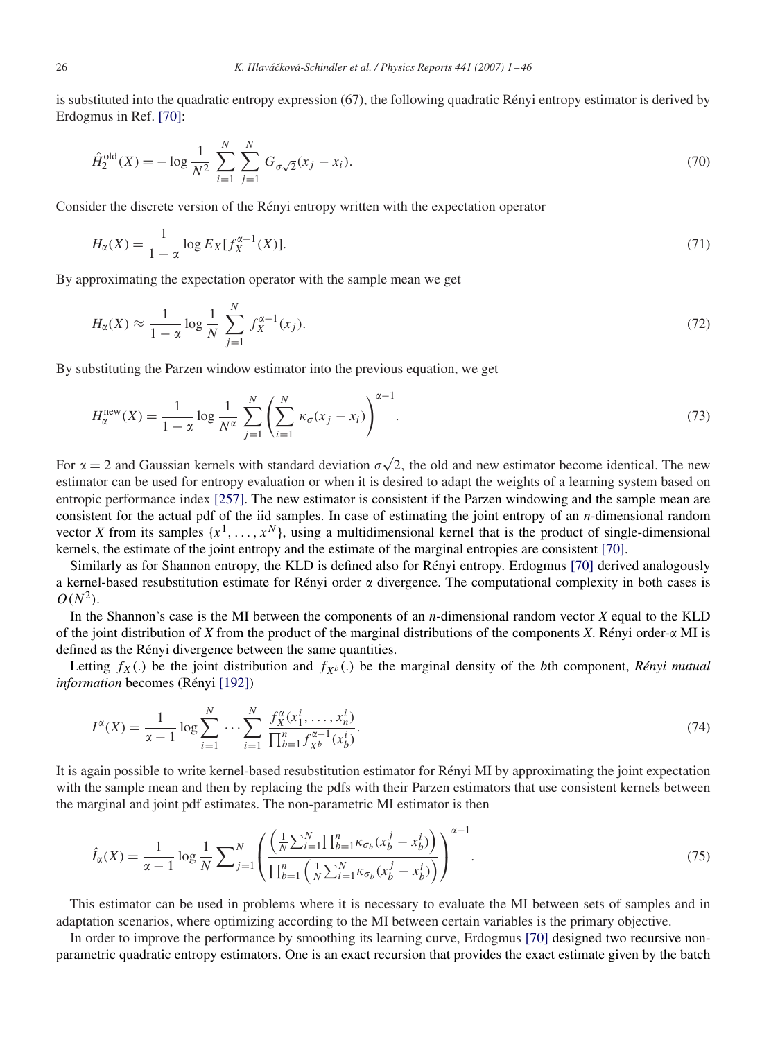is substituted into the quadratic entropy expression (67), the following quadratic Rényi entropy estimator is derived by Erdogmus in Ref. [\[70\]:](#page-42-0)

$$
\hat{H}_2^{\text{old}}(X) = -\log \frac{1}{N^2} \sum_{i=1}^{N} \sum_{j=1}^{N} G_{\sigma\sqrt{2}}(x_j - x_i). \tag{70}
$$

Consider the discrete version of the Rényi entropy written with the expectation operator

$$
H_{\alpha}(X) = \frac{1}{1-\alpha} \log E_X[f_X^{\alpha-1}(X)].
$$
\n<sup>(71)</sup>

By approximating the expectation operator with the sample mean we get

$$
H_{\alpha}(X) \approx \frac{1}{1-\alpha} \log \frac{1}{N} \sum_{j=1}^{N} f_{X}^{\alpha-1}(x_{j}).
$$
\n(72)

By substituting the Parzen window estimator into the previous equation, we get

$$
H_{\alpha}^{\text{new}}(X) = \frac{1}{1-\alpha} \log \frac{1}{N^{\alpha}} \sum_{j=1}^{N} \left( \sum_{i=1}^{N} \kappa_{\sigma}(x_j - x_i) \right)^{\alpha - 1}.
$$
 (73)

For  $\alpha = 2$  and Gaussian kernels with standard deviation  $\sigma\sqrt{2}$ , the old and new estimator become identical. The new estimator can be used for entropy evaluation or when it is desired to adapt the weights of a learning system based on entropic performance index [\[257\].](#page-45-0) The new estimator is consistent if the Parzen windowing and the sample mean are consistent for the actual pdf of the iid samples. In case of estimating the joint entropy of an *n*-dimensional random vector *X* from its samples  $\{x^1, \ldots, x^N\}$ , using a multidimensional kernel that is the product of single-dimensional kernels, the estimate of the joint entropy and the estimate of the marginal entropies are consistent [\[70\].](#page-42-0)

Similarly as for Shannon entropy, the KLD is defined also for Rényi entropy. Erdogmus [\[70\]](#page-42-0) derived analogously a kernel-based resubstitution estimate for Rényi order  $\alpha$  divergence. The computational complexity in both cases is  $O(N^2)$ .

In the Shannon's case is the MI between the components of an *n*-dimensional random vector *X* equal to the KLD of the joint distribution of *X* from the product of the marginal distributions of the components *X*. Rényi order- $\alpha$  MI is defined as the Rényi divergence between the same quantities.

Letting  $f_X(.)$  be the joint distribution and  $f_{X^b}(.)$  be the marginal density of the *b*th component, *Rényi mutual information* becomes (Rényi [\[192\]\)](#page-44-0)

$$
I^{\alpha}(X) = \frac{1}{\alpha - 1} \log \sum_{i=1}^{N} \cdots \sum_{i=1}^{N} \frac{f_{X}^{\alpha}(x_1^i, \dots, x_n^i)}{\prod_{b=1}^{n} f_{X^b}^{\alpha - 1}(x_b^i)}.
$$
(74)

It is again possible to write kernel-based resubstitution estimator for Rényi MI by approximating the joint expectation with the sample mean and then by replacing the pdfs with their Parzen estimators that use consistent kernels between the marginal and joint pdf estimates. The non-parametric MI estimator is then

$$
\hat{I}_{\alpha}(X) = \frac{1}{\alpha - 1} \log \frac{1}{N} \sum_{j=1}^{N} \left( \frac{\left(\frac{1}{N} \sum_{i=1}^{N} \prod_{b=1}^{n} \kappa_{\sigma_b}(x_b^j - x_b^i)\right)}{\prod_{b=1}^{n} \left(\frac{1}{N} \sum_{i=1}^{N} \kappa_{\sigma_b}(x_b^j - x_b^i)\right)} \right)^{\alpha - 1}.
$$
\n(75)

This estimator can be used in problems where it is necessary to evaluate the MI between sets of samples and in adaptation scenarios, where optimizing according to the MI between certain variables is the primary objective.

In order to improve the performance by smoothing its learning curve, Erdogmus [\[70\]](#page-42-0) designed two recursive nonparametric quadratic entropy estimators. One is an exact recursion that provides the exact estimate given by the batch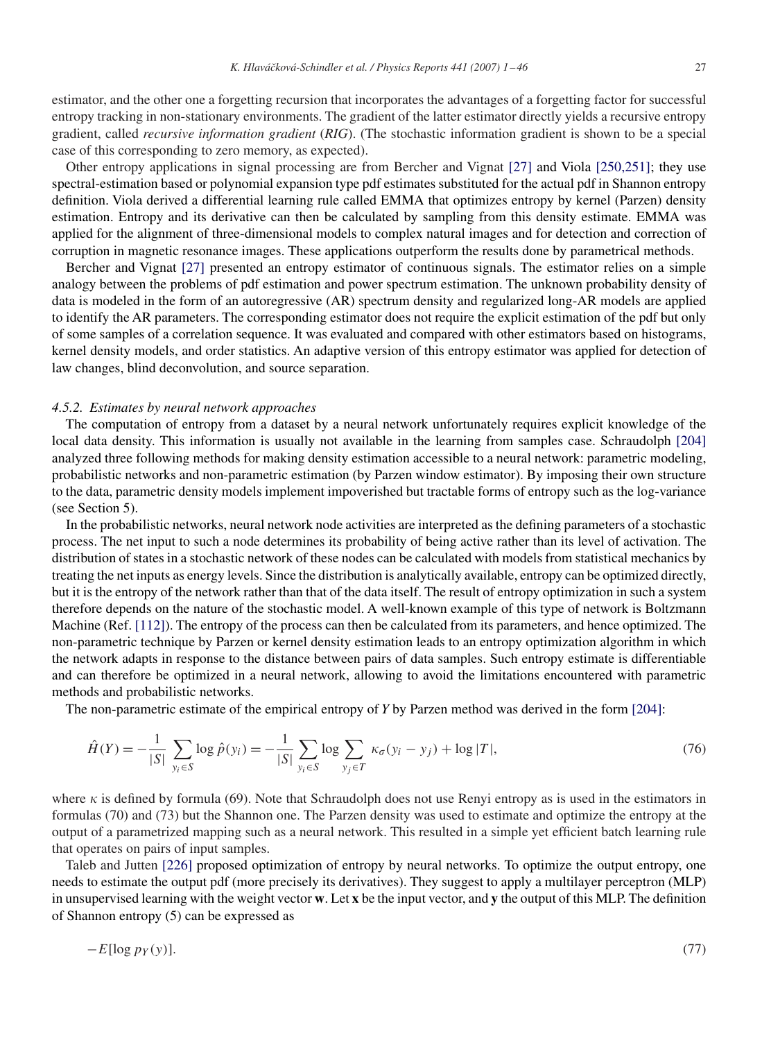<span id="page-26-0"></span>estimator, and the other one a forgetting recursion that incorporates the advantages of a forgetting factor for successful entropy tracking in non-stationary environments. The gradient of the latter estimator directly yields a recursive entropy gradient, called *recursive information gradient* (*RIG*). (The stochastic information gradient is shown to be a special case of this corresponding to zero memory, as expected).

Other entropy applications in signal processing are from Bercher and Vignat [\[27\]](#page-41-0) and Viola [250,251]; they use spectral-estimation based or polynomial expansion type pdf estimates substituted for the actual pdf in Shannon entropy definition. Viola derived a differential learning rule called EMMA that optimizes entropy by kernel (Parzen) density estimation. Entropy and its derivative can then be calculated by sampling from this density estimate. EMMA was applied for the alignment of three-dimensional models to complex natural images and for detection and correction of corruption in magnetic resonance images. These applications outperform the results done by parametrical methods.

Bercher and Vignat [\[27\]](#page-41-0) presented an entropy estimator of continuous signals. The estimator relies on a simple analogy between the problems of pdf estimation and power spectrum estimation. The unknown probability density of data is modeled in the form of an autoregressive (AR) spectrum density and regularized long-AR models are applied to identify the AR parameters. The corresponding estimator does not require the explicit estimation of the pdf but only of some samples of a correlation sequence. It was evaluated and compared with other estimators based on histograms, kernel density models, and order statistics. An adaptive version of this entropy estimator was applied for detection of law changes, blind deconvolution, and source separation.

## *4.5.2. Estimates by neural network approaches*

The computation of entropy from a dataset by a neural network unfortunately requires explicit knowledge of the local data density. This information is usually not available in the learning from samples case. Schraudolph [\[204\]](#page-45-0) analyzed three following methods for making density estimation accessible to a neural network: parametric modeling, probabilistic networks and non-parametric estimation (by Parzen window estimator). By imposing their own structure to the data, parametric density models implement impoverished but tractable forms of entropy such as the log-variance (see Section 5).

In the probabilistic networks, neural network node activities are interpreted as the defining parameters of a stochastic process. The net input to such a node determines its probability of being active rather than its level of activation. The distribution of states in a stochastic network of these nodes can be calculated with models from statistical mechanics by treating the net inputs as energy levels. Since the distribution is analytically available, entropy can be optimized directly, but it is the entropy of the network rather than that of the data itself. The result of entropy optimization in such a system therefore depends on the nature of the stochastic model. A well-known example of this type of network is Boltzmann Machine (Ref. [\[112\]\)](#page-43-0). The entropy of the process can then be calculated from its parameters, and hence optimized. The non-parametric technique by Parzen or kernel density estimation leads to an entropy optimization algorithm in which the network adapts in response to the distance between pairs of data samples. Such entropy estimate is differentiable and can therefore be optimized in a neural network, allowing to avoid the limitations encountered with parametric methods and probabilistic networks.

The non-parametric estimate of the empirical entropy of *Y* by Parzen method was derived in the form [\[204\]:](#page-45-0)

$$
\hat{H}(Y) = -\frac{1}{|S|} \sum_{y_i \in S} \log \hat{p}(y_i) = -\frac{1}{|S|} \sum_{y_i \in S} \log \sum_{y_j \in T} \kappa_{\sigma}(y_i - y_j) + \log |T|,
$$
\n(76)

where  $\kappa$  is defined by formula (69). Note that Schraudolph does not use Renyi entropy as is used in the estimators in formulas (70) and (73) but the Shannon one. The Parzen density was used to estimate and optimize the entropy at the output of a parametrized mapping such as a neural network. This resulted in a simple yet efficient batch learning rule that operates on pairs of input samples.

Taleb and Jutten [\[226\]](#page-45-0) proposed optimization of entropy by neural networks. To optimize the output entropy, one needs to estimate the output pdf (more precisely its derivatives). They suggest to apply a multilayer perceptron (MLP) in unsupervised learning with the weight vector **w**. Let **x** be the input vector, and **y** the output of this MLP. The definition of Shannon entropy (5) can be expressed as

$$
-E[\log py(y)].\tag{77}
$$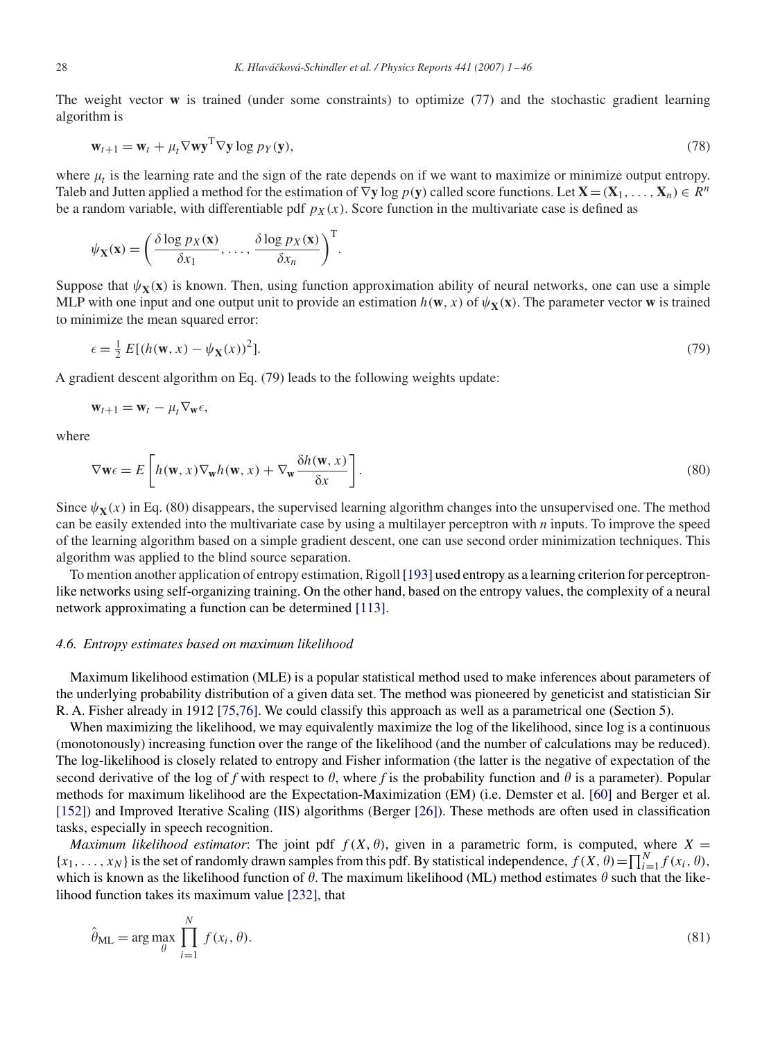<span id="page-27-0"></span>The weight vector **w** is trained (under some constraints) to optimize (77) and the stochastic gradient learning algorithm is

$$
\mathbf{w}_{t+1} = \mathbf{w}_t + \mu_t \nabla \mathbf{w} \mathbf{y}^{\mathrm{T}} \nabla \mathbf{y} \log p_Y(\mathbf{y}),\tag{78}
$$

where  $\mu_t$  is the learning rate and the sign of the rate depends on if we want to maximize or minimize output entropy. Taleb and Jutten applied a method for the estimation of  $\nabla$ **y** log  $p$ (**y**) called score functions. Let  $\mathbf{X} = (\mathbf{X}_1, \dots, \mathbf{X}_n) \in \mathbb{R}^n$ be a random variable, with differentiable pdf  $p_X(x)$ . Score function in the multivariate case is defined as

$$
\psi_{\mathbf{X}}(\mathbf{x}) = \left(\frac{\delta \log p_X(\mathbf{x})}{\delta x_1}, \dots, \frac{\delta \log p_X(\mathbf{x})}{\delta x_n}\right)^T.
$$

Suppose that  $\psi_{\mathbf{X}}(\mathbf{x})$  is known. Then, using function approximation ability of neural networks, one can use a simple MLP with one input and one output unit to provide an estimation  $h(\mathbf{w}, x)$  of  $\psi_{\mathbf{X}}(\mathbf{x})$ . The parameter vector **w** is trained to minimize the mean squared error:

$$
\epsilon = \frac{1}{2} E[(h(\mathbf{w}, x) - \psi_{\mathbf{X}}(x))^2].
$$
\n(79)

A gradient descent algorithm on Eq. (79) leads to the following weights update:

$$
\mathbf{w}_{t+1} = \mathbf{w}_t - \mu_t \nabla_{\mathbf{w}} \epsilon,
$$

where

$$
\nabla \mathbf{w} \epsilon = E \left[ h(\mathbf{w}, x) \nabla_{\mathbf{w}} h(\mathbf{w}, x) + \nabla_{\mathbf{w}} \frac{\delta h(\mathbf{w}, x)}{\delta x} \right].
$$
\n(80)

Since  $\psi_{\mathbf{X}}(x)$  in Eq. (80) disappears, the supervised learning algorithm changes into the unsupervised one. The method can be easily extended into the multivariate case by using a multilayer perceptron with *n* inputs. To improve the speed of the learning algorithm based on a simple gradient descent, one can use second order minimization techniques. This algorithm was applied to the blind source separation.

To mention another application of entropy estimation, Rigoll[\[193\]](#page-44-0) used entropy as a learning criterion for perceptronlike networks using self-organizing training. On the other hand, based on the entropy values, the complexity of a neural network approximating a function can be determined [\[113\].](#page-43-0)

## *4.6. Entropy estimates based on maximum likelihood*

Maximum likelihood estimation (MLE) is a popular statistical method used to make inferences about parameters of the underlying probability distribution of a given data set. The method was pioneered by geneticist and statistician Sir R. A. Fisher already in 1912 [75,76]. We could classify this approach as well as a parametrical one (Section 5).

When maximizing the likelihood, we may equivalently maximize the log of the likelihood, since log is a continuous (monotonously) increasing function over the range of the likelihood (and the number of calculations may be reduced). The log-likelihood is closely related to entropy and Fisher information (the latter is the negative of expectation of the second derivative of the log of *f* with respect to  $\theta$ , where *f* is the probability function and  $\theta$  is a parameter). Popular methods for maximum likelihood are the Expectation-Maximization (EM) (i.e. Demster et al. [\[60\]](#page-42-0) and Berger et al. [\[152\]\)](#page-43-0) and Improved Iterative Scaling (IIS) algorithms (Berger [\[26\]\)](#page-41-0). These methods are often used in classification tasks, especially in speech recognition.

*Maximum likelihood estimator*: The joint pdf  $f(X, \theta)$ , given in a parametric form, is computed, where  $X =$  $\{x_1, \ldots, x_N\}$  is the set of randomly drawn samples from this pdf. By statistical independence,  $f(X, \theta) = \prod_{i=1}^N f(x_i, \theta)$ , which is known as the likelihood function of  $\theta$ . The maximum likelihood (ML) method estimates  $\theta$  such that the likelihood function takes its maximum value [\[232\],](#page-45-0) that

$$
\hat{\theta}_{\text{ML}} = \arg \max_{\theta} \prod_{i=1}^{N} f(x_i, \theta). \tag{81}
$$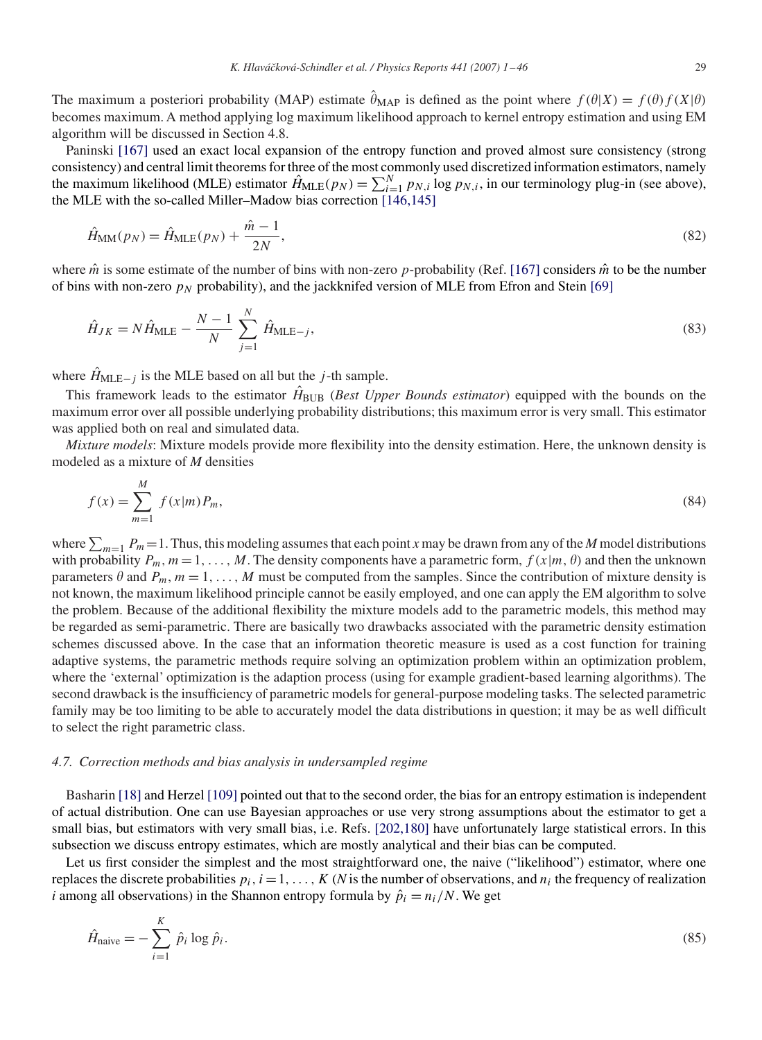<span id="page-28-0"></span>The maximum a posteriori probability (MAP) estimate  $\hat{\theta}_{MAP}$  is defined as the point where  $f(\theta|X) = f(\theta)f(X|\theta)$ becomes maximum. A method applying log maximum likelihood approach to kernel entropy estimation and using EM algorithm will be discussed in Section 4.8.

Paninski [\[167\]](#page-44-0) used an exact local expansion of the entropy function and proved almost sure consistency (strong consistency) and central limit theorems for three of the most commonly used discretized information estimators, namely the maximum likelihood (MLE) estimator  $\hat{H}_{MLE}(p_N) = \sum_{i=1}^{N} p_{N,i} \log p_{N,i}$ , in our terminology plug-in (see above), the MLE with the so-called Miller–Madow bias correction [146,145]

$$
\hat{H}_{\text{MM}}(p_N) = \hat{H}_{\text{MLE}}(p_N) + \frac{\hat{m} - 1}{2N},
$$
\n(82)

where  $\hat{m}$  is some estimate of the number of bins with non-zero *p*-probability (Ref. [\[167\]](#page-44-0) considers  $\hat{m}$  to be the number of bins with non-zero  $p_N$  probability), and the jackknifed version of MLE from Efron and Stein [\[69\]](#page-42-0)

$$
\hat{H}_{JK} = N\hat{H}_{MLE} - \frac{N-1}{N} \sum_{j=1}^{N} \hat{H}_{MLE-j},
$$
\n(83)

where  $\hat{H}_{MLE-j}$  is the MLE based on all but the *j*-th sample.

This framework leads to the estimator  $\hat{H}_{\text{BUB}}$  (*Best Upper Bounds estimator*) equipped with the bounds on the maximum error over all possible underlying probability distributions; this maximum error is very small. This estimator was applied both on real and simulated data.

*Mixture models*: Mixture models provide more flexibility into the density estimation. Here, the unknown density is modeled as a mixture of *M* densities

$$
f(x) = \sum_{m=1}^{M} f(x|m)P_m,
$$
\n(84)

where  $\sum_{m=1} P_m = 1$ . Thus, this modeling assumes that each point *x* may be drawn from any of the *M* model distributions with probability  $P_m$ ,  $m=1,\ldots,M$ . The density components have a parametric form,  $f(x|m, \theta)$  and then the unknown parameters  $\theta$  and  $P_m$ ,  $m = 1, \ldots, M$  must be computed from the samples. Since the contribution of mixture density is not known, the maximum likelihood principle cannot be easily employed, and one can apply the EM algorithm to solve the problem. Because of the additional flexibility the mixture models add to the parametric models, this method may be regarded as semi-parametric. There are basically two drawbacks associated with the parametric density estimation schemes discussed above. In the case that an information theoretic measure is used as a cost function for training adaptive systems, the parametric methods require solving an optimization problem within an optimization problem, where the 'external' optimization is the adaption process (using for example gradient-based learning algorithms). The second drawback is the insufficiency of parametric models for general-purpose modeling tasks. The selected parametric family may be too limiting to be able to accurately model the data distributions in question; it may be as well difficult to select the right parametric class.

## *4.7. Correction methods and bias analysis in undersampled regime*

Basharin [\[18\]](#page-41-0) and Herzel [\[109\]](#page-43-0) pointed out that to the second order, the bias for an entropy estimation is independent of actual distribution. One can use Bayesian approaches or use very strong assumptions about the estimator to get a small bias, but estimators with very small bias, i.e. Refs. [202,180] have unfortunately large statistical errors. In this subsection we discuss entropy estimates, which are mostly analytical and their bias can be computed.

Let us first consider the simplest and the most straightforward one, the naive ("likelihood") estimator, where one replaces the discrete probabilities  $p_i$ ,  $i = 1, \ldots, K$  (*N* is the number of observations, and  $n_i$  the frequency of realization *i* among all observations) in the Shannon entropy formula by  $\hat{p}_i = n_i/N$ . We get

$$
\hat{H}_{\text{naive}} = -\sum_{i=1}^{K} \hat{p}_i \log \hat{p}_i. \tag{85}
$$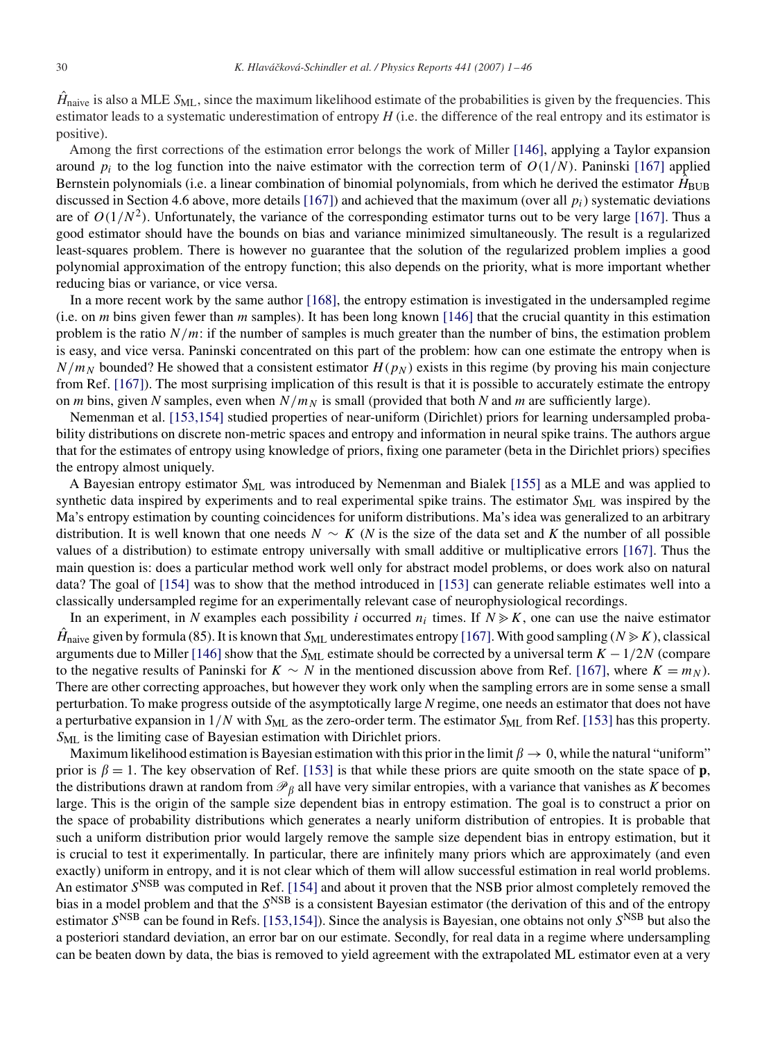$\hat{H}_{\text{naive}}$  is also a MLE  $S_{\text{ML}}$ , since the maximum likelihood estimate of the probabilities is given by the frequencies. This estimator leads to a systematic underestimation of entropy *H* (i.e. the difference of the real entropy and its estimator is positive).

Among the first corrections of the estimation error belongs the work of Miller [\[146\],](#page-43-0) applying a Taylor expansion around  $p_i$  to the log function into the naive estimator with the correction term of  $O(1/N)$ . Paninski [\[167\]](#page-44-0) applied Bernstein polynomials (i.e. a linear combination of binomial polynomials, from which he derived the estimator  $\hat{H}_{\text{BUB}}$ discussed in Section 4.6 above, more details [\[167\]\)](#page-44-0) and achieved that the maximum (over all *pi*) systematic deviations are of  $O(1/N^2)$ . Unfortunately, the variance of the corresponding estimator turns out to be very large [\[167\].](#page-44-0) Thus a good estimator should have the bounds on bias and variance minimized simultaneously. The result is a regularized least-squares problem. There is however no guarantee that the solution of the regularized problem implies a good polynomial approximation of the entropy function; this also depends on the priority, what is more important whether reducing bias or variance, or vice versa.

In a more recent work by the same author [\[168\],](#page-44-0) the entropy estimation is investigated in the undersampled regime (i.e. on *m* bins given fewer than *m* samples). It has been long known [\[146\]](#page-43-0) that the crucial quantity in this estimation problem is the ratio  $N/m$ : if the number of samples is much greater than the number of bins, the estimation problem is easy, and vice versa. Paninski concentrated on this part of the problem: how can one estimate the entropy when is  $N/m_N$  bounded? He showed that a consistent estimator  $H(p_N)$  exists in this regime (by proving his main conjecture from Ref. [\[167\]\)](#page-44-0). The most surprising implication of this result is that it is possible to accurately estimate the entropy on *m* bins, given *N* samples, even when  $N/m_N$  is small (provided that both *N* and *m* are sufficiently large).

Nemenman et al. [153,154] studied properties of near-uniform (Dirichlet) priors for learning undersampled probability distributions on discrete non-metric spaces and entropy and information in neural spike trains. The authors argue that for the estimates of entropy using knowledge of priors, fixing one parameter (beta in the Dirichlet priors) specifies the entropy almost uniquely.

A Bayesian entropy estimator *S<sub>ML</sub>* was introduced by Nemenman and Bialek [\[155\]](#page-43-0) as a MLE and was applied to synthetic data inspired by experiments and to real experimental spike trains. The estimator  $S_{ML}$  was inspired by the Ma's entropy estimation by counting coincidences for uniform distributions. Ma's idea was generalized to an arbitrary distribution. It is well known that one needs *N* ∼ *K* (*N* is the size of the data set and *K* the number of all possible values of a distribution) to estimate entropy universally with small additive or multiplicative errors [\[167\].](#page-44-0) Thus the main question is: does a particular method work well only for abstract model problems, or does work also on natural data? The goal of [\[154\]](#page-43-0) was to show that the method introduced in [\[153\]](#page-43-0) can generate reliable estimates well into a classically undersampled regime for an experimentally relevant case of neurophysiological recordings.

In an experiment, in *N* examples each possibility *i* occurred  $n_i$  times. If  $N \ge K$ , one can use the naive estimator  $\hat{H}_{\text{naive}}$  given by formula (85). It is known that *S<sub>ML</sub>* underestimates entropy [\[167\].](#page-44-0) With good sampling (*N* $\gg K$ ), classical arguments due to Miller [\[146\]](#page-43-0) show that the  $S_{ML}$  estimate should be corrected by a universal term  $K - 1/2N$  (compare to the negative results of Paninski for  $K \sim N$  in the mentioned discussion above from Ref. [\[167\],](#page-44-0) where  $K = m_N$ ). There are other correcting approaches, but however they work only when the sampling errors are in some sense a small perturbation. To make progress outside of the asymptotically large *N* regime, one needs an estimator that does not have a perturbative expansion in  $1/N$  with  $S_{ML}$  as the zero-order term. The estimator  $S_{ML}$  from Ref. [\[153\]](#page-43-0) has this property. *S*ML is the limiting case of Bayesian estimation with Dirichlet priors.

Maximum likelihood estimation is Bayesian estimation with this prior in the limit  $\beta \to 0$ , while the natural "uniform" prior is  $\beta = 1$ . The key observation of Ref. [\[153\]](#page-43-0) is that while these priors are quite smooth on the state space of **p**, the distributions drawn at random from  $\mathcal{P}_\beta$  all have very similar entropies, with a variance that vanishes as *K* becomes large. This is the origin of the sample size dependent bias in entropy estimation. The goal is to construct a prior on the space of probability distributions which generates a nearly uniform distribution of entropies. It is probable that such a uniform distribution prior would largely remove the sample size dependent bias in entropy estimation, but it is crucial to test it experimentally. In particular, there are infinitely many priors which are approximately (and even exactly) uniform in entropy, and it is not clear which of them will allow successful estimation in real world problems. An estimator *S*<sup>NSB</sup> was computed in Ref. [\[154\]](#page-43-0) and about it proven that the NSB prior almost completely removed the bias in a model problem and that the *S<sup>NSB</sup>* is a consistent Bayesian estimator (the derivation of this and of the entropy estimator *S*<sup>NSB</sup> can be found in Refs. [153,154]). Since the analysis is Bayesian, one obtains not only *S*<sup>NSB</sup> but also the a posteriori standard deviation, an error bar on our estimate. Secondly, for real data in a regime where undersampling can be beaten down by data, the bias is removed to yield agreement with the extrapolated ML estimator even at a very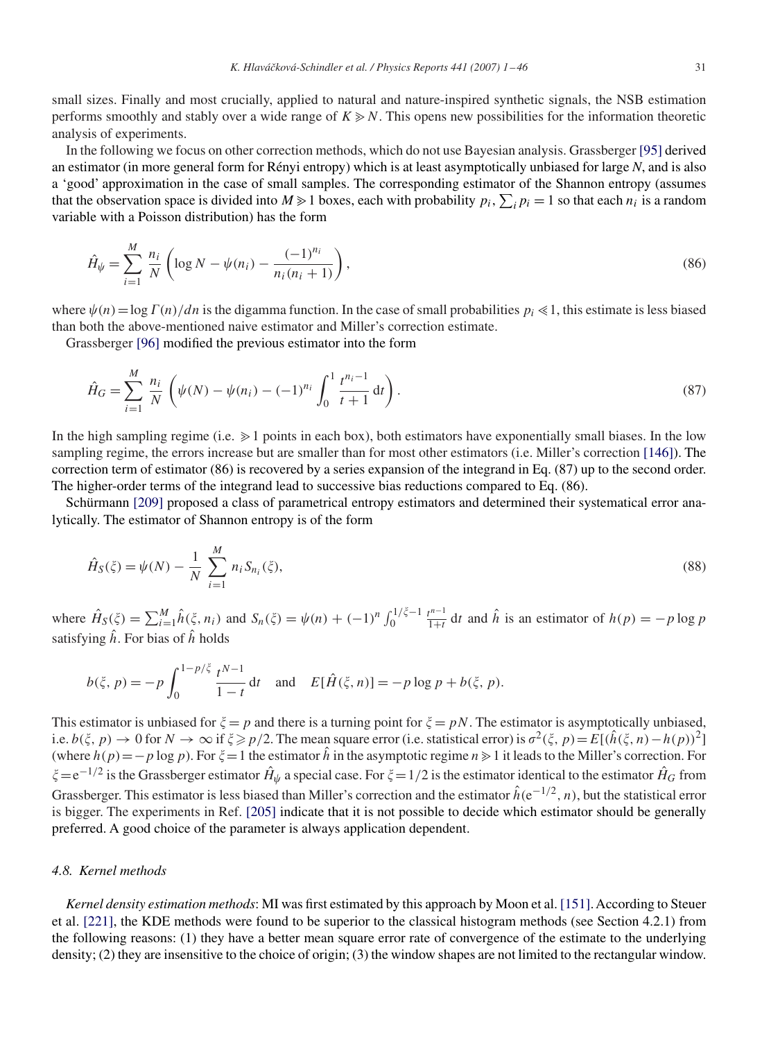<span id="page-30-0"></span>small sizes. Finally and most crucially, applied to natural and nature-inspired synthetic signals, the NSB estimation performs smoothly and stably over a wide range of  $K \ge N$ . This opens new possibilities for the information theoretic analysis of experiments.

In the following we focus on other correction methods, which do not use Bayesian analysis. Grassberger [\[95\]](#page-42-0) derived an estimator (in more general form for Rényi entropy) which is at least asymptotically unbiased for large *N*, and is also a 'good' approximation in the case of small samples. The corresponding estimator of the Shannon entropy (assumes that the observation space is divided into  $M \ge 1$  boxes, each with probability  $p_i$ ,  $\sum_i p_i = 1$  so that each  $n_i$  is a random variable with a Poisson distribution) has the form

$$
\hat{H}_{\psi} = \sum_{i=1}^{M} \frac{n_i}{N} \left( \log N - \psi(n_i) - \frac{(-1)^{n_i}}{n_i(n_i + 1)} \right),\tag{86}
$$

where  $\psi(n) = \log \Gamma(n)/dn$  is the digamma function. In the case of small probabilities  $p_i \leq 1$ , this estimate is less biased than both the above-mentioned naive estimator and Miller's correction estimate.

Grassberger [\[96\]](#page-42-0) modified the previous estimator into the form

$$
\hat{H}_G = \sum_{i=1}^M \frac{n_i}{N} \left( \psi(N) - \psi(n_i) - (-1)^{n_i} \int_0^1 \frac{t^{n_i - 1}}{t + 1} dt \right).
$$
\n(87)

In the high sampling regime (i.e.  $\geq 1$  points in each box), both estimators have exponentially small biases. In the low sampling regime, the errors increase but are smaller than for most other estimators (i.e. Miller's correction [\[146\]\)](#page-43-0). The correction term of estimator (86) is recovered by a series expansion of the integrand in Eq. (87) up to the second order. The higher-order terms of the integrand lead to successive bias reductions compared to Eq. (86).

Schürmann [\[209\]](#page-45-0) proposed a class of parametrical entropy estimators and determined their systematical error analytically. The estimator of Shannon entropy is of the form

$$
\hat{H}_S(\xi) = \psi(N) - \frac{1}{N} \sum_{i=1}^{M} n_i S_{n_i}(\xi),
$$
\n(88)

where  $\hat{H}_S(\xi) = \sum_{i=1}^M \hat{h}(\xi, n_i)$  and  $S_n(\xi) = \psi(n) + (-1)^n \int_0^{1/\xi - 1} \frac{i^{n-1}}{1+i} dt$  and  $\hat{h}$  is an estimator of  $h(p) = -p \log p$ satisfying  $\hat{h}$ . For bias of  $\hat{h}$  holds

$$
b(\xi, p) = -p \int_0^{1-p/\xi} \frac{t^{N-1}}{1-t} dt \text{ and } E[\hat{H}(\xi, n)] = -p \log p + b(\xi, p).
$$

This estimator is unbiased for  $\xi = p$  and there is a turning point for  $\xi = pN$ . The estimator is asymptotically unbiased, i.e.  $b(\xi, p) \to 0$  for  $N \to \infty$  if  $\xi \geq p/2$ . The mean square error (i.e. statistical error) is  $\sigma^2(\xi, p) = E[(\hat{h}(\xi, n) - h(p))^2]$ (where  $h(p) = -p \log p$ ). For  $\xi = 1$  the estimator  $\hat{h}$  in the asymptotic regime  $n \ge 1$  it leads to the Miller's correction. For  $\zeta = e^{-1/2}$  is the Grassberger estimator  $\hat{H}_{\psi}$  a special case. For  $\zeta = 1/2$  is the estimator identical to the estimator  $\hat{H}_G$  from Grassberger. This estimator is less biased than Miller's correction and the estimator  $\hat{h}(e^{-1/2}, n)$ , but the statistical error is bigger. The experiments in Ref. [\[205\]](#page-45-0) indicate that it is not possible to decide which estimator should be generally preferred. A good choice of the parameter is always application dependent.

## *4.8. Kernel methods*

*Kernel density estimation methods*: MI was first estimated by this approach by Moon et al. [\[151\].](#page-43-0) According to Steuer et al. [\[221\],](#page-45-0) the KDE methods were found to be superior to the classical histogram methods (see Section 4.2.1) from the following reasons: (1) they have a better mean square error rate of convergence of the estimate to the underlying density; (2) they are insensitive to the choice of origin; (3) the window shapes are not limited to the rectangular window.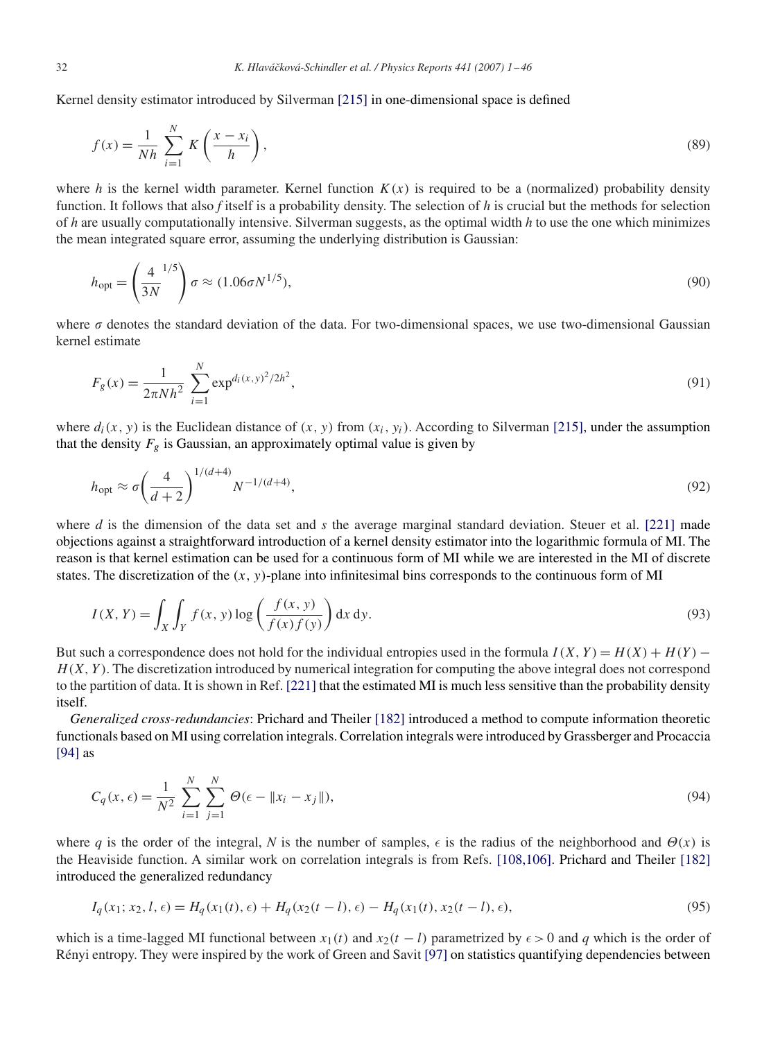Kernel density estimator introduced by Silverman [\[215\]](#page-45-0) in one-dimensional space is defined

$$
f(x) = \frac{1}{Nh} \sum_{i=1}^{N} K\left(\frac{x - x_i}{h}\right),\tag{89}
$$

where *h* is the kernel width parameter. Kernel function  $K(x)$  is required to be a (normalized) probability density function. It follows that also *f* itself is a probability density. The selection of *h* is crucial but the methods for selection of *h* are usually computationally intensive. Silverman suggests, as the optimal width *h* to use the one which minimizes the mean integrated square error, assuming the underlying distribution is Gaussian:

$$
h_{\text{opt}} = \left(\frac{4}{3N}^{1/5}\right)\sigma \approx (1.06\sigma N^{1/5}),\tag{90}
$$

where  $\sigma$  denotes the standard deviation of the data. For two-dimensional spaces, we use two-dimensional Gaussian kernel estimate

$$
F_g(x) = \frac{1}{2\pi N h^2} \sum_{i=1}^{N} \exp^{d_i(x, y)^2 / 2h^2},
$$
\n(91)

where  $d_i(x, y)$  is the Euclidean distance of  $(x, y)$  from  $(x_i, y_i)$ . According to Silverman [\[215\],](#page-45-0) under the assumption that the density  $F_g$  is Gaussian, an approximately optimal value is given by

$$
h_{\rm opt} \approx \sigma \bigg(\frac{4}{d+2}\bigg)^{1/(d+4)},\tag{92}
$$

where *d* is the dimension of the data set and *s* the average marginal standard deviation. Steuer et al. [\[221\]](#page-45-0) made objections against a straightforward introduction of a kernel density estimator into the logarithmic formula of MI. The reason is that kernel estimation can be used for a continuous form of MI while we are interested in the MI of discrete states. The discretization of the *(x, y)*-plane into infinitesimal bins corresponds to the continuous form of MI

$$
I(X,Y) = \int_X \int_Y f(x,y) \log \left( \frac{f(x,y)}{f(x)f(y)} \right) dx dy.
$$
\n(93)

But such a correspondence does not hold for the individual entropies used in the formula  $I(X, Y) = H(X) + H(Y)$  – *H(X, Y)*. The discretization introduced by numerical integration for computing the above integral does not correspond to the partition of data. It is shown in Ref. [\[221\]](#page-45-0) that the estimated MI is much less sensitive than the probability density itself.

*Generalized cross-redundancies*: Prichard and Theiler [\[182\]](#page-44-0) introduced a method to compute information theoretic functionals based on MI using correlation integrals. Correlation integrals were introduced by Grassberger and Procaccia [\[94\]](#page-42-0) as

$$
C_q(x,\epsilon) = \frac{1}{N^2} \sum_{i=1}^{N} \sum_{j=1}^{N} \Theta(\epsilon - \|x_i - x_j\|),
$$
\n(94)

where q is the order of the integral, N is the number of samples,  $\epsilon$  is the radius of the neighborhood and  $\Theta(x)$  is the Heaviside function. A similar work on correlation integrals is from Refs. [108,106]. Prichard and Theiler [\[182\]](#page-44-0) introduced the generalized redundancy

$$
I_q(x_1; x_2, l, \epsilon) = H_q(x_1(t), \epsilon) + H_q(x_2(t - l), \epsilon) - H_q(x_1(t), x_2(t - l), \epsilon),
$$
\n(95)

which is a time-lagged MI functional between  $x_1(t)$  and  $x_2(t - l)$  parametrized by  $\epsilon > 0$  and *q* which is the order of Rényi entropy. They were inspired by the work of Green and Savit [\[97\]](#page-42-0) on statistics quantifying dependencies between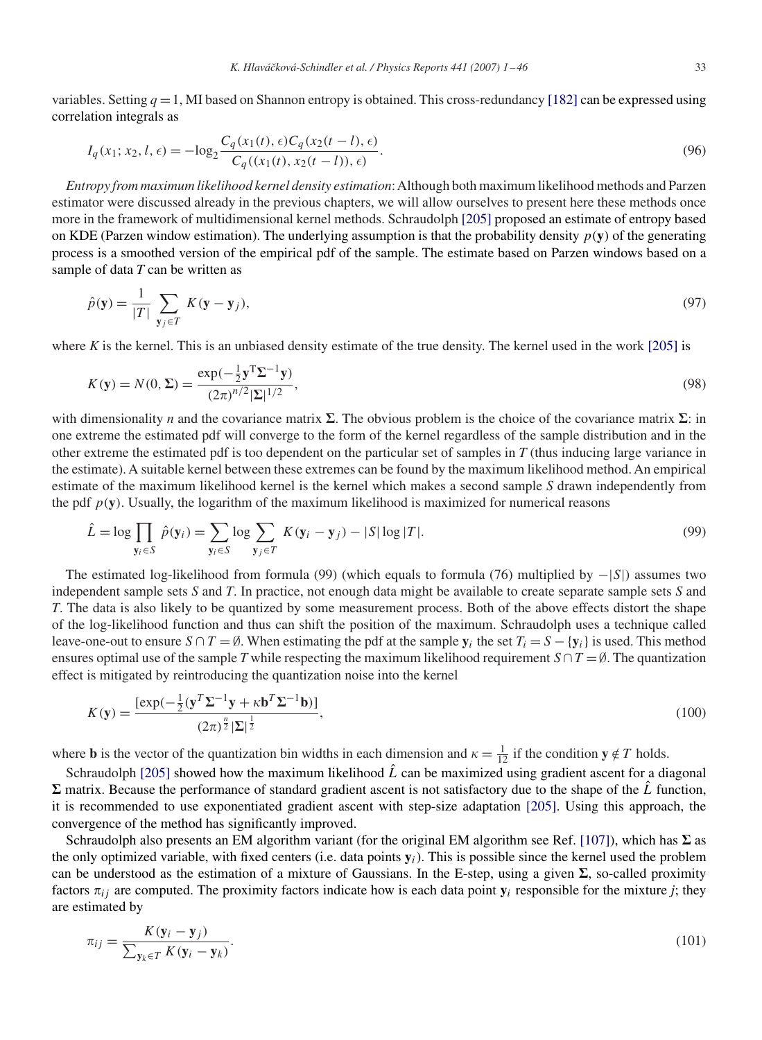variables. Setting  $q = 1$ , MI based on Shannon entropy is obtained. This cross-redundancy [\[182\]](#page-44-0) can be expressed using correlation integrals as

$$
I_q(x_1; x_2, l, \epsilon) = -\log_2 \frac{C_q(x_1(t), \epsilon)C_q(x_2(t-l), \epsilon)}{C_q((x_1(t), x_2(t-l)), \epsilon)}.
$$
\n(96)

*Entropy from maximum likelihood kernel density estimation*:Although both maximum likelihood methods and Parzen estimator were discussed already in the previous chapters, we will allow ourselves to present here these methods once more in the framework of multidimensional kernel methods. Schraudolph [\[205\]](#page-45-0) proposed an estimate of entropy based on KDE (Parzen window estimation). The underlying assumption is that the probability density *p(***y***)* of the generating process is a smoothed version of the empirical pdf of the sample. The estimate based on Parzen windows based on a sample of data *T* can be written as

$$
\hat{p}(\mathbf{y}) = \frac{1}{|T|} \sum_{\mathbf{y}_j \in T} K(\mathbf{y} - \mathbf{y}_j),\tag{97}
$$

where *K* is the kernel. This is an unbiased density estimate of the true density. The kernel used in the work [\[205\]](#page-45-0) is

$$
K(\mathbf{y}) = N(0, \Sigma) = \frac{\exp(-\frac{1}{2}\mathbf{y}^T \Sigma^{-1} \mathbf{y})}{(2\pi)^{n/2} |\Sigma|^{1/2}},
$$
\n(98)

with dimensionality *n* and the covariance matrix  $\Sigma$ . The obvious problem is the choice of the covariance matrix  $\Sigma$ : in one extreme the estimated pdf will converge to the form of the kernel regardless of the sample distribution and in the other extreme the estimated pdf is too dependent on the particular set of samples in *T* (thus inducing large variance in the estimate). A suitable kernel between these extremes can be found by the maximum likelihood method. An empirical estimate of the maximum likelihood kernel is the kernel which makes a second sample *S* drawn independently from the pdf  $p(\mathbf{v})$ . Usually, the logarithm of the maximum likelihood is maximized for numerical reasons

$$
\hat{L} = \log \prod_{\mathbf{y}_i \in S} \hat{p}(\mathbf{y}_i) = \sum_{\mathbf{y}_i \in S} \log \sum_{\mathbf{y}_j \in T} K(\mathbf{y}_i - \mathbf{y}_j) - |S| \log |T|.
$$
\n(99)

The estimated log-likelihood from formula (99) (which equals to formula (76) multiplied by −|*S*|) assumes two independent sample sets *S* and *T*. In practice, not enough data might be available to create separate sample sets *S* and *T*. The data is also likely to be quantized by some measurement process. Both of the above effects distort the shape of the log-likelihood function and thus can shift the position of the maximum. Schraudolph uses a technique called leave-one-out to ensure  $S \cap T = \emptyset$ . When estimating the pdf at the sample  $y_i$  the set  $T_i = S - \{y_i\}$  is used. This method ensures optimal use of the sample *T* while respecting the maximum likelihood requirement  $S \cap T = \emptyset$ . The quantization effect is mitigated by reintroducing the quantization noise into the kernel

$$
K(\mathbf{y}) = \frac{[\exp(-\frac{1}{2}(\mathbf{y}^T\mathbf{\Sigma}^{-1}\mathbf{y} + \kappa \mathbf{b}^T\mathbf{\Sigma}^{-1}\mathbf{b})]}{(2\pi)^{\frac{n}{2}}|\mathbf{\Sigma}|^{\frac{1}{2}}},
$$
(100)

where **b** is the vector of the quantization bin widths in each dimension and  $\kappa = \frac{1}{12}$  if the condition **y**  $\notin T$  holds.

Schraudolph [\[205\]](#page-45-0) showed how the maximum likelihood  $\hat{L}$  can be maximized using gradient ascent for a diagonal **-** matrix. Because the performance of standard gradient ascent is not satisfactory due to the shape of the *L*ˆ function, it is recommended to use exponentiated gradient ascent with step-size adaptation [\[205\].](#page-45-0) Using this approach, the convergence of the method has significantly improved.

Schraudolph also presents an EM algorithm variant (for the original EM algorithm see Ref. [\[107\]\)](#page-42-0), which has  $\Sigma$  as the only optimized variable, with fixed centers (i.e. data points  $y_i$ ). This is possible since the kernel used the problem can be understood as the estimation of a mixture of Gaussians. In the E-step, using a given  $\Sigma$ , so-called proximity factors  $\pi_{ij}$  are computed. The proximity factors indicate how is each data point  $\mathbf{y}_i$  responsible for the mixture *j*; they are estimated by

$$
\pi_{ij} = \frac{K(\mathbf{y}_i - \mathbf{y}_j)}{\sum_{\mathbf{y}_k \in T} K(\mathbf{y}_i - \mathbf{y}_k)}.
$$
\n(101)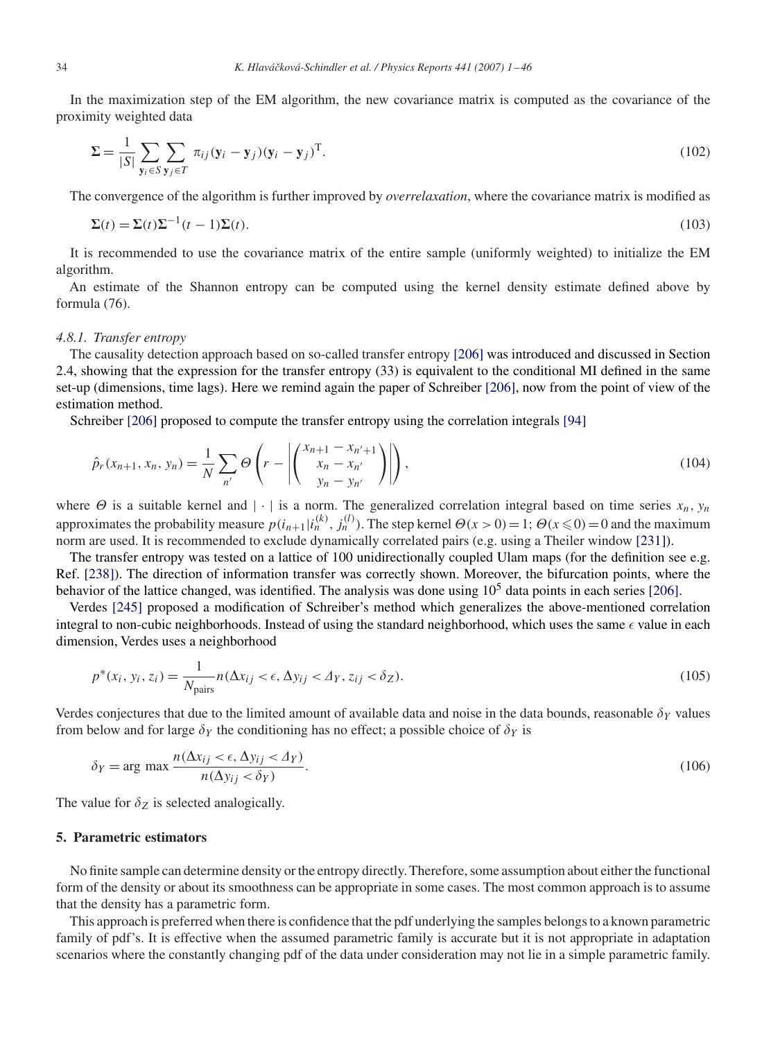<span id="page-33-0"></span>In the maximization step of the EM algorithm, the new covariance matrix is computed as the covariance of the proximity weighted data

$$
\Sigma = \frac{1}{|S|} \sum_{\mathbf{y}_i \in S} \sum_{\mathbf{y}_j \in T} \pi_{ij} (\mathbf{y}_i - \mathbf{y}_j) (\mathbf{y}_i - \mathbf{y}_j)^{\mathrm{T}}.
$$
\n(102)

The convergence of the algorithm is further improved by *overrelaxation*, where the covariance matrix is modified as

$$
\Sigma(t) = \Sigma(t)\Sigma^{-1}(t-1)\Sigma(t). \tag{103}
$$

It is recommended to use the covariance matrix of the entire sample (uniformly weighted) to initialize the EM algorithm.

An estimate of the Shannon entropy can be computed using the kernel density estimate defined above by formula (76).

#### *4.8.1. Transfer entropy*

The causality detection approach based on so-called transfer entropy [\[206\]](#page-45-0) was introduced and discussed in Section 2.4, showing that the expression for the transfer entropy (33) is equivalent to the conditional MI defined in the same set-up (dimensions, time lags). Here we remind again the paper of Schreiber [\[206\],](#page-45-0) now from the point of view of the estimation method.

Schreiber [\[206\]](#page-45-0) proposed to compute the transfer entropy using the correlation integrals [\[94\]](#page-42-0)

$$
\hat{p}_r(x_{n+1}, x_n, y_n) = \frac{1}{N} \sum_{n'} \Theta\left(r - \left| \begin{pmatrix} x_{n+1} - x_{n'+1} \\ x_n - x_{n'} \\ y_n - y_{n'} \end{pmatrix} \right| \right),\tag{104}
$$

where  $\Theta$  is a suitable kernel and  $|\cdot|$  is a norm. The generalized correlation integral based on time series  $x_n$ ,  $y_n$ approximates the probability measure  $p(i_{n+1}|i_n^{(k)}, j_n^{(l)})$ . The step kernel  $\Theta(x > 0) = 1$ ;  $\Theta(x \le 0) = 0$  and the maximum norm are used. It is recommended to exclude dynamically correlated pairs (e.g. using a Theiler window [\[231\]\)](#page-45-0).

The transfer entropy was tested on a lattice of 100 unidirectionally coupled Ulam maps (for the definition see e.g. Ref. [\[238\]\)](#page-45-0). The direction of information transfer was correctly shown. Moreover, the bifurcation points, where the behavior of the lattice changed, was identified. The analysis was done using  $10<sup>5</sup>$  data points in each series [\[206\].](#page-45-0)

Verdes [\[245\]](#page-45-0) proposed a modification of Schreiber's method which generalizes the above-mentioned correlation integral to non-cubic neighborhoods. Instead of using the standard neighborhood, which uses the same  $\epsilon$  value in each dimension, Verdes uses a neighborhood

$$
p^*(x_i, y_i, z_i) = \frac{1}{N_{\text{pairs}}} n(\Delta x_{ij} < \epsilon, \Delta y_{ij} < \Delta Y, z_{ij} < \delta_Z). \tag{105}
$$

Verdes conjectures that due to the limited amount of available data and noise in the data bounds, reasonable  $\delta y$  values from below and for large  $\delta_Y$  the conditioning has no effect; a possible choice of  $\delta_Y$  is

$$
\delta_Y = \arg \max \frac{n(\Delta x_{ij} < \epsilon, \Delta y_{ij} < \Delta_Y)}{n(\Delta y_{ij} < \delta_Y)}.\tag{106}
$$

The value for  $\delta_Z$  is selected analogically.

# **5. Parametric estimators**

No finite sample can determine density or the entropy directly. Therefore, some assumption about either the functional form of the density or about its smoothness can be appropriate in some cases. The most common approach is to assume that the density has a parametric form.

This approach is preferred when there is confidence that the pdf underlying the samples belongs to a known parametric family of pdf's. It is effective when the assumed parametric family is accurate but it is not appropriate in adaptation scenarios where the constantly changing pdf of the data under consideration may not lie in a simple parametric family.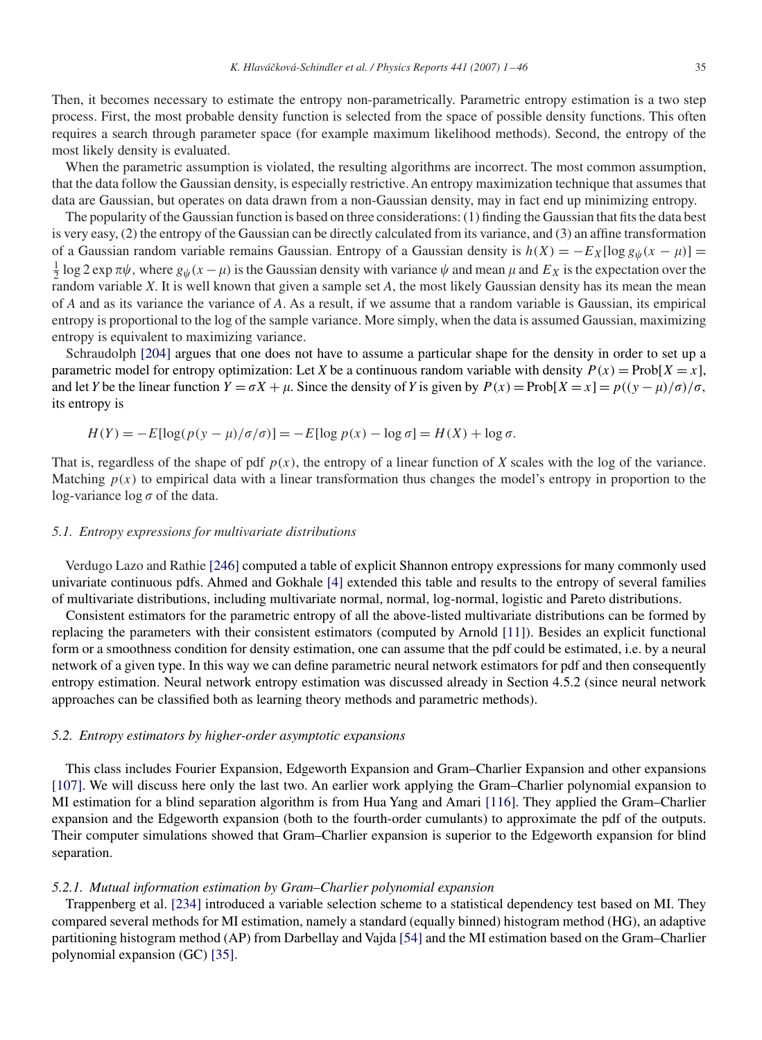<span id="page-34-0"></span>Then, it becomes necessary to estimate the entropy non-parametrically. Parametric entropy estimation is a two step process. First, the most probable density function is selected from the space of possible density functions. This often requires a search through parameter space (for example maximum likelihood methods). Second, the entropy of the most likely density is evaluated.

When the parametric assumption is violated, the resulting algorithms are incorrect. The most common assumption, that the data follow the Gaussian density, is especially restrictive. An entropy maximization technique that assumes that data are Gaussian, but operates on data drawn from a non-Gaussian density, may in fact end up minimizing entropy.

The popularity of the Gaussian function is based on three considerations: (1) finding the Gaussian that fits the data best is very easy, (2) the entropy of the Gaussian can be directly calculated from its variance, and (3) an affine transformation of a Gaussian random variable remains Gaussian. Entropy of a Gaussian density is  $h(X) = -E_X[\log g_\psi(x - \mu)] =$  $\frac{1}{2}$  log 2 exp  $\pi\psi$ , where  $g_{\psi}(x-\mu)$  is the Gaussian density with variance  $\psi$  and mean  $\mu$  and  $E_X$  is the expectation over the random variable *X*. It is well known that given a sample set *A*, the most likely Gaussian density has its mean the mean of *A* and as its variance the variance of *A*. As a result, if we assume that a random variable is Gaussian, its empirical entropy is proportional to the log of the sample variance. More simply, when the data is assumed Gaussian, maximizing entropy is equivalent to maximizing variance.

Schraudolph [\[204\]](#page-45-0) argues that one does not have to assume a particular shape for the density in order to set up a parametric model for entropy optimization: Let *X* be a continuous random variable with density  $P(x) = \text{Prob}[X = x]$ , and let *Y* be the linear function  $Y = \sigma X + \mu$ . Since the density of *Y* is given by  $P(x) = \text{Prob}[X = x] = p((y - \mu)/\sigma)/\sigma$ , its entropy is

$$
H(Y) = -E[\log(p(y - \mu)/\sigma/\sigma)] = -E[\log p(x) - \log \sigma] = H(X) + \log \sigma.
$$

That is, regardless of the shape of pdf  $p(x)$ , the entropy of a linear function of *X* scales with the log of the variance. Matching  $p(x)$  to empirical data with a linear transformation thus changes the model's entropy in proportion to the log-variance  $\log \sigma$  of the data.

## *5.1. Entropy expressions for multivariate distributions*

Verdugo Lazo and Rathie [\[246\]](#page-45-0) computed a table of explicit Shannon entropy expressions for many commonly used univariate continuous pdfs. Ahmed and Gokhale [\[4\]](#page-41-0) extended this table and results to the entropy of several families of multivariate distributions, including multivariate normal, normal, log-normal, logistic and Pareto distributions.

Consistent estimators for the parametric entropy of all the above-listed multivariate distributions can be formed by replacing the parameters with their consistent estimators (computed by Arnold [\[11\]\)](#page-41-0). Besides an explicit functional form or a smoothness condition for density estimation, one can assume that the pdf could be estimated, i.e. by a neural network of a given type. In this way we can define parametric neural network estimators for pdf and then consequently entropy estimation. Neural network entropy estimation was discussed already in Section 4.5.2 (since neural network approaches can be classified both as learning theory methods and parametric methods).

## *5.2. Entropy estimators by higher-order asymptotic expansions*

This class includes Fourier Expansion, Edgeworth Expansion and Gram–Charlier Expansion and other expansions [\[107\].](#page-42-0) We will discuss here only the last two. An earlier work applying the Gram–Charlier polynomial expansion to MI estimation for a blind separation algorithm is from Hua Yang and Amari [\[116\].](#page-43-0) They applied the Gram–Charlier expansion and the Edgeworth expansion (both to the fourth-order cumulants) to approximate the pdf of the outputs. Their computer simulations showed that Gram–Charlier expansion is superior to the Edgeworth expansion for blind separation.

# *5.2.1. Mutual information estimation by Gram–Charlier polynomial expansion*

Trappenberg et al. [\[234\]](#page-45-0) introduced a variable selection scheme to a statistical dependency test based on MI. They compared several methods for MI estimation, namely a standard (equally binned) histogram method (HG), an adaptive partitioning histogram method (AP) from Darbellay and Vajda [\[54\]](#page-42-0) and the MI estimation based on the Gram–Charlier polynomial expansion (GC) [\[35\].](#page-41-0)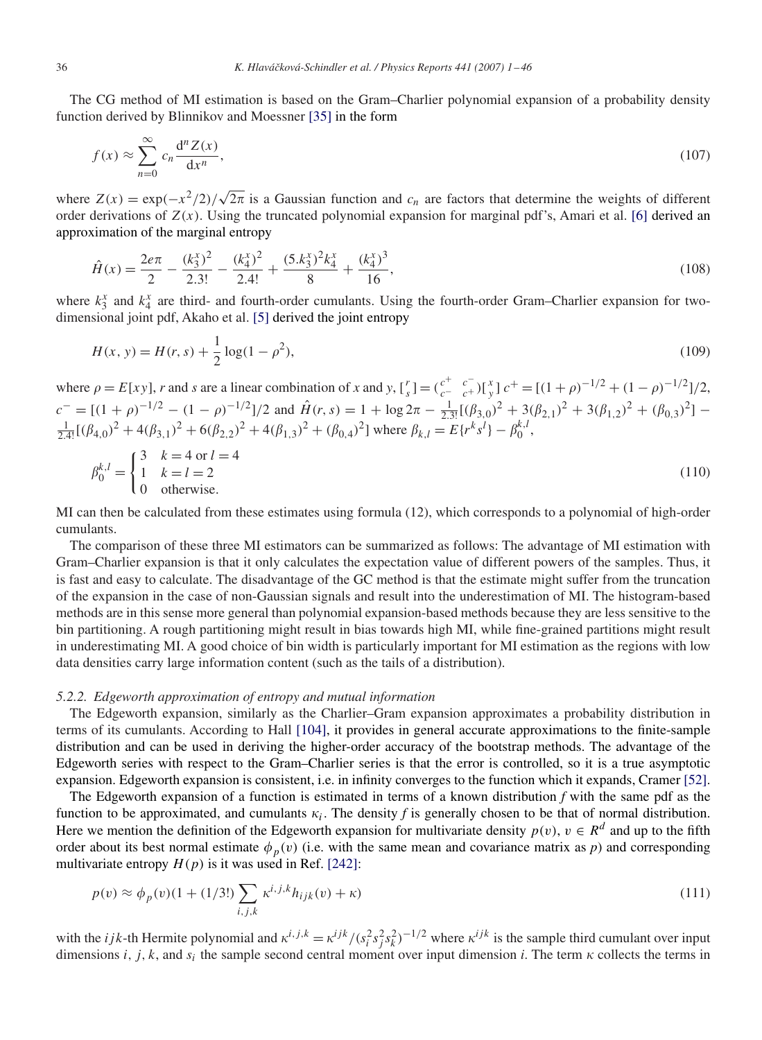<span id="page-35-0"></span>The CG method of MI estimation is based on the Gram–Charlier polynomial expansion of a probability density function derived by Blinnikov and Moessner [\[35\]](#page-41-0) in the form

$$
f(x) \approx \sum_{n=0}^{\infty} c_n \frac{d^n Z(x)}{dx^n},
$$
\n(107)

where  $Z(x) = \exp(-x^2/2)/\sqrt{2\pi}$  is a Gaussian function and  $c_n$  are factors that determine the weights of different order derivations of  $Z(x)$ . Using the truncated polynomial expansion for marginal pdf's, Amari et al. [\[6\]](#page-41-0) derived an approximation of the marginal entropy

$$
\hat{H}(x) = \frac{2e\pi}{2} - \frac{(k_3^x)^2}{2.3!} - \frac{(k_4^x)^2}{2.4!} + \frac{(5 \cdot k_3^x)^2 k_4^x}{8} + \frac{(k_4^x)^3}{16},\tag{108}
$$

where  $k_3^x$  and  $k_4^x$  are third- and fourth-order cumulants. Using the fourth-order Gram–Charlier expansion for twodimensional joint pdf, Akaho et al. [\[5\]](#page-41-0) derived the joint entropy

$$
H(x, y) = H(r, s) + \frac{1}{2}\log(1 - \rho^2),\tag{109}
$$

where  $\rho = E[xy]$ , r and s are a linear combination of x and y,  $\begin{bmatrix} r \\ s \end{bmatrix} = \begin{bmatrix} c^+ & c^- \\ c^- & c^+ \end{bmatrix} \begin{bmatrix} x \\ y \end{bmatrix} c^+ = [(1+\rho)^{-1/2} + (1-\rho)^{-1/2}]/2$ ,  $c^- = [(1+\rho)^{-1/2} - (1-\rho)^{-1/2}]/2$  and  $\hat{H}(r,s) = 1 + \log 2\pi - \frac{1}{2\cdot 3!}[(\beta_{3,0})^2 + 3(\beta_{2,1})^2 + 3(\beta_{1,2})^2 + (\beta_{0,3})^2]$  $\frac{1}{2.4!}[(\beta_{4,0})^2 + 4(\beta_{3,1})^2 + 6(\beta_{2,2})^2 + 4(\beta_{1,3})^2 + (\beta_{0,4})^2]$  where  $\beta_{k,l} = E\{r^k s^l\} - \beta_0^{k,l}$ ,

$$
\beta_0^{k,l} = \begin{cases} 3 & k = 4 \text{ or } l = 4 \\ 1 & k = l = 2 \\ 0 & \text{otherwise.} \end{cases} \tag{110}
$$

MI can then be calculated from these estimates using formula (12), which corresponds to a polynomial of high-order cumulants.

The comparison of these three MI estimators can be summarized as follows: The advantage of MI estimation with Gram–Charlier expansion is that it only calculates the expectation value of different powers of the samples. Thus, it is fast and easy to calculate. The disadvantage of the GC method is that the estimate might suffer from the truncation of the expansion in the case of non-Gaussian signals and result into the underestimation of MI. The histogram-based methods are in this sense more general than polynomial expansion-based methods because they are less sensitive to the bin partitioning. A rough partitioning might result in bias towards high MI, while fine-grained partitions might result in underestimating MI. A good choice of bin width is particularly important for MI estimation as the regions with low data densities carry large information content (such as the tails of a distribution).

# *5.2.2. Edgeworth approximation of entropy and mutual information*

The Edgeworth expansion, similarly as the Charlier–Gram expansion approximates a probability distribution in terms of its cumulants. According to Hall [\[104\],](#page-42-0) it provides in general accurate approximations to the finite-sample distribution and can be used in deriving the higher-order accuracy of the bootstrap methods. The advantage of the Edgeworth series with respect to the Gram–Charlier series is that the error is controlled, so it is a true asymptotic expansion. Edgeworth expansion is consistent, i.e. in infinity converges to the function which it expands, Cramer [\[52\].](#page-41-0)

The Edgeworth expansion of a function is estimated in terms of a known distribution *f* with the same pdf as the function to be approximated, and cumulants  $\kappa_i$ . The density f is generally chosen to be that of normal distribution. Here we mention the definition of the Edgeworth expansion for multivariate density  $p(v)$ ,  $v \in R^d$  and up to the fifth order about its best normal estimate  $\phi_p(v)$  (i.e. with the same mean and covariance matrix as *p*) and corresponding multivariate entropy  $H(p)$  is it was used in Ref. [\[242\]:](#page-45-0)

$$
p(v) \approx \phi_p(v)(1 + (1/3!) \sum_{i,j,k} \kappa^{i,j,k} h_{ijk}(v) + \kappa)
$$
\n(111)

with the *ijk*-th Hermite polynomial and  $\kappa^{i,j,k} = \kappa^{ijk}/(s_i^2 s_j^2 s_k^2)^{-1/2}$  where  $\kappa^{ijk}$  is the sample third cumulant over input dimensions *i, j, k,* and  $s_i$  the sample second central moment over input dimension *i*. The term  $\kappa$  collects the terms in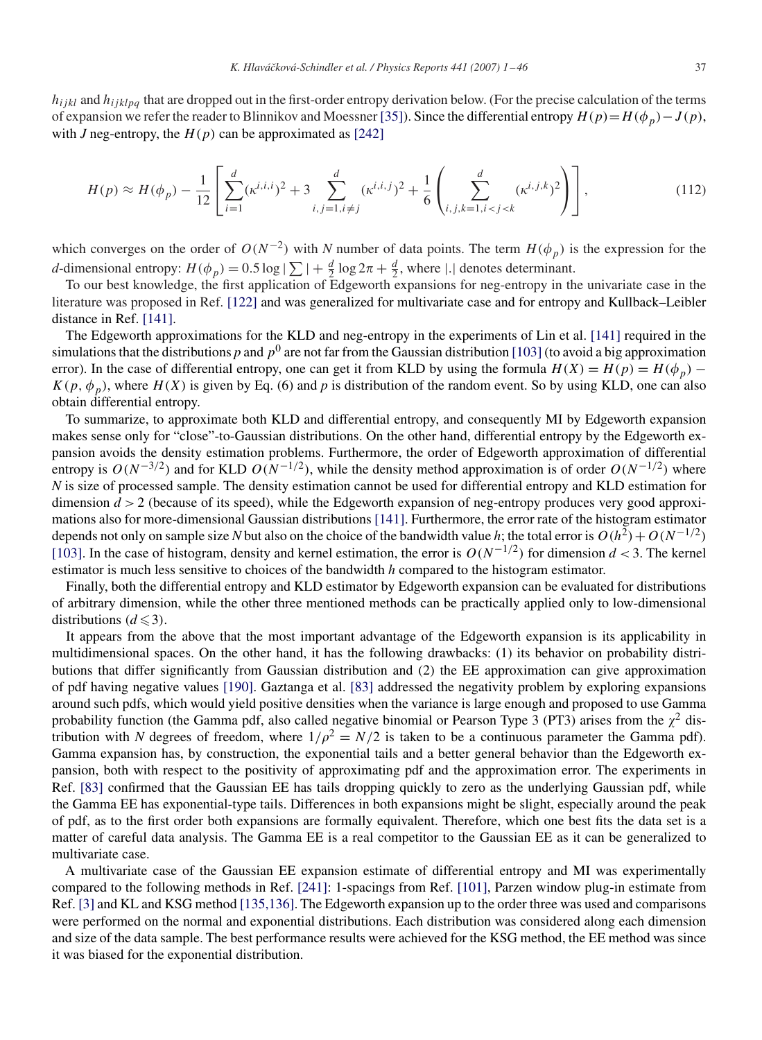*hijkl* and *hijklpq* that are dropped out in the first-order entropy derivation below. (For the precise calculation of the terms of expansion we refer the reader to Blinnikov and Moessner [\[35\]\)](#page-41-0). Since the differential entropy  $H(p) = H(\phi_p) - J(p)$ , with *J* neg-entropy, the  $H(p)$  can be approximated as [\[242\]](#page-45-0)

$$
H(p) \approx H(\phi_p) - \frac{1}{12} \left[ \sum_{i=1}^d (\kappa^{i,i,i})^2 + 3 \sum_{i,j=1, i \neq j}^d (\kappa^{i,i,j})^2 + \frac{1}{6} \left( \sum_{i,j,k=1, i < j < k}^d (\kappa^{i,j,k})^2 \right) \right],
$$
(112)

which converges on the order of  $O(N^{-2})$  with *N* number of data points. The term  $H(\phi_p)$  is the expression for the *d*-dimensional entropy:  $H(\phi_p) = 0.5 \log |\sum_i | + \frac{d}{2} \log 2\pi + \frac{d}{2}$ , where || denotes determinant.

To our best knowledge, the first application of Edgeworth expansions for neg-entropy in the univariate case in the literature was proposed in Ref. [\[122\]](#page-43-0) and was generalized for multivariate case and for entropy and Kullback–Leibler distance in Ref. [\[141\].](#page-43-0)

The Edgeworth approximations for the KLD and neg-entropy in the experiments of Lin et al. [\[141\]](#page-43-0) required in the simulations that the distributions *p* and  $p^0$  are not far from the Gaussian distribution [\[103\]](#page-42-0) (to avoid a big approximation error). In the case of differential entropy, one can get it from KLD by using the formula  $H(X) = H(p) = H(\phi_n)$  –  $K(p, \phi_p)$ , where  $H(X)$  is given by Eq. (6) and *p* is distribution of the random event. So by using KLD, one can also obtain differential entropy.

To summarize, to approximate both KLD and differential entropy, and consequently MI by Edgeworth expansion makes sense only for "close"-to-Gaussian distributions. On the other hand, differential entropy by the Edgeworth expansion avoids the density estimation problems. Furthermore, the order of Edgeworth approximation of differential entropy is  $O(N^{-3/2})$  and for KLD  $O(N^{-1/2})$ , while the density method approximation is of order  $O(N^{-1/2})$  where *N* is size of processed sample. The density estimation cannot be used for differential entropy and KLD estimation for dimension  $d > 2$  (because of its speed), while the Edgeworth expansion of neg-entropy produces very good approximations also for more-dimensional Gaussian distributions [\[141\].](#page-43-0) Furthermore, the error rate of the histogram estimator depends not only on sample size *N* but also on the choice of the bandwidth value *h*; the total error is  $O(h^2) + O(N^{-1/2})$ [\[103\].](#page-42-0) In the case of histogram, density and kernel estimation, the error is *O(N*−1*/*2*)* for dimension *d <* 3. The kernel estimator is much less sensitive to choices of the bandwidth *h* compared to the histogram estimator.

Finally, both the differential entropy and KLD estimator by Edgeworth expansion can be evaluated for distributions of arbitrary dimension, while the other three mentioned methods can be practically applied only to low-dimensional distributions  $(d \leq 3)$ .

It appears from the above that the most important advantage of the Edgeworth expansion is its applicability in multidimensional spaces. On the other hand, it has the following drawbacks: (1) its behavior on probability distributions that differ significantly from Gaussian distribution and (2) the EE approximation can give approximation of pdf having negative values [\[190\].](#page-44-0) Gaztanga et al. [\[83\]](#page-42-0) addressed the negativity problem by exploring expansions around such pdfs, which would yield positive densities when the variance is large enough and proposed to use Gamma probability function (the Gamma pdf, also called negative binomial or Pearson Type 3 (PT3) arises from the  $\chi^2$  distribution with *N* degrees of freedom, where  $1/\rho^2 = N/2$  is taken to be a continuous parameter the Gamma pdf). Gamma expansion has, by construction, the exponential tails and a better general behavior than the Edgeworth expansion, both with respect to the positivity of approximating pdf and the approximation error. The experiments in Ref. [\[83\]](#page-42-0) confirmed that the Gaussian EE has tails dropping quickly to zero as the underlying Gaussian pdf, while the Gamma EE has exponential-type tails. Differences in both expansions might be slight, especially around the peak of pdf, as to the first order both expansions are formally equivalent. Therefore, which one best fits the data set is a matter of careful data analysis. The Gamma EE is a real competitor to the Gaussian EE as it can be generalized to multivariate case.

A multivariate case of the Gaussian EE expansion estimate of differential entropy and MI was experimentally compared to the following methods in Ref. [\[241\]:](#page-45-0) 1-spacings from Ref. [\[101\],](#page-42-0) Parzen window plug-in estimate from Ref. [\[3\]](#page-41-0) and KL and KSG method [135,136]. The Edgeworth expansion up to the order three was used and comparisons were performed on the normal and exponential distributions. Each distribution was considered along each dimension and size of the data sample. The best performance results were achieved for the KSG method, the EE method was since it was biased for the exponential distribution.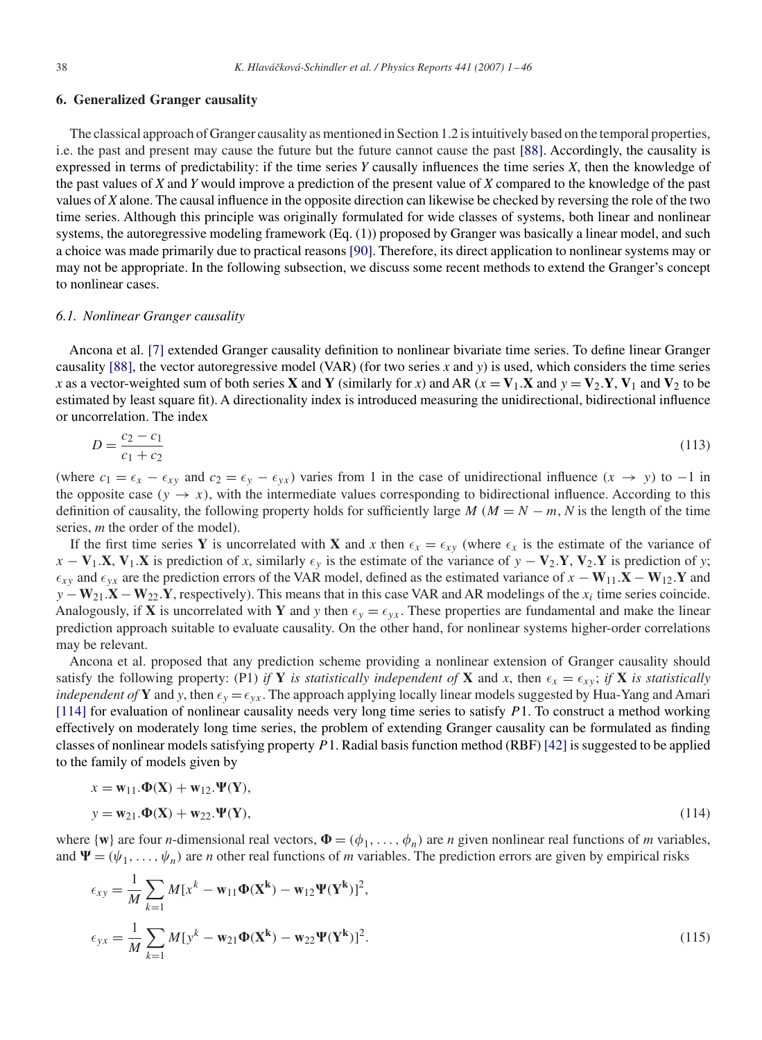# <span id="page-37-0"></span>**6. Generalized Granger causality**

The classical approach of Granger causality as mentioned in Section 1.2 is intuitively based on the temporal properties, i.e. the past and present may cause the future but the future cannot cause the past [\[88\].](#page-42-0) Accordingly, the causality is expressed in terms of predictability: if the time series *Y* causally influences the time series *X*, then the knowledge of the past values of *X* and *Y* would improve a prediction of the present value of *X* compared to the knowledge of the past values of *X* alone. The causal influence in the opposite direction can likewise be checked by reversing the role of the two time series. Although this principle was originally formulated for wide classes of systems, both linear and nonlinear systems, the autoregressive modeling framework (Eq. (1)) proposed by Granger was basically a linear model, and such a choice was made primarily due to practical reasons [\[90\].](#page-42-0) Therefore, its direct application to nonlinear systems may or may not be appropriate. In the following subsection, we discuss some recent methods to extend the Granger's concept to nonlinear cases.

#### *6.1. Nonlinear Granger causality*

Ancona et al. [\[7\]](#page-41-0) extended Granger causality definition to nonlinear bivariate time series. To define linear Granger causality [\[88\],](#page-42-0) the vector autoregressive model (VAR) (for two series *x* and *y*) is used, which considers the time series *x* as a vector-weighted sum of both series **X** and **Y** (similarly for *x*) and AR ( $x = V_1$ **.X** and  $y = V_2$ **.Y**,  $V_1$  and  $V_2$  to be estimated by least square fit). A directionality index is introduced measuring the unidirectional, bidirectional influence or uncorrelation. The index

$$
D = \frac{c_2 - c_1}{c_1 + c_2} \tag{113}
$$

(where  $c_1 = \epsilon_x - \epsilon_{xy}$  and  $c_2 = \epsilon_y - \epsilon_{yx}$ ) varies from 1 in the case of unidirectional influence  $(x \to y)$  to  $-1$  in the opposite case  $(y \to x)$ , with the intermediate values corresponding to bidirectional influence. According to this definition of causality, the following property holds for sufficiently large  $M$  ( $M = N - m$ ,  $N$  is the length of the time series, *m* the order of the model).

If the first time series Y is uncorrelated with X and x then  $\epsilon_x = \epsilon_{xy}$  (where  $\epsilon_x$  is the estimate of the variance of  $x - V_1$ .**X**,  $V_1$ .**X** is prediction of x, similarly  $\epsilon_y$  is the estimate of the variance of  $y - V_2$ .**Y**,  $V_2$ .**Y** is prediction of y;  $\epsilon_{xy}$  and  $\epsilon_{yx}$  are the prediction errors of the VAR model, defined as the estimated variance of  $x - W_{11}$ .  $X - W_{12}$ . Y and  $y - W_{21}$ .**X** − **W**<sub>22</sub>.**Y**, respectively). This means that in this case VAR and AR modelings of the *x<sub>i</sub>* time series coincide. Analogously, if **X** is uncorrelated with **Y** and *y* then  $\epsilon_y = \epsilon_{yx}$ . These properties are fundamental and make the linear prediction approach suitable to evaluate causality. On the other hand, for nonlinear systems higher-order correlations may be relevant.

Ancona et al. proposed that any prediction scheme providing a nonlinear extension of Granger causality should satisfy the following property: (P1) *if* **Y** *is statistically independent of* **X** and *x*, then  $\epsilon_x = \epsilon_{xy}$ ; *if* **X** *is statistically independent of* **Y** and y, then  $\epsilon_y = \epsilon_{yx}$ . The approach applying locally linear models suggested by Hua-Yang and Amari [\[114\]](#page-43-0) for evaluation of nonlinear causality needs very long time series to satisfy *P*1. To construct a method working effectively on moderately long time series, the problem of extending Granger causality can be formulated as finding classes of nonlinear models satisfying property *P*1. Radial basis function method (RBF) [\[42\]](#page-41-0) is suggested to be applied to the family of models given by

$$
x = \mathbf{w}_{11}.\mathbf{\Phi}(\mathbf{X}) + \mathbf{w}_{12}.\mathbf{\Psi}(\mathbf{Y}),
$$
  
\n
$$
y = \mathbf{w}_{21}.\mathbf{\Phi}(\mathbf{X}) + \mathbf{w}_{22}.\mathbf{\Psi}(\mathbf{Y}),
$$
\n(114)

where  $\{w\}$  are four *n*-dimensional real vectors,  $\Phi = (\phi_1, \ldots, \phi_n)$  are *n* given nonlinear real functions of *m* variables, and  $\Psi = (\psi_1, \dots, \psi_n)$  are *n* other real functions of *m* variables. The prediction errors are given by empirical risks

$$
\epsilon_{xy} = \frac{1}{M} \sum_{k=1} M[x^k - \mathbf{w}_{11} \Phi(\mathbf{X}^k) - \mathbf{w}_{12} \Psi(\mathbf{Y}^k)]^2,
$$
  
\n
$$
\epsilon_{yx} = \frac{1}{M} \sum_{k=1} M[y^k - \mathbf{w}_{21} \Phi(\mathbf{X}^k) - \mathbf{w}_{22} \Psi(\mathbf{Y}^k)]^2.
$$
\n(115)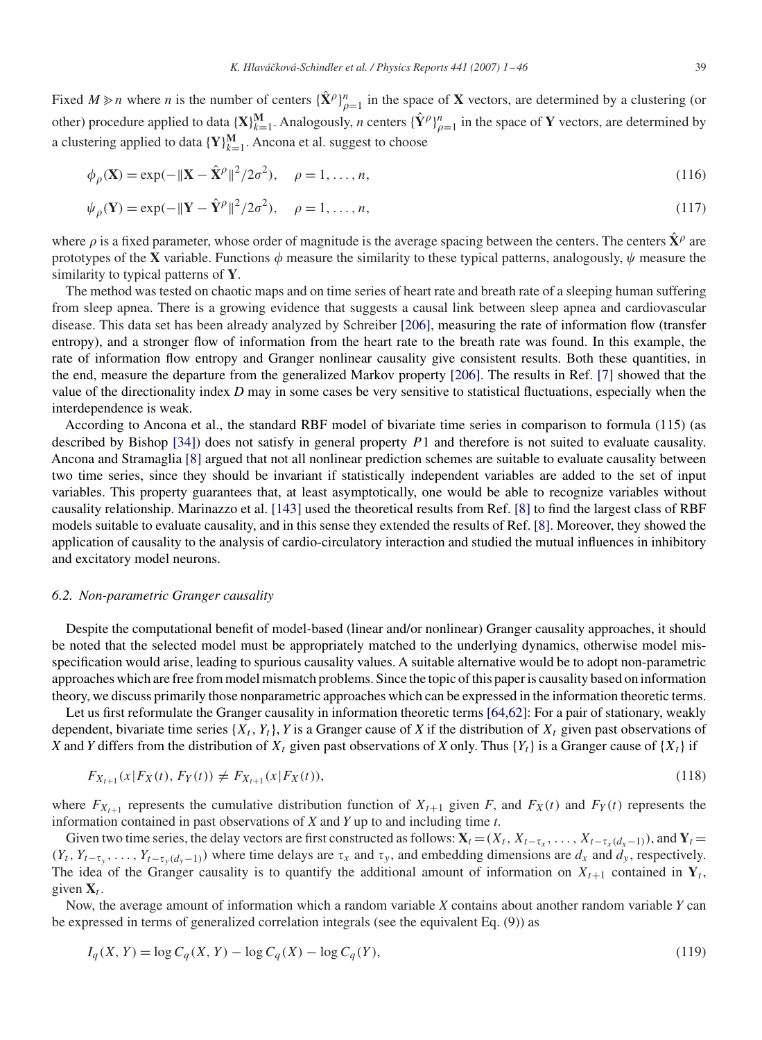<span id="page-38-0"></span>Fixed  $M \ge n$  where *n* is the number of centers  ${\{\hat{\mathbf{X}}^{\rho}\}}_{\rho=1}^n$  in the space of **X** vectors, are determined by a clustering (or other) procedure applied to data  $\{X\}_{k=1}^M$ . Analogously, *n* centers  $\{\hat{Y}^\rho\}_{\rho=1}^n$  in the space of Y vectors, are determined by a clustering applied to data  $\{Y\}_{k=1}^M$ . Ancona et al. suggest to choose

$$
\phi_{\rho}(\mathbf{X}) = \exp(-\|\mathbf{X} - \hat{\mathbf{X}}^{\rho}\|^2 / 2\sigma^2), \quad \rho = 1, \dots, n,
$$
\n(116)

$$
\psi_{\rho}(\mathbf{Y}) = \exp(-\|\mathbf{Y} - \hat{\mathbf{Y}}^{\rho}\|^2 / 2\sigma^2), \quad \rho = 1, \dots, n,
$$
\n(117)

where  $\rho$  is a fixed parameter, whose order of magnitude is the average spacing between the centers. The centers  $\hat{\mathbf{X}}^{\rho}$  are prototypes of the **X** variable. Functions  $\phi$  measure the similarity to these typical patterns, analogously,  $\psi$  measure the similarity to typical patterns of **Y**.

The method was tested on chaotic maps and on time series of heart rate and breath rate of a sleeping human suffering from sleep apnea. There is a growing evidence that suggests a causal link between sleep apnea and cardiovascular disease. This data set has been already analyzed by Schreiber [\[206\],](#page-45-0) measuring the rate of information flow (transfer entropy), and a stronger flow of information from the heart rate to the breath rate was found. In this example, the rate of information flow entropy and Granger nonlinear causality give consistent results. Both these quantities, in the end, measure the departure from the generalized Markov property [\[206\].](#page-45-0) The results in Ref. [\[7\]](#page-41-0) showed that the value of the directionality index *D* may in some cases be very sensitive to statistical fluctuations, especially when the interdependence is weak.

According to Ancona et al., the standard RBF model of bivariate time series in comparison to formula (115) (as described by Bishop [\[34\]\)](#page-41-0) does not satisfy in general property *P*1 and therefore is not suited to evaluate causality. Ancona and Stramaglia [\[8\]](#page-41-0) argued that not all nonlinear prediction schemes are suitable to evaluate causality between two time series, since they should be invariant if statistically independent variables are added to the set of input variables. This property guarantees that, at least asymptotically, one would be able to recognize variables without causality relationship. Marinazzo et al. [\[143\]](#page-43-0) used the theoretical results from Ref. [\[8\]](#page-41-0) to find the largest class of RBF models suitable to evaluate causality, and in this sense they extended the results of Ref. [\[8\].](#page-41-0) Moreover, they showed the application of causality to the analysis of cardio-circulatory interaction and studied the mutual influences in inhibitory and excitatory model neurons.

#### *6.2. Non-parametric Granger causality*

Despite the computational benefit of model-based (linear and/or nonlinear) Granger causality approaches, it should be noted that the selected model must be appropriately matched to the underlying dynamics, otherwise model misspecification would arise, leading to spurious causality values. A suitable alternative would be to adopt non-parametric approaches which are free from model mismatch problems. Since the topic of this paper is causality based on information theory, we discuss primarily those nonparametric approaches which can be expressed in the information theoretic terms.

Let us first reformulate the Granger causality in information theoretic terms [64,62]: For a pair of stationary, weakly dependent, bivariate time series  $\{X_t, Y_t\}$ , *Y* is a Granger cause of *X* if the distribution of  $X_t$  given past observations of *X* and *Y* differs from the distribution of  $X_t$  given past observations of *X* only. Thus  $\{Y_t\}$  is a Granger cause of  $\{X_t\}$  if

$$
F_{X_{t+1}}(x|F_X(t), F_Y(t)) \neq F_{X_{t+1}}(x|F_X(t)),
$$
\n(118)

where  $F_{X_{t+1}}$  represents the cumulative distribution function of  $X_{t+1}$  given *F*, and  $F_X(t)$  and  $F_Y(t)$  represents the information contained in past observations of *X* and *Y* up to and including time *t*.

Given two time series, the delay vectors are first constructed as follows:  $\mathbf{X}_t = (X_t, X_{t-\tau_x}, \ldots, X_{t-\tau_x(d_x-1)})$ , and  $\mathbf{Y}_t =$  $(Y_t, Y_{t-\tau_y}, \ldots, Y_{t-\tau_y(d_y-1)})$  where time delays are  $\tau_x$  and  $\tau_y$ , and embedding dimensions are  $d_x$  and  $d_y$ , respectively. The idea of the Granger causality is to quantify the additional amount of information on  $X_{t+1}$  contained in  $Y_t$ , given  $X_t$ .

Now, the average amount of information which a random variable *X* contains about another random variable *Y* can be expressed in terms of generalized correlation integrals (see the equivalent Eq. (9)) as

$$
I_q(X, Y) = \log C_q(X, Y) - \log C_q(X) - \log C_q(Y),
$$
\n(119)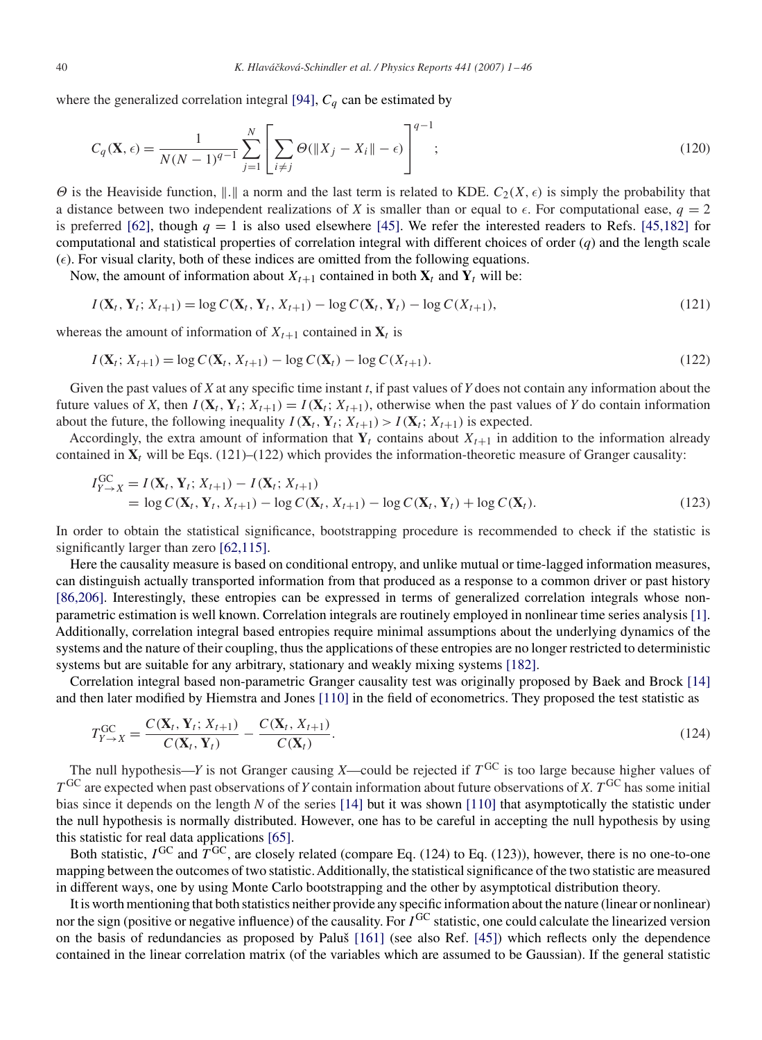where the generalized correlation integral [\[94\],](#page-42-0)  $C_q$  can be estimated by

$$
C_q(\mathbf{X}, \epsilon) = \frac{1}{N(N-1)^{q-1}} \sum_{j=1}^N \left[ \sum_{i \neq j} \Theta(\|X_j - X_i\| - \epsilon) \right]^{q-1};
$$
\n(120)

 $\Theta$  is the Heaviside function,  $\|.\|$  a norm and the last term is related to KDE.  $C_2(X, \epsilon)$  is simply the probability that a distance between two independent realizations of *X* is smaller than or equal to  $\epsilon$ . For computational ease,  $q = 2$ is preferred [\[62\],](#page-42-0) though  $q = 1$  is also used elsewhere [\[45\].](#page-41-0) We refer the interested readers to Refs. [45,182] for computational and statistical properties of correlation integral with different choices of order (*q*) and the length scale  $(\epsilon)$ . For visual clarity, both of these indices are omitted from the following equations.

Now, the amount of information about  $X_{t+1}$  contained in both  $X_t$  and  $Y_t$  will be:

$$
I(\mathbf{X}_t, \mathbf{Y}_t; X_{t+1}) = \log C(\mathbf{X}_t, \mathbf{Y}_t, X_{t+1}) - \log C(\mathbf{X}_t, \mathbf{Y}_t) - \log C(X_{t+1}),
$$
\n(121)

whereas the amount of information of  $X_{t+1}$  contained in  $X_t$  is

$$
I(\mathbf{X}_t; X_{t+1}) = \log C(\mathbf{X}_t, X_{t+1}) - \log C(\mathbf{X}_t) - \log C(X_{t+1}).
$$
\n(122)

Given the past values of *X* at any specific time instant *t*, if past values of *Y* does not contain any information about the future values of *X*, then  $I(X_t, Y_t; X_{t+1}) = I(X_t; X_{t+1})$ , otherwise when the past values of *Y* do contain information about the future, the following inequality  $I(\mathbf{X}_t, \mathbf{Y}_t; X_{t+1}) > I(\mathbf{X}_t; X_{t+1})$  is expected.

Accordingly, the extra amount of information that  $Y_t$  contains about  $X_{t+1}$  in addition to the information already contained in  $\mathbf{X}_t$  will be Eqs. (121)–(122) which provides the information-theoretic measure of Granger causality:

$$
I_{Y \to X}^{\rm GC} = I(\mathbf{X}_t, \mathbf{Y}_t; X_{t+1}) - I(\mathbf{X}_t; X_{t+1})
$$
  
= log C(\mathbf{X}\_t, \mathbf{Y}\_t, X\_{t+1}) - log C(\mathbf{X}\_t, X\_{t+1}) - log C(\mathbf{X}\_t, \mathbf{Y}\_t) + log C(\mathbf{X}\_t). (123)

In order to obtain the statistical significance, bootstrapping procedure is recommended to check if the statistic is significantly larger than zero [62,115].

Here the causality measure is based on conditional entropy, and unlike mutual or time-lagged information measures, can distinguish actually transported information from that produced as a response to a common driver or past history [86,206]. Interestingly, these entropies can be expressed in terms of generalized correlation integrals whose nonparametric estimation is well known. Correlation integrals are routinely employed in nonlinear time series analysis [\[1\].](#page-41-0) Additionally, correlation integral based entropies require minimal assumptions about the underlying dynamics of the systems and the nature of their coupling, thus the applications of these entropies are no longer restricted to deterministic systems but are suitable for any arbitrary, stationary and weakly mixing systems [\[182\].](#page-44-0)

Correlation integral based non-parametric Granger causality test was originally proposed by Baek and Brock [\[14\]](#page-41-0) and then later modified by Hiemstra and Jones [\[110\]](#page-43-0) in the field of econometrics. They proposed the test statistic as

$$
T_{Y \to X}^{\text{GC}} = \frac{C(\mathbf{X}_t, \mathbf{Y}_t; X_{t+1})}{C(\mathbf{X}_t, \mathbf{Y}_t)} - \frac{C(\mathbf{X}_t, X_{t+1})}{C(\mathbf{X}_t)}.
$$
\n(124)

The null hypothesis—*Y* is not Granger causing *X*—could be rejected if  $T$ <sup>GC</sup> is too large because higher values of *T* GC are expected when past observations of*Y* contain information about future observations of *X*. *T* GC has some initial bias since it depends on the length *N* of the series [\[14\]](#page-41-0) but it was shown [\[110\]](#page-43-0) that asymptotically the statistic under the null hypothesis is normally distributed. However, one has to be careful in accepting the null hypothesis by using this statistic for real data applications [\[65\].](#page-42-0)

Both statistic,  $I^{GC}$  and  $\overline{T}^{GC}$ , are closely related (compare Eq. (124) to Eq. (123)), however, there is no one-to-one mapping between the outcomes of two statistic.Additionally, the statistical significance of the two statistic are measured in different ways, one by using Monte Carlo bootstrapping and the other by asymptotical distribution theory.

It is worth mentioning that both statistics neither provide any specific information about the nature (linear or nonlinear) nor the sign (positive or negative influence) of the causality. For *I*<sup>GC</sup> statistic, one could calculate the linearized version on the basis of redundancies as proposed by Paluš [\[161\]](#page-44-0) (see also Ref. [\[45\]\)](#page-41-0) which reflects only the dependence contained in the linear correlation matrix (of the variables which are assumed to be Gaussian). If the general statistic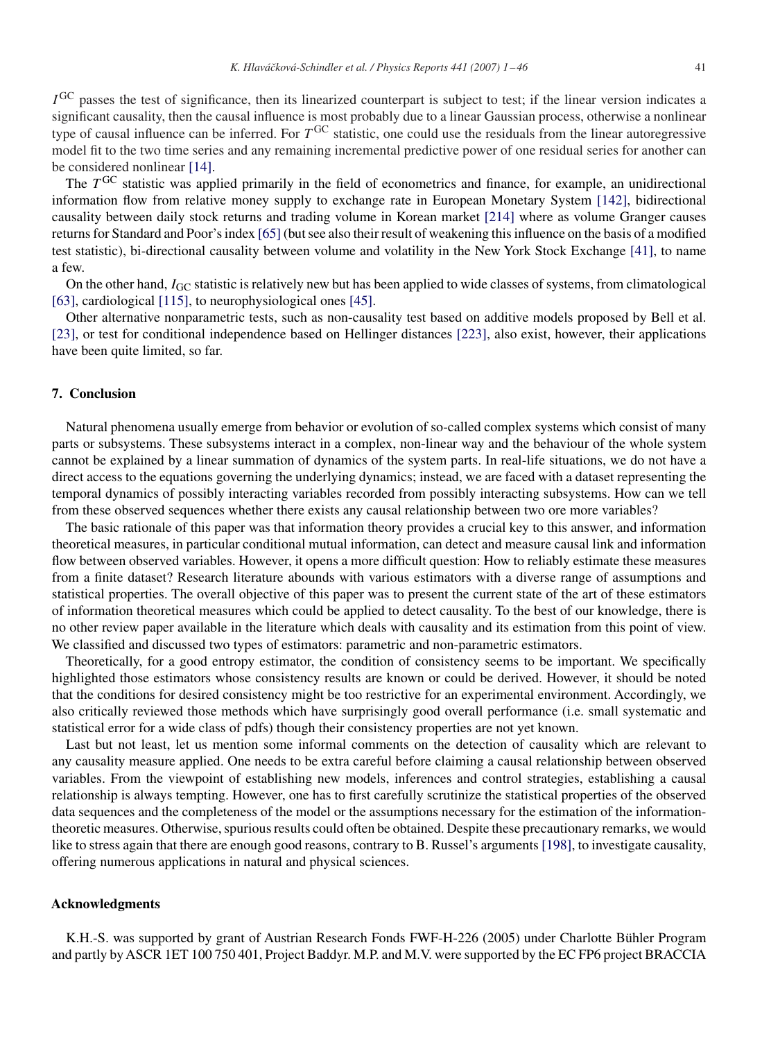<span id="page-40-0"></span>*I*<sup>GC</sup> passes the test of significance, then its linearized counterpart is subject to test; if the linear version indicates a significant causality, then the causal influence is most probably due to a linear Gaussian process, otherwise a nonlinear type of causal influence can be inferred. For T<sup>GC</sup> statistic, one could use the residuals from the linear autoregressive model fit to the two time series and any remaining incremental predictive power of one residual series for another can be considered nonlinear [\[14\].](#page-41-0)

The  $T<sup>GC</sup>$  statistic was applied primarily in the field of econometrics and finance, for example, an unidirectional information flow from relative money supply to exchange rate in European Monetary System [\[142\],](#page-43-0) bidirectional causality between daily stock returns and trading volume in Korean market [\[214\]](#page-45-0) where as volume Granger causes returns for Standard and Poor's index [\[65\]](#page-42-0) (but see also their result of weakening this influence on the basis of a modified test statistic), bi-directional causality between volume and volatility in the New York Stock Exchange [\[41\],](#page-41-0) to name a few.

On the other hand, *I*<sub>GC</sub> statistic is relatively new but has been applied to wide classes of systems, from climatological [\[63\],](#page-42-0) cardiological [\[115\],](#page-43-0) to neurophysiological ones [\[45\].](#page-41-0)

Other alternative nonparametric tests, such as non-causality test based on additive models proposed by Bell et al. [\[23\],](#page-41-0) or test for conditional independence based on Hellinger distances [\[223\],](#page-45-0) also exist, however, their applications have been quite limited, so far.

# **7. Conclusion**

Natural phenomena usually emerge from behavior or evolution of so-called complex systems which consist of many parts or subsystems. These subsystems interact in a complex, non-linear way and the behaviour of the whole system cannot be explained by a linear summation of dynamics of the system parts. In real-life situations, we do not have a direct access to the equations governing the underlying dynamics; instead, we are faced with a dataset representing the temporal dynamics of possibly interacting variables recorded from possibly interacting subsystems. How can we tell from these observed sequences whether there exists any causal relationship between two ore more variables?

The basic rationale of this paper was that information theory provides a crucial key to this answer, and information theoretical measures, in particular conditional mutual information, can detect and measure causal link and information flow between observed variables. However, it opens a more difficult question: How to reliably estimate these measures from a finite dataset? Research literature abounds with various estimators with a diverse range of assumptions and statistical properties. The overall objective of this paper was to present the current state of the art of these estimators of information theoretical measures which could be applied to detect causality. To the best of our knowledge, there is no other review paper available in the literature which deals with causality and its estimation from this point of view. We classified and discussed two types of estimators: parametric and non-parametric estimators.

Theoretically, for a good entropy estimator, the condition of consistency seems to be important. We specifically highlighted those estimators whose consistency results are known or could be derived. However, it should be noted that the conditions for desired consistency might be too restrictive for an experimental environment. Accordingly, we also critically reviewed those methods which have surprisingly good overall performance (i.e. small systematic and statistical error for a wide class of pdfs) though their consistency properties are not yet known.

Last but not least, let us mention some informal comments on the detection of causality which are relevant to any causality measure applied. One needs to be extra careful before claiming a causal relationship between observed variables. From the viewpoint of establishing new models, inferences and control strategies, establishing a causal relationship is always tempting. However, one has to first carefully scrutinize the statistical properties of the observed data sequences and the completeness of the model or the assumptions necessary for the estimation of the informationtheoretic measures. Otherwise, spurious results could often be obtained. Despite these precautionary remarks, we would like to stress again that there are enough good reasons, contrary to B. Russel's arguments [\[198\],](#page-44-0) to investigate causality, offering numerous applications in natural and physical sciences.

## **Acknowledgments**

K.H.-S. was supported by grant of Austrian Research Fonds FWF-H-226 (2005) under Charlotte Bühler Program and partly by ASCR 1ET 100 750 401, Project Baddyr. M.P. and M.V. were supported by the EC FP6 project BRACCIA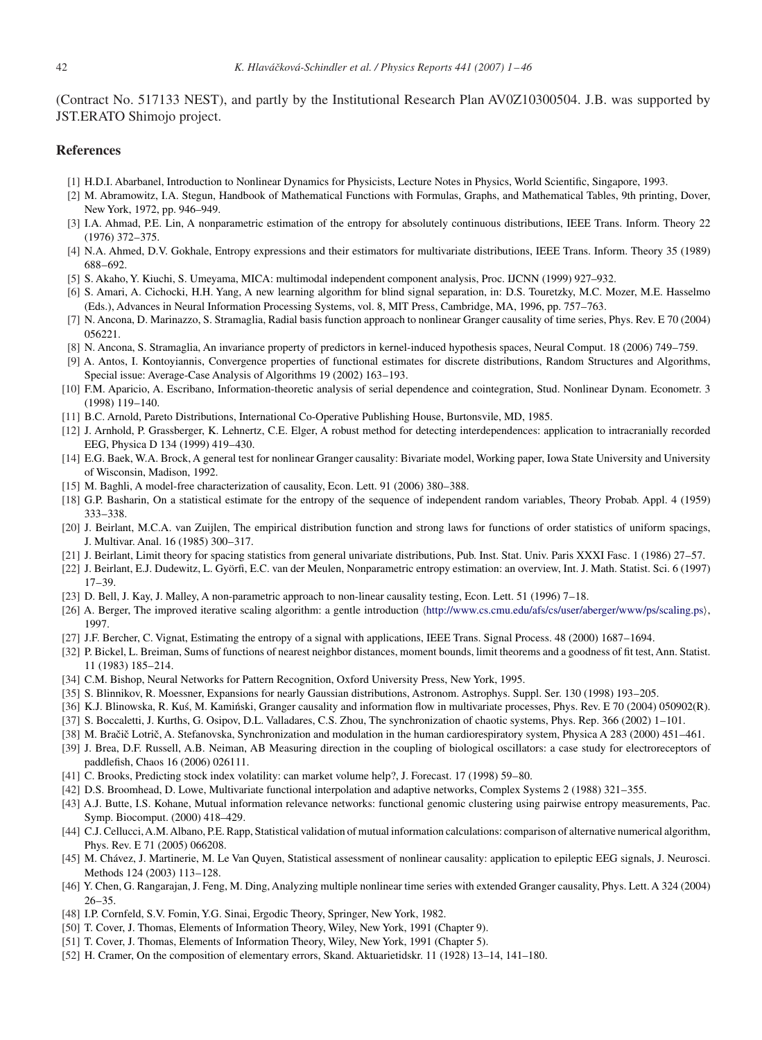<span id="page-41-0"></span>(Contract No. 517133 NEST), and partly by the Institutional Research Plan AV0Z10300504. J.B. was supported by JST.ERATO Shimojo project.

# **References**

- [1] H.D.I. Abarbanel, Introduction to Nonlinear Dynamics for Physicists, Lecture Notes in Physics, World Scientific, Singapore, 1993.
- [2] M. Abramowitz, I.A. Stegun, Handbook of Mathematical Functions with Formulas, Graphs, and Mathematical Tables, 9th printing, Dover, New York, 1972, pp. 946–949.
- [3] I.A. Ahmad, P.E. Lin, A nonparametric estimation of the entropy for absolutely continuous distributions, IEEE Trans. Inform. Theory 22 (1976) 372–375.
- [4] N.A. Ahmed, D.V. Gokhale, Entropy expressions and their estimators for multivariate distributions, IEEE Trans. Inform. Theory 35 (1989) 688–692.
- [5] S. Akaho, Y. Kiuchi, S. Umeyama, MICA: multimodal independent component analysis, Proc. IJCNN (1999) 927–932.
- [6] S. Amari, A. Cichocki, H.H. Yang, A new learning algorithm for blind signal separation, in: D.S. Touretzky, M.C. Mozer, M.E. Hasselmo (Eds.), Advances in Neural Information Processing Systems, vol. 8, MIT Press, Cambridge, MA, 1996, pp. 757–763.
- [7] N. Ancona, D. Marinazzo, S. Stramaglia, Radial basis function approach to nonlinear Granger causality of time series, Phys. Rev. E 70 (2004) 056221.
- [8] N. Ancona, S. Stramaglia, An invariance property of predictors in kernel-induced hypothesis spaces, Neural Comput. 18 (2006) 749–759.
- [9] A. Antos, I. Kontoyiannis, Convergence properties of functional estimates for discrete distributions, Random Structures and Algorithms, Special issue: Average-Case Analysis of Algorithms 19 (2002) 163–193.
- [10] F.M. Aparicio, A. Escribano, Information-theoretic analysis of serial dependence and cointegration, Stud. Nonlinear Dynam. Econometr. 3 (1998) 119–140.
- [11] B.C. Arnold, Pareto Distributions, International Co-Operative Publishing House, Burtonsvile, MD, 1985.
- [12] J. Arnhold, P. Grassberger, K. Lehnertz, C.E. Elger, A robust method for detecting interdependences: application to intracranially recorded EEG, Physica D 134 (1999) 419–430.
- [14] E.G. Baek, W.A. Brock, A general test for nonlinear Granger causality: Bivariate model, Working paper, Iowa State University and University of Wisconsin, Madison, 1992.
- [15] M. Baghli, A model-free characterization of causality, Econ. Lett. 91 (2006) 380–388.
- [18] G.P. Basharin, On a statistical estimate for the entropy of the sequence of independent random variables, Theory Probab. Appl. 4 (1959) 333–338.
- [20] J. Beirlant, M.C.A. van Zuijlen, The empirical distribution function and strong laws for functions of order statistics of uniform spacings, J. Multivar. Anal. 16 (1985) 300–317.
- [21] J. Beirlant, Limit theory for spacing statistics from general univariate distributions, Pub. Inst. Stat. Univ. Paris XXXI Fasc. 1 (1986) 27–57.
- [22] J. Beirlant, E.J. Dudewitz, L. Györfi, E.C. van der Meulen, Nonparametric entropy estimation: an overview, Int. J. Math. Statist. Sci. 6 (1997) 17–39.
- [23] D. Bell, J. Kay, J. Malley, A non-parametric approach to non-linear causality testing, Econ. Lett. 51 (1996) 7–18.
- [26] A. Berger, The improved iterative scaling algorithm: a gentle introduction (<http://www.cs.cmu.edu/afs/cs/user/aberger/www/ps/scaling.ps>), 1997.
- [27] J.F. Bercher, C. Vignat, Estimating the entropy of a signal with applications, IEEE Trans. Signal Process. 48 (2000) 1687–1694.
- [32] P. Bickel, L. Breiman, Sums of functions of nearest neighbor distances, moment bounds, limit theorems and a goodness of fit test, Ann. Statist. 11 (1983) 185–214.
- [34] C.M. Bishop, Neural Networks for Pattern Recognition, Oxford University Press, New York, 1995.
- [35] S. Blinnikov, R. Moessner, Expansions for nearly Gaussian distributions, Astronom. Astrophys. Suppl. Ser. 130 (1998) 193–205.
- [36] K.J. Blinowska, R. Kuś, M. Kamiński, Granger causality and information flow in multivariate processes, Phys. Rev. E 70 (2004) 050902(R).
- [37] S. Boccaletti, J. Kurths, G. Osipov, D.L. Valladares, C.S. Zhou, The synchronization of chaotic systems, Phys. Rep. 366 (2002) 1–101.
- [38] M. Bračič Lotrič, A. Stefanovska, Synchronization and modulation in the human cardiorespiratory system, Physica A 283 (2000) 451-461.
- [39] J. Brea, D.F. Russell, A.B. Neiman, AB Measuring direction in the coupling of biological oscillators: a case study for electroreceptors of paddlefish, Chaos 16 (2006) 026111.
- [41] C. Brooks, Predicting stock index volatility: can market volume help?, J. Forecast. 17 (1998) 59–80.
- [42] D.S. Broomhead, D. Lowe, Multivariate functional interpolation and adaptive networks, Complex Systems 2 (1988) 321–355.
- [43] A.J. Butte, I.S. Kohane, Mutual information relevance networks: functional genomic clustering using pairwise entropy measurements, Pac. Symp. Biocomput. (2000) 418–429.
- [44] C.J. Cellucci,A.M.Albano, P.E. Rapp, Statistical validation of mutual information calculations: comparison of alternative numerical algorithm, Phys. Rev. E 71 (2005) 066208.
- [45] M. Chávez, J. Martinerie, M. Le Van Quyen, Statistical assessment of nonlinear causality: application to epileptic EEG signals, J. Neurosci. Methods 124 (2003) 113–128.
- [46] Y. Chen, G. Rangarajan, J. Feng, M. Ding, Analyzing multiple nonlinear time series with extended Granger causality, Phys. Lett. A 324 (2004) 26–35.
- [48] I.P. Cornfeld, S.V. Fomin, Y.G. Sinai, Ergodic Theory, Springer, New York, 1982.
- [50] T. Cover, J. Thomas, Elements of Information Theory, Wiley, New York, 1991 (Chapter 9).
- [51] T. Cover, J. Thomas, Elements of Information Theory, Wiley, New York, 1991 (Chapter 5).
- [52] H. Cramer, On the composition of elementary errors, Skand. Aktuarietidskr. 11 (1928) 13–14, 141–180.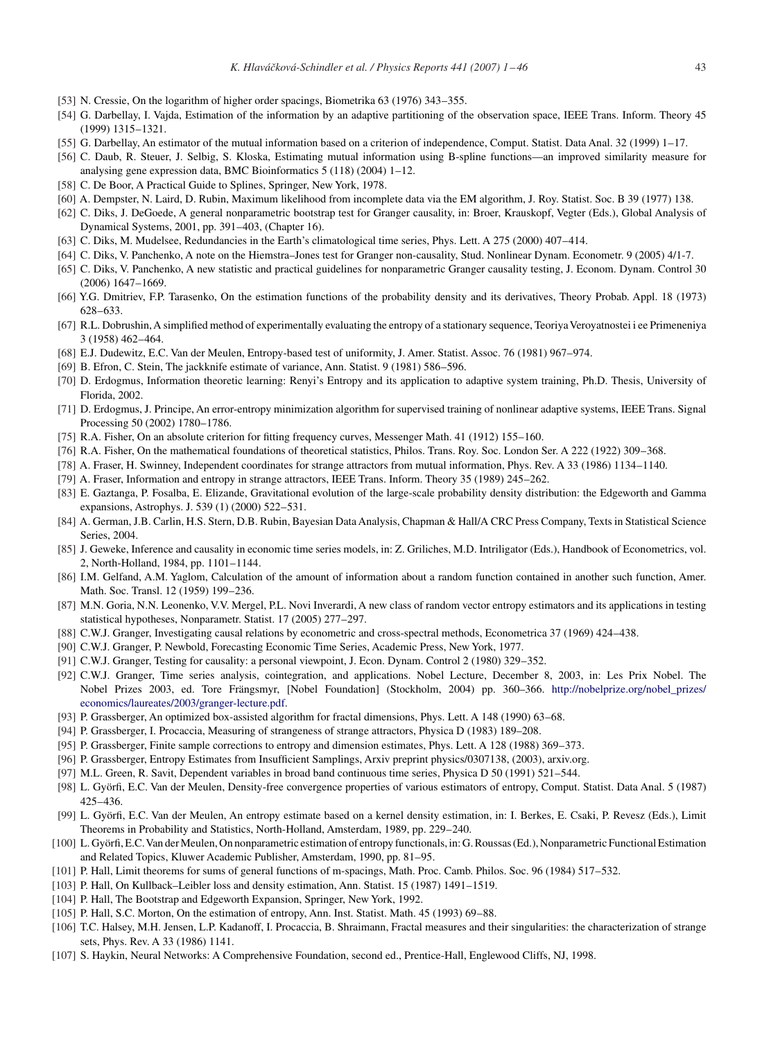- <span id="page-42-0"></span>[53] N. Cressie, On the logarithm of higher order spacings, Biometrika 63 (1976) 343–355.
- [54] G. Darbellay, I. Vajda, Estimation of the information by an adaptive partitioning of the observation space, IEEE Trans. Inform. Theory 45 (1999) 1315–1321.
- [55] G. Darbellay, An estimator of the mutual information based on a criterion of independence, Comput. Statist. Data Anal. 32 (1999) 1–17.
- [56] C. Daub, R. Steuer, J. Selbig, S. Kloska, Estimating mutual information using B-spline functions—an improved similarity measure for analysing gene expression data, BMC Bioinformatics 5 (118) (2004) 1–12.
- [58] C. De Boor, A Practical Guide to Splines, Springer, New York, 1978.
- [60] A. Dempster, N. Laird, D. Rubin, Maximum likelihood from incomplete data via the EM algorithm, J. Roy. Statist. Soc. B 39 (1977) 138.
- [62] C. Diks, J. DeGoede, A general nonparametric bootstrap test for Granger causality, in: Broer, Krauskopf, Vegter (Eds.), Global Analysis of Dynamical Systems, 2001, pp. 391–403, (Chapter 16).
- [63] C. Diks, M. Mudelsee, Redundancies in the Earth's climatological time series, Phys. Lett. A 275 (2000) 407-414.
- [64] C. Diks, V. Panchenko, A note on the Hiemstra–Jones test for Granger non-causality, Stud. Nonlinear Dynam. Econometr. 9 (2005) 4/1-7.
- [65] C. Diks, V. Panchenko, A new statistic and practical guidelines for nonparametric Granger causality testing, J. Econom. Dynam. Control 30 (2006) 1647–1669.
- [66] Y.G. Dmitriev, F.P. Tarasenko, On the estimation functions of the probability density and its derivatives, Theory Probab. Appl. 18 (1973) 628–633.
- [67] R.L. Dobrushin, A simplified method of experimentally evaluating the entropy of a stationary sequence, Teoriya Veroyatnostei i ee Primeneniya 3 (1958) 462–464.
- [68] E.J. Dudewitz, E.C. Van der Meulen, Entropy-based test of uniformity, J. Amer. Statist. Assoc. 76 (1981) 967–974.
- [69] B. Efron, C. Stein, The jackknife estimate of variance, Ann. Statist. 9 (1981) 586-596.
- [70] D. Erdogmus, Information theoretic learning: Renyi's Entropy and its application to adaptive system training, Ph.D. Thesis, University of Florida, 2002.
- [71] D. Erdogmus, J. Principe, An error-entropy minimization algorithm for supervised training of nonlinear adaptive systems, IEEE Trans. Signal Processing 50 (2002) 1780–1786.
- [75] R.A. Fisher, On an absolute criterion for fitting frequency curves, Messenger Math. 41 (1912) 155–160.
- [76] R.A. Fisher, On the mathematical foundations of theoretical statistics, Philos. Trans. Roy. Soc. London Ser. A 222 (1922) 309–368.
- [78] A. Fraser, H. Swinney, Independent coordinates for strange attractors from mutual information, Phys. Rev. A 33 (1986) 1134–1140.
- [79] A. Fraser, Information and entropy in strange attractors, IEEE Trans. Inform. Theory 35 (1989) 245–262.
- [83] E. Gaztanga, P. Fosalba, E. Elizande, Gravitational evolution of the large-scale probability density distribution: the Edgeworth and Gamma expansions, Astrophys. J. 539 (1) (2000) 522–531.
- [84] A. German, J.B. Carlin, H.S. Stern, D.B. Rubin, Bayesian Data Analysis, Chapman & Hall/A CRC Press Company, Texts in Statistical Science Series, 2004.
- [85] J. Geweke, Inference and causality in economic time series models, in: Z. Griliches, M.D. Intriligator (Eds.), Handbook of Econometrics, vol. 2, North-Holland, 1984, pp. 1101–1144.
- [86] I.M. Gelfand, A.M. Yaglom, Calculation of the amount of information about a random function contained in another such function, Amer. Math. Soc. Transl. 12 (1959) 199–236.
- [87] M.N. Goria, N.N. Leonenko, V.V. Mergel, P.L. Novi Inverardi, A new class of random vector entropy estimators and its applications in testing statistical hypotheses, Nonparametr. Statist. 17 (2005) 277–297.
- [88] C.W.J. Granger, Investigating causal relations by econometric and cross-spectral methods, Econometrica 37 (1969) 424–438.
- [90] C.W.J. Granger, P. Newbold, Forecasting Economic Time Series, Academic Press, New York, 1977.
- [91] C.W.J. Granger, Testing for causality: a personal viewpoint, J. Econ. Dynam. Control 2 (1980) 329–352.
- [92] C.W.J. Granger, Time series analysis, cointegration, and applications. Nobel Lecture, December 8, 2003, in: Les Prix Nobel. The Nobel Prizes 2003, ed. Tore Frängsmyr, [Nobel Foundation] (Stockholm, 2004) pp. 360–366. [http://nobelprize.org/nobel\\_prizes/](http://nobelprize.org/nobel_prizes/economics/laureates/2003/granger-lecture.pdf) [economics/laureates/2003/granger-lecture.pdf.](http://nobelprize.org/nobel_prizes/economics/laureates/2003/granger-lecture.pdf)
- [93] P. Grassberger, An optimized box-assisted algorithm for fractal dimensions, Phys. Lett. A 148 (1990) 63–68.
- [94] P. Grassberger, I. Procaccia, Measuring of strangeness of strange attractors, Physica D (1983) 189–208.
- [95] P. Grassberger, Finite sample corrections to entropy and dimension estimates, Phys. Lett. A 128 (1988) 369–373.
- [96] P. Grassberger, Entropy Estimates from Insufficient Samplings, Arxiv preprint physics/0307138, (2003), arxiv.org.
- [97] M.L. Green, R. Savit, Dependent variables in broad band continuous time series, Physica D 50 (1991) 521–544.
- [98] L. Györfi, E.C. Van der Meulen, Density-free convergence properties of various estimators of entropy, Comput. Statist. Data Anal. 5 (1987) 425–436.
- [99] L. Györfi, E.C. Van der Meulen, An entropy estimate based on a kernel density estimation, in: I. Berkes, E. Csaki, P. Revesz (Eds.), Limit Theorems in Probability and Statistics, North-Holland, Amsterdam, 1989, pp. 229–240.
- [100] L. Györfi, E.C.Van derMeulen, On nonparametric estimation of entropy functionals, in: G. Roussas (Ed.), Nonparametric Functional Estimation and Related Topics, Kluwer Academic Publisher, Amsterdam, 1990, pp. 81–95.
- [101] P. Hall, Limit theorems for sums of general functions of m-spacings, Math. Proc. Camb. Philos. Soc. 96 (1984) 517–532.
- [103] P. Hall, On Kullback–Leibler loss and density estimation, Ann. Statist. 15 (1987) 1491–1519.
- [104] P. Hall, The Bootstrap and Edgeworth Expansion, Springer, New York, 1992.
- [105] P. Hall, S.C. Morton, On the estimation of entropy, Ann. Inst. Statist. Math. 45 (1993) 69–88.
- [106] T.C. Halsey, M.H. Jensen, L.P. Kadanoff, I. Procaccia, B. Shraimann, Fractal measures and their singularities: the characterization of strange sets, Phys. Rev. A 33 (1986) 1141.
- [107] S. Haykin, Neural Networks: A Comprehensive Foundation, second ed., Prentice-Hall, Englewood Cliffs, NJ, 1998.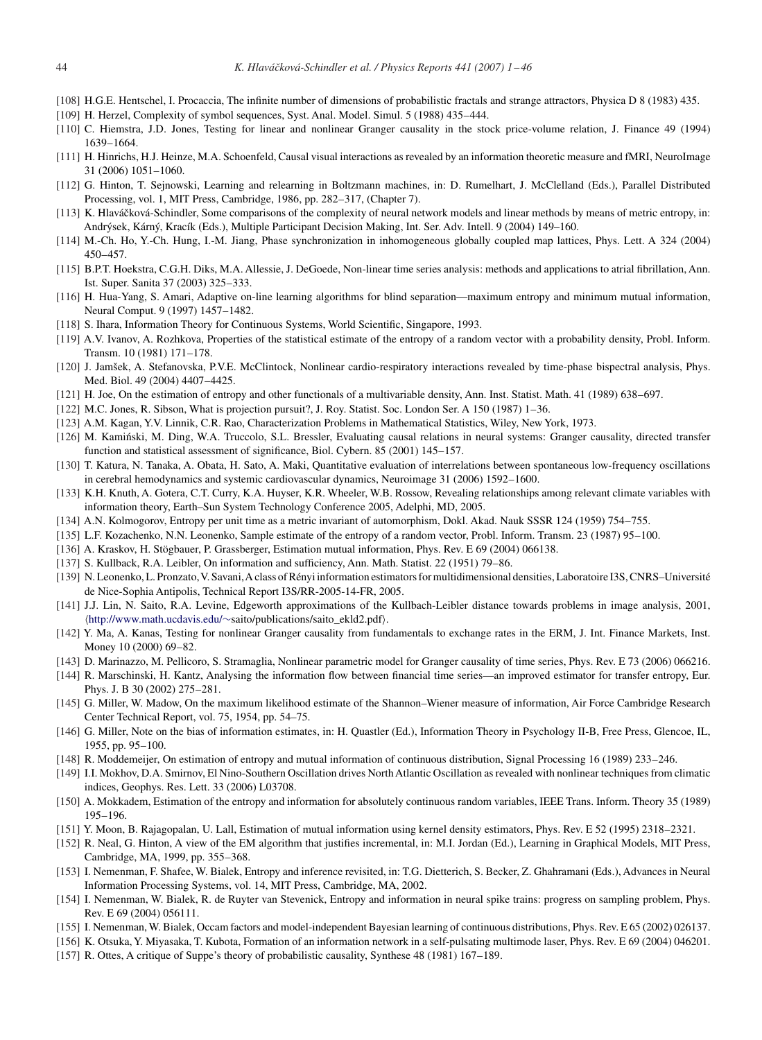- <span id="page-43-0"></span>[108] H.G.E. Hentschel, I. Procaccia, The infinite number of dimensions of probabilistic fractals and strange attractors, Physica D 8 (1983) 435.
- [109] H. Herzel, Complexity of symbol sequences, Syst. Anal. Model. Simul. 5 (1988) 435–444.
- [110] C. Hiemstra, J.D. Jones, Testing for linear and nonlinear Granger causality in the stock price-volume relation, J. Finance 49 (1994) 1639–1664.
- [111] H. Hinrichs, H.J. Heinze, M.A. Schoenfeld, Causal visual interactions as revealed by an information theoretic measure and fMRI, NeuroImage 31 (2006) 1051–1060.
- [112] G. Hinton, T. Sejnowski, Learning and relearning in Boltzmann machines, in: D. Rumelhart, J. McClelland (Eds.), Parallel Distributed Processing, vol. 1, MIT Press, Cambridge, 1986, pp. 282–317, (Chapter 7).
- [113] K. Hlaváčková-Schindler, Some comparisons of the complexity of neural network models and linear methods by means of metric entropy, in: Andrýsek, Kárný, Kracík (Eds.), Multiple Participant Decision Making, Int. Ser. Adv. Intell. 9 (2004) 149–160.
- [114] M.-Ch. Ho, Y.-Ch. Hung, I.-M. Jiang, Phase synchronization in inhomogeneous globally coupled map lattices, Phys. Lett. A 324 (2004) 450–457.
- [115] B.P.T. Hoekstra, C.G.H. Diks, M.A. Allessie, J. DeGoede, Non-linear time series analysis: methods and applications to atrial fibrillation, Ann. Ist. Super. Sanita 37 (2003) 325–333.
- [116] H. Hua-Yang, S. Amari, Adaptive on-line learning algorithms for blind separation—maximum entropy and minimum mutual information, Neural Comput. 9 (1997) 1457–1482.
- [118] S. Ihara, Information Theory for Continuous Systems, World Scientific, Singapore, 1993.
- [119] A.V. Ivanov, A. Rozhkova, Properties of the statistical estimate of the entropy of a random vector with a probability density, Probl. Inform. Transm. 10 (1981) 171–178.
- [120] J. Jamšek, A. Stefanovska, P.V.E. McClintock, Nonlinear cardio-respiratory interactions revealed by time-phase bispectral analysis, Phys. Med. Biol. 49 (2004) 4407–4425.
- [121] H. Joe, On the estimation of entropy and other functionals of a multivariable density, Ann. Inst. Statist. Math. 41 (1989) 638–697.
- [122] M.C. Jones, R. Sibson, What is projection pursuit?, J. Roy. Statist. Soc. London Ser. A 150 (1987) 1–36.
- [123] A.M. Kagan, Y.V. Linnik, C.R. Rao, Characterization Problems in Mathematical Statistics, Wiley, New York, 1973.
- [126] M. Kaminski, M. Ding, W.A. Truccolo, S.L. Bressler, Evaluating causal relations in neural systems: Granger causality, directed transfer function and statistical assessment of significance, Biol. Cybern. 85 (2001) 145–157.
- [130] T. Katura, N. Tanaka, A. Obata, H. Sato, A. Maki, Quantitative evaluation of interrelations between spontaneous low-frequency oscillations in cerebral hemodynamics and systemic cardiovascular dynamics, Neuroimage 31 (2006) 1592–1600.
- [133] K.H. Knuth, A. Gotera, C.T. Curry, K.A. Huyser, K.R. Wheeler, W.B. Rossow, Revealing relationships among relevant climate variables with information theory, Earth–Sun System Technology Conference 2005, Adelphi, MD, 2005.
- [134] A.N. Kolmogorov, Entropy per unit time as a metric invariant of automorphism, Dokl. Akad. Nauk SSSR 124 (1959) 754–755.
- [135] L.F. Kozachenko, N.N. Leonenko, Sample estimate of the entropy of a random vector, Probl. Inform. Transm. 23 (1987) 95–100.
- [136] A. Kraskov, H. Stögbauer, P. Grassberger, Estimation mutual information, Phys. Rev. E 69 (2004) 066138.
- [137] S. Kullback, R.A. Leibler, On information and sufficiency, Ann. Math. Statist. 22 (1951) 79–86.
- [139] N. Leonenko, L. Pronzato,V. Savani,A class of Rényi information estimators for multidimensional densities, Laboratoire I3S, CNRS–Université de Nice-Sophia Antipolis, Technical Report I3S/RR-2005-14-FR, 2005.
- [141] J.J. Lin, N. Saito, R.A. Levine, Edgeworth approximations of the Kullbach-Leibler distance towards problems in image analysis, 2001, [http://www.math.ucdavis.edu/](http://www.math.ucdavis.edu/saito/publications/saito_ekld2.pdf)∼saito/publications/saito\_ekld2.pdf.
- [142] Y. Ma, A. Kanas, Testing for nonlinear Granger causality from fundamentals to exchange rates in the ERM, J. Int. Finance Markets, Inst. Money 10 (2000) 69–82.
- [143] D. Marinazzo, M. Pellicoro, S. Stramaglia, Nonlinear parametric model for Granger causality of time series, Phys. Rev. E 73 (2006) 066216.
- [144] R. Marschinski, H. Kantz, Analysing the information flow between financial time series—an improved estimator for transfer entropy, Eur. Phys. J. B 30 (2002) 275–281.
- [145] G. Miller, W. Madow, On the maximum likelihood estimate of the Shannon–Wiener measure of information, Air Force Cambridge Research Center Technical Report, vol. 75, 1954, pp. 54–75.
- [146] G. Miller, Note on the bias of information estimates, in: H. Quastler (Ed.), Information Theory in Psychology II-B, Free Press, Glencoe, IL, 1955, pp. 95–100.
- [148] R. Moddemeijer, On estimation of entropy and mutual information of continuous distribution, Signal Processing 16 (1989) 233–246.
- [149] I.I. Mokhov, D.A. Smirnov, El Nino-Southern Oscillation drives North Atlantic Oscillation as revealed with nonlinear techniques from climatic indices, Geophys. Res. Lett. 33 (2006) L03708.
- [150] A. Mokkadem, Estimation of the entropy and information for absolutely continuous random variables, IEEE Trans. Inform. Theory 35 (1989) 195–196.
- [151] Y. Moon, B. Rajagopalan, U. Lall, Estimation of mutual information using kernel density estimators, Phys. Rev. E 52 (1995) 2318–2321.
- [152] R. Neal, G. Hinton, A view of the EM algorithm that justifies incremental, in: M.I. Jordan (Ed.), Learning in Graphical Models, MIT Press, Cambridge, MA, 1999, pp. 355–368.
- [153] I. Nemenman, F. Shafee, W. Bialek, Entropy and inference revisited, in: T.G. Dietterich, S. Becker, Z. Ghahramani (Eds.), Advances in Neural Information Processing Systems, vol. 14, MIT Press, Cambridge, MA, 2002.
- [154] I. Nemenman, W. Bialek, R. de Ruyter van Stevenick, Entropy and information in neural spike trains: progress on sampling problem, Phys. Rev. E 69 (2004) 056111.
- [155] I. Nemenman,W. Bialek, Occam factors and model-independent Bayesian learning of continuous distributions, Phys. Rev. E 65 (2002) 026137.

[156] K. Otsuka, Y. Miyasaka, T. Kubota, Formation of an information network in a self-pulsating multimode laser, Phys. Rev. E 69 (2004) 046201.

[157] R. Ottes, A critique of Suppe's theory of probabilistic causality, Synthese 48 (1981) 167–189.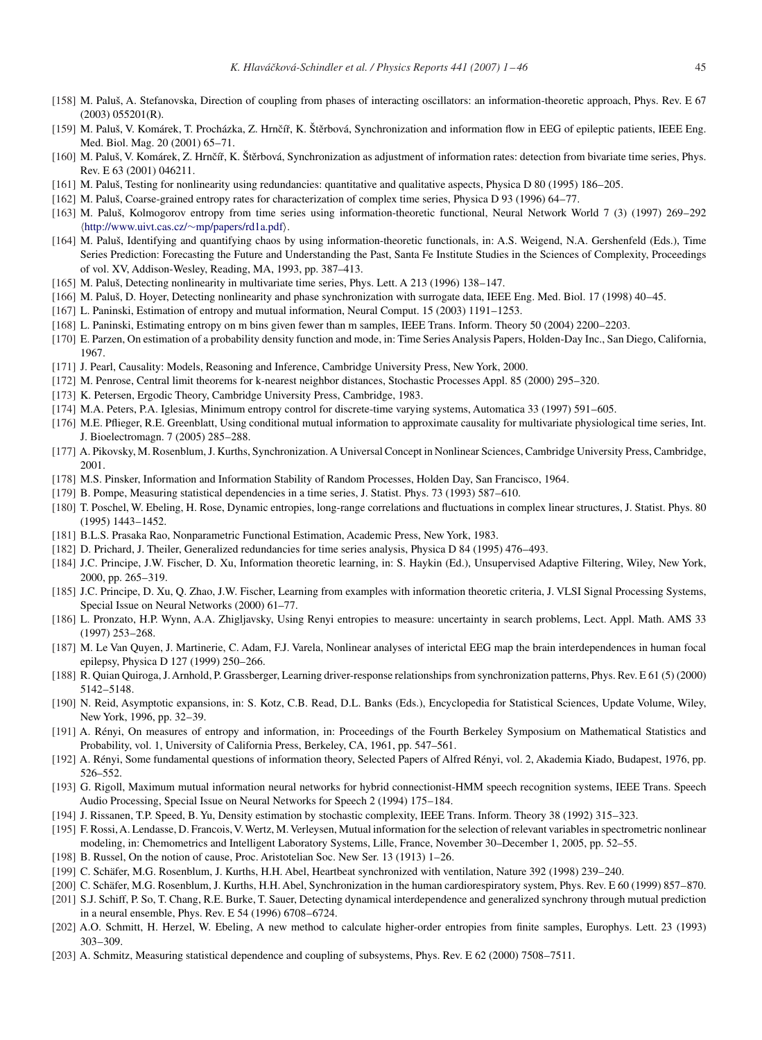- <span id="page-44-0"></span>[158] M. Paluš, A. Stefanovska, Direction of coupling from phases of interacting oscillators: an information-theoretic approach, Phys. Rev. E 67 (2003) 055201(R).
- [159] M. Paluš, V. Komárek, T. Procházka, Z. Hrnčíř, K. Štěrbová, Synchronization and information flow in EEG of epileptic patients, IEEE Eng. Med. Biol. Mag. 20 (2001) 65–71.
- [160] M. Paluš, V. Komárek, Z. Hrnčíř, K. Štěrbová, Synchronization as adjustment of information rates: detection from bivariate time series, Phys. Rev. E 63 (2001) 046211.
- [161] M. Paluš, Testing for nonlinearity using redundancies: quantitative and qualitative aspects, Physica D 80 (1995) 186–205.
- [162] M. Paluš, Coarse-grained entropy rates for characterization of complex time series, Physica D 93 (1996) 64–77.
- [163] M. Paluš, Kolmogorov entropy from time series using information-theoretic functional, Neural Network World 7 (3) (1997) 269–292 [http://www.uivt.cas.cz/](http://www.uivt.cas.cz/mp/papers/rd1a.pdf)∼mp/papers/rd1a.pdf.
- [164] M. Paluš, Identifying and quantifying chaos by using information-theoretic functionals, in: A.S. Weigend, N.A. Gershenfeld (Eds.), Time Series Prediction: Forecasting the Future and Understanding the Past, Santa Fe Institute Studies in the Sciences of Complexity, Proceedings of vol. XV, Addison-Wesley, Reading, MA, 1993, pp. 387–413.
- [165] M. Paluš, Detecting nonlinearity in multivariate time series, Phys. Lett. A 213 (1996) 138–147.
- [166] M. Paluš, D. Hoyer, Detecting nonlinearity and phase synchronization with surrogate data, IEEE Eng. Med. Biol. 17 (1998) 40–45.
- [167] L. Paninski, Estimation of entropy and mutual information, Neural Comput. 15 (2003) 1191–1253.
- [168] L. Paninski, Estimating entropy on m bins given fewer than m samples, IEEE Trans. Inform. Theory 50 (2004) 2200–2203.
- [170] E. Parzen, On estimation of a probability density function and mode, in: Time Series Analysis Papers, Holden-Day Inc., San Diego, California, 1967.
- [171] J. Pearl, Causality: Models, Reasoning and Inference, Cambridge University Press, New York, 2000.
- [172] M. Penrose, Central limit theorems for k-nearest neighbor distances, Stochastic Processes Appl. 85 (2000) 295–320.
- [173] K. Petersen, Ergodic Theory, Cambridge University Press, Cambridge, 1983.
- [174] M.A. Peters, P.A. Iglesias, Minimum entropy control for discrete-time varying systems, Automatica 33 (1997) 591–605.
- [176] M.E. Pflieger, R.E. Greenblatt, Using conditional mutual information to approximate causality for multivariate physiological time series, Int. J. Bioelectromagn. 7 (2005) 285–288.
- [177] A. Pikovsky, M. Rosenblum, J. Kurths, Synchronization. A Universal Concept in Nonlinear Sciences, Cambridge University Press, Cambridge, 2001.
- [178] M.S. Pinsker, Information and Information Stability of Random Processes, Holden Day, San Francisco, 1964.
- [179] B. Pompe, Measuring statistical dependencies in a time series, J. Statist. Phys. 73 (1993) 587–610.
- [180] T. Poschel, W. Ebeling, H. Rose, Dynamic entropies, long-range correlations and fluctuations in complex linear structures, J. Statist. Phys. 80 (1995) 1443–1452.
- [181] B.L.S. Prasaka Rao, Nonparametric Functional Estimation, Academic Press, New York, 1983.
- [182] D. Prichard, J. Theiler, Generalized redundancies for time series analysis, Physica D 84 (1995) 476–493.
- [184] J.C. Principe, J.W. Fischer, D. Xu, Information theoretic learning, in: S. Haykin (Ed.), Unsupervised Adaptive Filtering, Wiley, New York, 2000, pp. 265–319.
- [185] J.C. Principe, D. Xu, Q. Zhao, J.W. Fischer, Learning from examples with information theoretic criteria, J. VLSI Signal Processing Systems, Special Issue on Neural Networks (2000) 61–77.
- [186] L. Pronzato, H.P. Wynn, A.A. Zhigljavsky, Using Renyi entropies to measure: uncertainty in search problems, Lect. Appl. Math. AMS 33 (1997) 253–268.
- [187] M. Le Van Quyen, J. Martinerie, C. Adam, F.J. Varela, Nonlinear analyses of interictal EEG map the brain interdependences in human focal epilepsy, Physica D 127 (1999) 250–266.
- [188] R. Quian Quiroga, J. Arnhold, P. Grassberger, Learning driver-response relationships from synchronization patterns, Phys. Rev. E 61 (5) (2000) 5142–5148.
- [190] N. Reid, Asymptotic expansions, in: S. Kotz, C.B. Read, D.L. Banks (Eds.), Encyclopedia for Statistical Sciences, Update Volume, Wiley, New York, 1996, pp. 32–39.
- [191] A. Rényi, On measures of entropy and information, in: Proceedings of the Fourth Berkeley Symposium on Mathematical Statistics and Probability, vol. 1, University of California Press, Berkeley, CA, 1961, pp. 547–561.
- [192] A. Rényi, Some fundamental questions of information theory, Selected Papers of Alfred Rényi, vol. 2, Akademia Kiado, Budapest, 1976, pp. 526–552.
- [193] G. Rigoll, Maximum mutual information neural networks for hybrid connectionist-HMM speech recognition systems, IEEE Trans. Speech Audio Processing, Special Issue on Neural Networks for Speech 2 (1994) 175–184.
- [194] J. Rissanen, T.P. Speed, B. Yu, Density estimation by stochastic complexity, IEEE Trans. Inform. Theory 38 (1992) 315–323.
- [195] F. Rossi, A. Lendasse, D. Francois, V.Wertz, M. Verleysen, Mutual information for the selection of relevant variables in spectrometric nonlinear modeling, in: Chemometrics and Intelligent Laboratory Systems, Lille, France, November 30–December 1, 2005, pp. 52–55.
- [198] B. Russel, On the notion of cause, Proc. Aristotelian Soc. New Ser. 13 (1913) 1–26.
- [199] C. Schäfer, M.G. Rosenblum, J. Kurths, H.H. Abel, Heartbeat synchronized with ventilation, Nature 392 (1998) 239–240.
- [200] C. Schäfer, M.G. Rosenblum, J. Kurths, H.H. Abel, Synchronization in the human cardiorespiratory system, Phys. Rev. E 60 (1999) 857–870.
- [201] S.J. Schiff, P. So, T. Chang, R.E. Burke, T. Sauer, Detecting dynamical interdependence and generalized synchrony through mutual prediction in a neural ensemble, Phys. Rev. E 54 (1996) 6708–6724.
- [202] A.O. Schmitt, H. Herzel, W. Ebeling, A new method to calculate higher-order entropies from finite samples, Europhys. Lett. 23 (1993) 303–309.
- [203] A. Schmitz, Measuring statistical dependence and coupling of subsystems, Phys. Rev. E 62 (2000) 7508–7511.